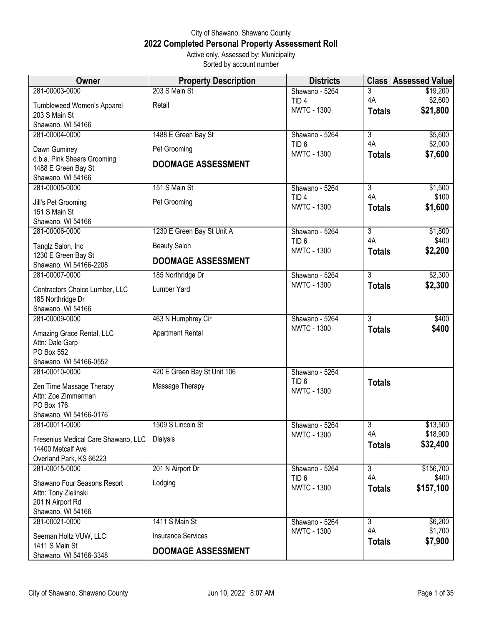## City of Shawano, Shawano County **2022 Completed Personal Property Assessment Roll** Active only, Assessed by: Municipality

Sorted by account number

| Owner                                                    | <b>Property Description</b> | <b>Districts</b>                       |                                 | <b>Class Assessed Value</b> |
|----------------------------------------------------------|-----------------------------|----------------------------------------|---------------------------------|-----------------------------|
| 281-00003-0000                                           | 203 S Main St               | Shawano - 5264                         | 3                               | \$19,200                    |
| Tumbleweed Women's Apparel                               | Retail                      | TID <sub>4</sub>                       | 4A                              | \$2,600                     |
| 203 S Main St                                            |                             | <b>NWTC - 1300</b>                     | <b>Totals</b>                   | \$21,800                    |
| Shawano, WI 54166                                        |                             |                                        |                                 |                             |
| 281-00004-0000                                           | 1488 E Green Bay St         | Shawano - 5264<br>TID <sub>6</sub>     | $\overline{3}$<br>4A            | \$5,600<br>\$2,000          |
| Dawn Guminey                                             | Pet Grooming                | <b>NWTC - 1300</b>                     | <b>Totals</b>                   | \$7,600                     |
| d.b.a. Pink Shears Grooming                              | <b>DOOMAGE ASSESSMENT</b>   |                                        |                                 |                             |
| 1488 E Green Bay St<br>Shawano, WI 54166                 |                             |                                        |                                 |                             |
| 281-00005-0000                                           | 151 S Main St               | Shawano - 5264                         | $\overline{3}$                  | \$1,500                     |
| Jill's Pet Grooming                                      | Pet Grooming                | TID <sub>4</sub>                       | 4A                              | \$100                       |
| 151 S Main St                                            |                             | <b>NWTC - 1300</b>                     | <b>Totals</b>                   | \$1,600                     |
| Shawano, WI 54166                                        |                             |                                        |                                 |                             |
| 281-00006-0000                                           | 1230 E Green Bay St Unit A  | Shawano - 5264                         | $\overline{3}$                  | \$1,800                     |
| Tanglz Salon, Inc                                        | <b>Beauty Salon</b>         | TID <sub>6</sub><br><b>NWTC - 1300</b> | 4A                              | \$400                       |
| 1230 E Green Bay St                                      | <b>DOOMAGE ASSESSMENT</b>   |                                        | <b>Totals</b>                   | \$2,200                     |
| Shawano, WI 54166-2208                                   |                             |                                        |                                 |                             |
| 281-00007-0000                                           | 185 Northridge Dr           | Shawano - 5264<br><b>NWTC - 1300</b>   | $\overline{3}$<br><b>Totals</b> | \$2,300<br>\$2,300          |
| Contractors Choice Lumber, LLC                           | Lumber Yard                 |                                        |                                 |                             |
| 185 Northridge Dr<br>Shawano, WI 54166                   |                             |                                        |                                 |                             |
| 281-00009-0000                                           | 463 N Humphrey Cir          | Shawano - 5264                         | 3                               | \$400                       |
|                                                          |                             | <b>NWTC - 1300</b>                     | <b>Totals</b>                   | \$400                       |
| Amazing Grace Rental, LLC<br>Attn: Dale Garp             | <b>Apartment Rental</b>     |                                        |                                 |                             |
| PO Box 552                                               |                             |                                        |                                 |                             |
| Shawano, WI 54166-0552                                   |                             |                                        |                                 |                             |
| 281-00010-0000                                           | 420 E Green Bay St Unit 106 | Shawano - 5264                         |                                 |                             |
| Zen Time Massage Therapy                                 | Massage Therapy             | TID <sub>6</sub>                       | <b>Totals</b>                   |                             |
| Attn: Zoe Zimmerman                                      |                             | <b>NWTC - 1300</b>                     |                                 |                             |
| PO Box 176                                               |                             |                                        |                                 |                             |
| Shawano, WI 54166-0176<br>281-00011-0000                 | 1509 S Lincoln St           | Shawano - 5264                         | $\overline{3}$                  | \$13,500                    |
|                                                          |                             | <b>NWTC - 1300</b>                     | 4A                              | \$18,900                    |
| Fresenius Medical Care Shawano, LLC<br>14400 Metcalf Ave | <b>Dialysis</b>             |                                        | <b>Totals</b>                   | \$32,400                    |
| Overland Park, KS 66223                                  |                             |                                        |                                 |                             |
| 281-00015-0000                                           | 201 N Airport Dr            | Shawano - 5264                         | $\overline{3}$                  | \$156,700                   |
| Shawano Four Seasons Resort                              | Lodging                     | TID <sub>6</sub>                       | 4A                              | \$400                       |
| Attn: Tony Zielinski                                     |                             | <b>NWTC - 1300</b>                     | <b>Totals</b>                   | \$157,100                   |
| 201 N Airport Rd                                         |                             |                                        |                                 |                             |
| Shawano, WI 54166                                        |                             |                                        |                                 |                             |
| 281-00021-0000                                           | 1411 S Main St              | Shawano - 5264<br><b>NWTC - 1300</b>   | $\overline{3}$<br>4A            | \$6,200<br>\$1,700          |
| Seeman Holtz VUW, LLC                                    | <b>Insurance Services</b>   |                                        | <b>Totals</b>                   | \$7,900                     |
| 1411 S Main St<br>Shawano, WI 54166-3348                 | <b>DOOMAGE ASSESSMENT</b>   |                                        |                                 |                             |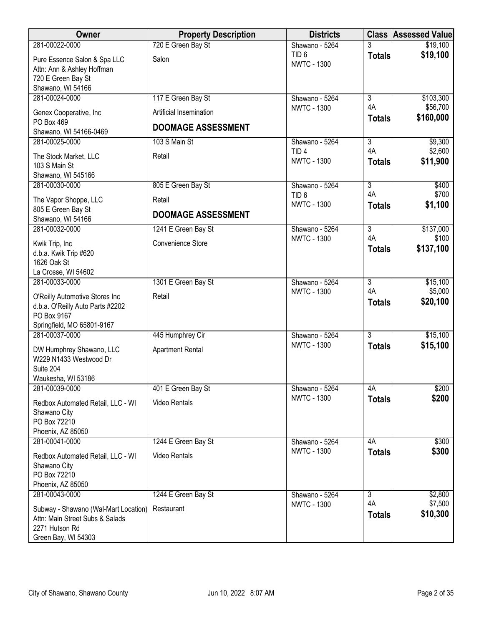| Owner                                | <b>Property Description</b> | <b>Districts</b>                       |                | <b>Class Assessed Value</b> |
|--------------------------------------|-----------------------------|----------------------------------------|----------------|-----------------------------|
| 281-00022-0000                       | 720 E Green Bay St          | Shawano - 5264                         |                | \$19,100                    |
| Pure Essence Salon & Spa LLC         | Salon                       | TID <sub>6</sub><br><b>NWTC - 1300</b> | <b>Totals</b>  | \$19,100                    |
| Attn: Ann & Ashley Hoffman           |                             |                                        |                |                             |
| 720 E Green Bay St                   |                             |                                        |                |                             |
| Shawano, WI 54166                    |                             |                                        |                |                             |
| 281-00024-0000                       | 117 E Green Bay St          | Shawano - 5264                         | $\overline{3}$ | \$103,300                   |
| Genex Cooperative, Inc               | Artificial Insemination     | <b>NWTC - 1300</b>                     | 4A             | \$56,700                    |
| PO Box 469                           | <b>DOOMAGE ASSESSMENT</b>   |                                        | <b>Totals</b>  | \$160,000                   |
| Shawano, WI 54166-0469               |                             |                                        |                |                             |
| 281-00025-0000                       | 103 S Main St               | Shawano - 5264                         | $\overline{3}$ | \$9,300                     |
| The Stock Market, LLC                | Retail                      | TID <sub>4</sub>                       | 4A             | \$2,600                     |
| 103 S Main St                        |                             | <b>NWTC - 1300</b>                     | <b>Totals</b>  | \$11,900                    |
| Shawano, WI 545166                   |                             |                                        |                |                             |
| 281-00030-0000                       | 805 E Green Bay St          | Shawano - 5264                         | $\overline{3}$ | \$400                       |
| The Vapor Shoppe, LLC                | Retail                      | TID <sub>6</sub>                       | 4A             | \$700                       |
| 805 E Green Bay St                   |                             | <b>NWTC - 1300</b>                     | <b>Totals</b>  | \$1,100                     |
| Shawano, WI 54166                    | <b>DOOMAGE ASSESSMENT</b>   |                                        |                |                             |
| 281-00032-0000                       | 1241 E Green Bay St         | Shawano - 5264                         | $\overline{3}$ | \$137,000                   |
| Kwik Trip, Inc                       | Convenience Store           | <b>NWTC - 1300</b>                     | 4A             | \$100                       |
| d.b.a. Kwik Trip #620                |                             |                                        | <b>Totals</b>  | \$137,100                   |
| 1626 Oak St                          |                             |                                        |                |                             |
| La Crosse, WI 54602                  |                             |                                        |                |                             |
| 281-00033-0000                       | 1301 E Green Bay St         | Shawano - 5264                         | $\overline{3}$ | \$15,100                    |
| O'Reilly Automotive Stores Inc       | Retail                      | <b>NWTC - 1300</b>                     | 4A             | \$5,000                     |
| d.b.a. O'Reilly Auto Parts #2202     |                             |                                        | <b>Totals</b>  | \$20,100                    |
| PO Box 9167                          |                             |                                        |                |                             |
| Springfield, MO 65801-9167           |                             |                                        |                |                             |
| 281-00037-0000                       | 445 Humphrey Cir            | Shawano - 5264                         | $\overline{3}$ | \$15,100                    |
| DW Humphrey Shawano, LLC             | <b>Apartment Rental</b>     | <b>NWTC - 1300</b>                     | <b>Totals</b>  | \$15,100                    |
| W229 N1433 Westwood Dr               |                             |                                        |                |                             |
| Suite 204                            |                             |                                        |                |                             |
| Waukesha, WI 53186                   |                             |                                        |                |                             |
| 281-00039-0000                       | 401 E Green Bay St          | Shawano - 5264                         | 4A             | \$200                       |
| Redbox Automated Retail, LLC - WI    | <b>Video Rentals</b>        | <b>NWTC - 1300</b>                     | <b>Totals</b>  | \$200                       |
| Shawano City                         |                             |                                        |                |                             |
| PO Box 72210                         |                             |                                        |                |                             |
| Phoenix, AZ 85050                    |                             |                                        |                |                             |
| 281-00041-0000                       | 1244 E Green Bay St         | Shawano - 5264                         | 4A             | \$300                       |
| Redbox Automated Retail, LLC - WI    | Video Rentals               | <b>NWTC - 1300</b>                     | <b>Totals</b>  | \$300                       |
| Shawano City                         |                             |                                        |                |                             |
| PO Box 72210                         |                             |                                        |                |                             |
| Phoenix, AZ 85050                    |                             |                                        |                |                             |
| 281-00043-0000                       | 1244 E Green Bay St         | Shawano - 5264<br><b>NWTC - 1300</b>   | 3<br>4A        | \$2,800<br>\$7,500          |
| Subway - Shawano (Wal-Mart Location) | Restaurant                  |                                        | <b>Totals</b>  | \$10,300                    |
| Attn: Main Street Subs & Salads      |                             |                                        |                |                             |
| 2271 Hutson Rd                       |                             |                                        |                |                             |
| Green Bay, WI 54303                  |                             |                                        |                |                             |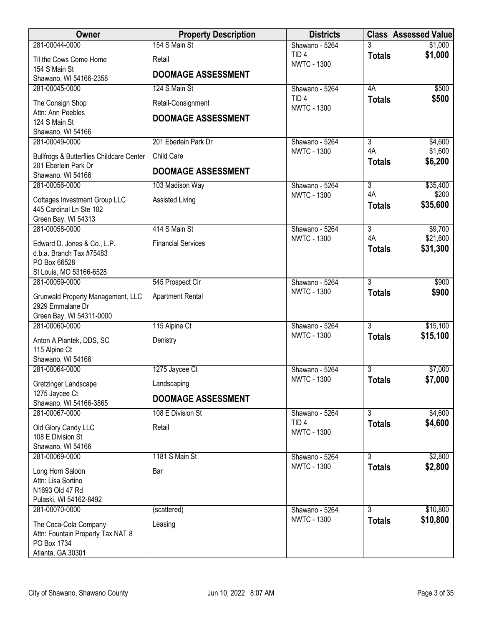| Owner                                                      | <b>Property Description</b> | <b>Districts</b>                       |                                 | <b>Class Assessed Value</b> |
|------------------------------------------------------------|-----------------------------|----------------------------------------|---------------------------------|-----------------------------|
| 281-00044-0000                                             | 154 S Main St               | Shawano - 5264                         | 3                               | \$1,000                     |
| Til the Cows Come Home                                     | Retail                      | TID <sub>4</sub><br><b>NWTC - 1300</b> | <b>Totals</b>                   | \$1,000                     |
| 154 S Main St                                              | <b>DOOMAGE ASSESSMENT</b>   |                                        |                                 |                             |
| Shawano, WI 54166-2358<br>281-00045-0000                   | 124 S Main St               | Shawano - 5264                         | 4A                              | \$500                       |
|                                                            |                             | TID <sub>4</sub>                       | <b>Totals</b>                   | \$500                       |
| The Consign Shop                                           | Retail-Consignment          | <b>NWTC - 1300</b>                     |                                 |                             |
| Attn: Ann Peebles<br>124 S Main St                         | <b>DOOMAGE ASSESSMENT</b>   |                                        |                                 |                             |
| Shawano, WI 54166                                          |                             |                                        |                                 |                             |
| 281-00049-0000                                             | 201 Eberlein Park Dr        | Shawano - 5264                         | 3                               | \$4,600                     |
| Bullfrogs & Butterflies Childcare Center                   | Child Care                  | <b>NWTC - 1300</b>                     | 4A                              | \$1,600                     |
| 201 Eberlein Park Dr                                       | <b>DOOMAGE ASSESSMENT</b>   |                                        | <b>Totals</b>                   | \$6,200                     |
| Shawano, WI 54166                                          |                             |                                        |                                 |                             |
| 281-00056-0000                                             | 103 Madison Way             | Shawano - 5264<br><b>NWTC - 1300</b>   | $\overline{3}$<br>4A            | \$35,400<br>\$200           |
| <b>Cottages Investment Group LLC</b>                       | Assisted Living             |                                        | <b>Totals</b>                   | \$35,600                    |
| 445 Cardinal Ln Ste 102<br>Green Bay, WI 54313             |                             |                                        |                                 |                             |
| 281-00058-0000                                             | 414 S Main St               | Shawano - 5264                         | $\overline{3}$                  | \$9,700                     |
| Edward D. Jones & Co., L.P.                                | <b>Financial Services</b>   | <b>NWTC - 1300</b>                     | 4A                              | \$21,600                    |
| d.b.a. Branch Tax #75483                                   |                             |                                        | <b>Totals</b>                   | \$31,300                    |
| PO Box 66528                                               |                             |                                        |                                 |                             |
| St Louis, MO 53166-6528                                    |                             |                                        |                                 |                             |
| 281-00059-0000                                             | 545 Prospect Cir            | Shawano - 5264<br><b>NWTC - 1300</b>   | $\overline{3}$<br><b>Totals</b> | \$900<br>\$900              |
| Grunwald Property Management, LLC                          | <b>Apartment Rental</b>     |                                        |                                 |                             |
| 2929 Emmalane Dr<br>Green Bay, WI 54311-0000               |                             |                                        |                                 |                             |
| 281-00060-0000                                             | 115 Alpine Ct               | Shawano - 5264                         | $\overline{3}$                  | \$15,100                    |
| Anton A Piantek, DDS, SC                                   | Denistry                    | <b>NWTC - 1300</b>                     | <b>Totals</b>                   | \$15,100                    |
| 115 Alpine Ct                                              |                             |                                        |                                 |                             |
| Shawano, WI 54166                                          |                             |                                        |                                 |                             |
| 281-00064-0000                                             | 1275 Jaycee Ct              | Shawano - 5264                         | 3                               | \$7,000                     |
| Gretzinger Landscape                                       | Landscaping                 | <b>NWTC - 1300</b>                     | <b>Totals</b>                   | \$7,000                     |
| 1275 Jaycee Ct<br>Shawano, WI 54166-3865                   | <b>DOOMAGE ASSESSMENT</b>   |                                        |                                 |                             |
| 281-00067-0000                                             | 108 E Division St           | Shawano - 5264                         | $\overline{3}$                  | \$4,600                     |
|                                                            |                             | TID <sub>4</sub>                       | <b>Totals</b>                   | \$4,600                     |
| Old Glory Candy LLC<br>108 E Division St                   | Retail                      | <b>NWTC - 1300</b>                     |                                 |                             |
| Shawano, WI 54166                                          |                             |                                        |                                 |                             |
| 281-00069-0000                                             | 1181 S Main St              | Shawano - 5264                         | $\overline{3}$                  | \$2,800                     |
| Long Horn Saloon                                           | Bar                         | <b>NWTC - 1300</b>                     | <b>Totals</b>                   | \$2,800                     |
| Attn: Lisa Sortino                                         |                             |                                        |                                 |                             |
| N1693 Old 47 Rd                                            |                             |                                        |                                 |                             |
| Pulaski, WI 54162-8492<br>281-00070-0000                   | (scattered)                 | Shawano - 5264                         | $\overline{3}$                  | \$10,800                    |
|                                                            |                             | <b>NWTC - 1300</b>                     | <b>Totals</b>                   | \$10,800                    |
| The Coca-Cola Company<br>Attn: Fountain Property Tax NAT 8 | Leasing                     |                                        |                                 |                             |
| PO Box 1734                                                |                             |                                        |                                 |                             |
| Atlanta, GA 30301                                          |                             |                                        |                                 |                             |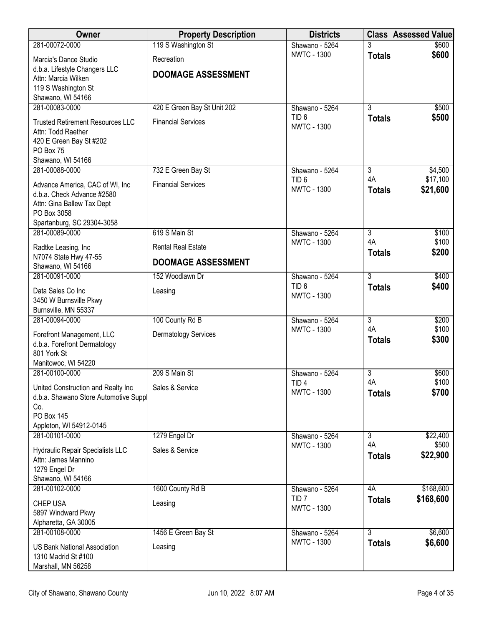| Owner                                       | <b>Property Description</b> | <b>Districts</b>                       |                | <b>Class Assessed Value</b> |
|---------------------------------------------|-----------------------------|----------------------------------------|----------------|-----------------------------|
| 281-00072-0000                              | 119 S Washington St         | Shawano - 5264                         |                | \$600                       |
| Marcia's Dance Studio                       | Recreation                  | <b>NWTC - 1300</b>                     | <b>Totals</b>  | \$600                       |
| d.b.a. Lifestyle Changers LLC               | <b>DOOMAGE ASSESSMENT</b>   |                                        |                |                             |
| Attn: Marcia Wilken                         |                             |                                        |                |                             |
| 119 S Washington St<br>Shawano, WI 54166    |                             |                                        |                |                             |
| 281-00083-0000                              | 420 E Green Bay St Unit 202 | Shawano - 5264                         | $\overline{3}$ | \$500                       |
| <b>Trusted Retirement Resources LLC</b>     | <b>Financial Services</b>   | TID <sub>6</sub>                       | <b>Totals</b>  | \$500                       |
| Attn: Todd Raether                          |                             | <b>NWTC - 1300</b>                     |                |                             |
| 420 E Green Bay St #202                     |                             |                                        |                |                             |
| PO Box 75                                   |                             |                                        |                |                             |
| Shawano, WI 54166                           |                             |                                        |                |                             |
| 281-00088-0000                              | 732 E Green Bay St          | Shawano - 5264                         | 3              | \$4,500                     |
| Advance America, CAC of WI, Inc             | <b>Financial Services</b>   | TID <sub>6</sub><br><b>NWTC - 1300</b> | 4A             | \$17,100                    |
| d.b.a. Check Advance #2580                  |                             |                                        | <b>Totals</b>  | \$21,600                    |
| Attn: Gina Ballew Tax Dept                  |                             |                                        |                |                             |
| PO Box 3058<br>Spartanburg, SC 29304-3058   |                             |                                        |                |                             |
| 281-00089-0000                              | 619 S Main St               | Shawano - 5264                         | $\overline{3}$ | \$100                       |
| Radtke Leasing, Inc                         | <b>Rental Real Estate</b>   | <b>NWTC - 1300</b>                     | 4A             | \$100                       |
| N7074 State Hwy 47-55                       | <b>DOOMAGE ASSESSMENT</b>   |                                        | <b>Totals</b>  | \$200                       |
| Shawano, WI 54166                           |                             |                                        |                |                             |
| 281-00091-0000                              | 152 Woodlawn Dr             | Shawano - 5264                         | $\overline{3}$ | \$400                       |
| Data Sales Co Inc                           | Leasing                     | TID <sub>6</sub><br><b>NWTC - 1300</b> | <b>Totals</b>  | \$400                       |
| 3450 W Burnsville Pkwy                      |                             |                                        |                |                             |
| Burnsville, MN 55337<br>281-00094-0000      | 100 County Rd B             | Shawano - 5264                         | $\overline{3}$ | \$200                       |
|                                             |                             | <b>NWTC - 1300</b>                     | 4A             | \$100                       |
| Forefront Management, LLC                   | <b>Dermatology Services</b> |                                        | <b>Totals</b>  | \$300                       |
| d.b.a. Forefront Dermatology<br>801 York St |                             |                                        |                |                             |
| Manitowoc, WI 54220                         |                             |                                        |                |                             |
| 281-00100-0000                              | 209 S Main St               | Shawano - 5264                         | $\overline{3}$ | \$600                       |
| United Construction and Realty Inc          | Sales & Service             | TID <sub>4</sub>                       | 4A             | \$100                       |
| d.b.a. Shawano Store Automotive Suppl       |                             | <b>NWTC - 1300</b>                     | <b>Totals</b>  | \$700                       |
| Co.                                         |                             |                                        |                |                             |
| <b>PO Box 145</b>                           |                             |                                        |                |                             |
| Appleton, WI 54912-0145                     |                             |                                        |                |                             |
| 281-00101-0000                              | 1279 Engel Dr               | Shawano - 5264<br><b>NWTC - 1300</b>   | 3<br>4A        | \$22,400<br>\$500           |
| Hydraulic Repair Specialists LLC            | Sales & Service             |                                        | <b>Totals</b>  | \$22,900                    |
| Attn: James Mannino                         |                             |                                        |                |                             |
| 1279 Engel Dr<br>Shawano, WI 54166          |                             |                                        |                |                             |
| 281-00102-0000                              | 1600 County Rd B            | Shawano - 5264                         | 4A             | \$168,600                   |
|                                             |                             | TID <sub>7</sub>                       | <b>Totals</b>  | \$168,600                   |
| CHEP USA<br>5897 Windward Pkwy              | Leasing                     | <b>NWTC - 1300</b>                     |                |                             |
| Alpharetta, GA 30005                        |                             |                                        |                |                             |
| 281-00108-0000                              | 1456 E Green Bay St         | Shawano - 5264                         | 3              | \$6,600                     |
| <b>US Bank National Association</b>         | Leasing                     | <b>NWTC - 1300</b>                     | <b>Totals</b>  | \$6,600                     |
| 1310 Madrid St #100                         |                             |                                        |                |                             |
| Marshall, MN 56258                          |                             |                                        |                |                             |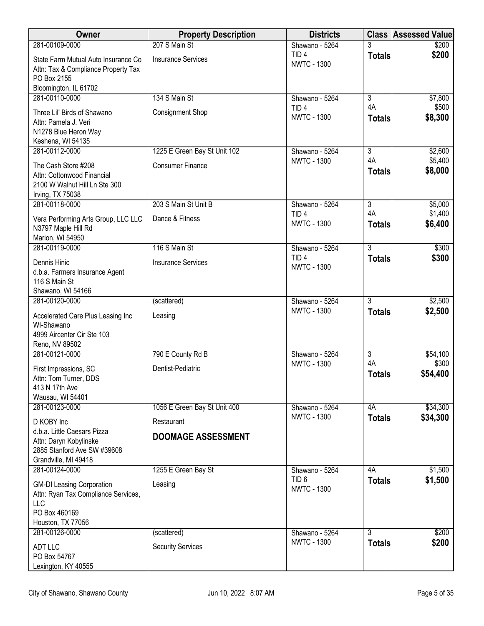| Owner                                                                                                                | <b>Property Description</b>  | <b>Districts</b>                       |                           | <b>Class Assessed Value</b> |
|----------------------------------------------------------------------------------------------------------------------|------------------------------|----------------------------------------|---------------------------|-----------------------------|
| 281-00109-0000                                                                                                       | 207 S Main St                | Shawano - 5264                         |                           | \$200                       |
| State Farm Mutual Auto Insurance Co<br>Attn: Tax & Compliance Property Tax<br>PO Box 2155                            | <b>Insurance Services</b>    | TID <sub>4</sub><br><b>NWTC - 1300</b> | <b>Totals</b>             | \$200                       |
| Bloomington, IL 61702                                                                                                |                              |                                        |                           |                             |
| 281-00110-0000                                                                                                       | 134 S Main St                | Shawano - 5264<br>TID <sub>4</sub>     | $\overline{3}$<br>4A      | \$7,800<br>\$500            |
| Three Lil' Birds of Shawano<br>Attn: Pamela J. Veri<br>N1278 Blue Heron Way<br>Keshena, WI 54135                     | <b>Consignment Shop</b>      | <b>NWTC - 1300</b>                     | <b>Totals</b>             | \$8,300                     |
| 281-00112-0000                                                                                                       | 1225 E Green Bay St Unit 102 | Shawano - 5264                         | $\overline{\overline{3}}$ | \$2,600                     |
| The Cash Store #208<br>Attn: Cottonwood Financial<br>2100 W Walnut Hill Ln Ste 300<br>Irving, TX 75038               | <b>Consumer Finance</b>      | <b>NWTC - 1300</b>                     | 4A<br><b>Totals</b>       | \$5,400<br>\$8,000          |
| 281-00118-0000                                                                                                       | 203 S Main St Unit B         | Shawano - 5264                         | $\overline{3}$            | \$5,000                     |
| Vera Performing Arts Group, LLC LLC<br>N3797 Maple Hill Rd<br>Marion, WI 54950                                       | Dance & Fitness              | TID <sub>4</sub><br><b>NWTC - 1300</b> | 4A<br><b>Totals</b>       | \$1,400<br>\$6,400          |
| 281-00119-0000                                                                                                       | 116 S Main St                | Shawano - 5264                         | $\overline{3}$            | \$300                       |
| Dennis Hinic<br>d.b.a. Farmers Insurance Agent<br>116 S Main St                                                      | <b>Insurance Services</b>    | TID <sub>4</sub><br><b>NWTC - 1300</b> | <b>Totals</b>             | \$300                       |
| Shawano, WI 54166<br>281-00120-0000                                                                                  |                              | Shawano - 5264                         | $\overline{3}$            | \$2,500                     |
|                                                                                                                      | (scattered)                  | <b>NWTC - 1300</b>                     | <b>Totals</b>             | \$2,500                     |
| Accelerated Care Plus Leasing Inc<br>WI-Shawano<br>4999 Aircenter Cir Ste 103<br>Reno, NV 89502                      | Leasing                      |                                        |                           |                             |
| 281-00121-0000                                                                                                       | 790 E County Rd B            | Shawano - 5264                         | $\overline{3}$            | \$54,100                    |
| First Impressions, SC<br>Attn: Tom Turner, DDS<br>413 N 17th Ave<br>Wausau, WI 54401                                 | Dentist-Pediatric            | <b>NWTC - 1300</b>                     | 4A<br><b>Totals</b>       | \$300<br>\$54,400           |
| 281-00123-0000                                                                                                       | 1056 E Green Bay St Unit 400 | Shawano - 5264                         | 4A                        | \$34,300                    |
| D KOBY Inc                                                                                                           | Restaurant                   | <b>NWTC - 1300</b>                     | <b>Totals</b>             | \$34,300                    |
| d.b.a. Little Caesars Pizza<br>Attn: Daryn Kobylinske<br>2885 Stanford Ave SW #39608<br>Grandville, MI 49418         | <b>DOOMAGE ASSESSMENT</b>    |                                        |                           |                             |
| 281-00124-0000                                                                                                       | 1255 E Green Bay St          | Shawano - 5264                         | 4A                        | \$1,500                     |
| <b>GM-DI Leasing Corporation</b><br>Attn: Ryan Tax Compliance Services,<br>LLC<br>PO Box 460169<br>Houston, TX 77056 | Leasing                      | TID <sub>6</sub><br><b>NWTC - 1300</b> | <b>Totals</b>             | \$1,500                     |
| 281-00126-0000                                                                                                       | (scattered)                  | Shawano - 5264                         | $\overline{3}$            | \$200                       |
| <b>ADT LLC</b><br>PO Box 54767<br>Lexington, KY 40555                                                                | <b>Security Services</b>     | <b>NWTC - 1300</b>                     | <b>Totals</b>             | \$200                       |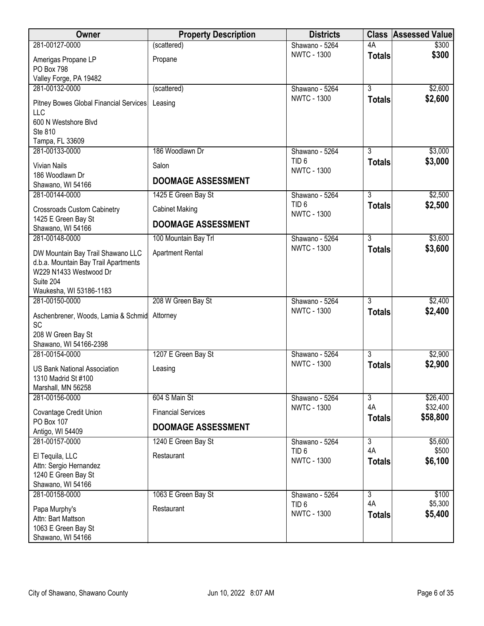| (scattered)<br>Shawano - 5264<br>\$300<br>\$300<br><b>NWTC - 1300</b><br><b>Totals</b><br>Amerigas Propane LP<br>Propane<br><b>PO Box 798</b><br>Valley Forge, PA 19482<br>281-00132-0000<br>$\overline{3}$<br>(scattered)<br>Shawano - 5264<br>\$2,600<br><b>NWTC - 1300</b><br>\$2,600<br><b>Totals</b><br>Leasing<br>Pitney Bowes Global Financial Services<br>LLC<br>600 N Westshore Blvd<br>Ste 810<br>Tampa, FL 33609<br>186 Woodlawn Dr<br>$\overline{3}$<br>\$3,000<br>281-00133-0000<br>Shawano - 5264<br>\$3,000<br>TID <sub>6</sub><br><b>Totals</b><br>Salon<br><b>Vivian Nails</b><br><b>NWTC - 1300</b><br>186 Woodlawn Dr<br><b>DOOMAGE ASSESSMENT</b><br>Shawano, WI 54166<br>$\overline{3}$<br>281-00144-0000<br>\$2,500<br>1425 E Green Bay St<br>Shawano - 5264<br>\$2,500<br>TID <sub>6</sub><br><b>Totals</b><br><b>Crossroads Custom Cabinetry</b><br><b>Cabinet Making</b><br><b>NWTC - 1300</b><br>1425 E Green Bay St<br><b>DOOMAGE ASSESSMENT</b><br>Shawano, WI 54166<br>$\overline{3}$<br>\$3,600<br>281-00148-0000<br>100 Mountain Bay Trl<br>Shawano - 5264<br><b>NWTC - 1300</b><br>\$3,600<br><b>Totals</b><br><b>Apartment Rental</b><br>DW Mountain Bay Trail Shawano LLC<br>d.b.a. Mountain Bay Trail Apartments<br>W229 N1433 Westwood Dr<br>Suite 204<br>Waukesha, WI 53186-1183<br>$\overline{3}$<br>\$2,400<br>281-00150-0000<br>208 W Green Bay St<br>Shawano - 5264<br><b>NWTC - 1300</b><br>\$2,400<br><b>Totals</b><br>Attorney<br>Aschenbrener, Woods, Lamia & Schmid<br>SC<br>208 W Green Bay St<br>Shawano, WI 54166-2398<br>$\overline{3}$<br>281-00154-0000<br>1207 E Green Bay St<br>Shawano - 5264<br>\$2,900<br><b>NWTC - 1300</b><br>\$2,900<br><b>Totals</b><br><b>US Bank National Association</b><br>Leasing<br>1310 Madrid St #100<br>Marshall, MN 56258<br>281-00156-0000<br>604 S Main St<br>$\overline{3}$<br>\$26,400<br>Shawano - 5264<br>4A<br>\$32,400<br><b>NWTC - 1300</b><br><b>Financial Services</b><br>Covantage Credit Union | Owner          | <b>Property Description</b> | <b>Districts</b> | <b>Class</b>  | <b>Assessed Value</b> |
|----------------------------------------------------------------------------------------------------------------------------------------------------------------------------------------------------------------------------------------------------------------------------------------------------------------------------------------------------------------------------------------------------------------------------------------------------------------------------------------------------------------------------------------------------------------------------------------------------------------------------------------------------------------------------------------------------------------------------------------------------------------------------------------------------------------------------------------------------------------------------------------------------------------------------------------------------------------------------------------------------------------------------------------------------------------------------------------------------------------------------------------------------------------------------------------------------------------------------------------------------------------------------------------------------------------------------------------------------------------------------------------------------------------------------------------------------------------------------------------------------------------------------------------------------------------------------------------------------------------------------------------------------------------------------------------------------------------------------------------------------------------------------------------------------------------------------------------------------------------------------------------------------------------------------------------------------------------------------------------------------|----------------|-----------------------------|------------------|---------------|-----------------------|
|                                                                                                                                                                                                                                                                                                                                                                                                                                                                                                                                                                                                                                                                                                                                                                                                                                                                                                                                                                                                                                                                                                                                                                                                                                                                                                                                                                                                                                                                                                                                                                                                                                                                                                                                                                                                                                                                                                                                                                                                    | 281-00127-0000 |                             |                  | 4A            |                       |
|                                                                                                                                                                                                                                                                                                                                                                                                                                                                                                                                                                                                                                                                                                                                                                                                                                                                                                                                                                                                                                                                                                                                                                                                                                                                                                                                                                                                                                                                                                                                                                                                                                                                                                                                                                                                                                                                                                                                                                                                    |                |                             |                  |               |                       |
|                                                                                                                                                                                                                                                                                                                                                                                                                                                                                                                                                                                                                                                                                                                                                                                                                                                                                                                                                                                                                                                                                                                                                                                                                                                                                                                                                                                                                                                                                                                                                                                                                                                                                                                                                                                                                                                                                                                                                                                                    |                |                             |                  |               |                       |
|                                                                                                                                                                                                                                                                                                                                                                                                                                                                                                                                                                                                                                                                                                                                                                                                                                                                                                                                                                                                                                                                                                                                                                                                                                                                                                                                                                                                                                                                                                                                                                                                                                                                                                                                                                                                                                                                                                                                                                                                    |                |                             |                  |               |                       |
|                                                                                                                                                                                                                                                                                                                                                                                                                                                                                                                                                                                                                                                                                                                                                                                                                                                                                                                                                                                                                                                                                                                                                                                                                                                                                                                                                                                                                                                                                                                                                                                                                                                                                                                                                                                                                                                                                                                                                                                                    |                |                             |                  |               |                       |
|                                                                                                                                                                                                                                                                                                                                                                                                                                                                                                                                                                                                                                                                                                                                                                                                                                                                                                                                                                                                                                                                                                                                                                                                                                                                                                                                                                                                                                                                                                                                                                                                                                                                                                                                                                                                                                                                                                                                                                                                    |                |                             |                  |               |                       |
|                                                                                                                                                                                                                                                                                                                                                                                                                                                                                                                                                                                                                                                                                                                                                                                                                                                                                                                                                                                                                                                                                                                                                                                                                                                                                                                                                                                                                                                                                                                                                                                                                                                                                                                                                                                                                                                                                                                                                                                                    |                |                             |                  |               |                       |
|                                                                                                                                                                                                                                                                                                                                                                                                                                                                                                                                                                                                                                                                                                                                                                                                                                                                                                                                                                                                                                                                                                                                                                                                                                                                                                                                                                                                                                                                                                                                                                                                                                                                                                                                                                                                                                                                                                                                                                                                    |                |                             |                  |               |                       |
|                                                                                                                                                                                                                                                                                                                                                                                                                                                                                                                                                                                                                                                                                                                                                                                                                                                                                                                                                                                                                                                                                                                                                                                                                                                                                                                                                                                                                                                                                                                                                                                                                                                                                                                                                                                                                                                                                                                                                                                                    |                |                             |                  |               |                       |
|                                                                                                                                                                                                                                                                                                                                                                                                                                                                                                                                                                                                                                                                                                                                                                                                                                                                                                                                                                                                                                                                                                                                                                                                                                                                                                                                                                                                                                                                                                                                                                                                                                                                                                                                                                                                                                                                                                                                                                                                    |                |                             |                  |               |                       |
|                                                                                                                                                                                                                                                                                                                                                                                                                                                                                                                                                                                                                                                                                                                                                                                                                                                                                                                                                                                                                                                                                                                                                                                                                                                                                                                                                                                                                                                                                                                                                                                                                                                                                                                                                                                                                                                                                                                                                                                                    |                |                             |                  |               |                       |
|                                                                                                                                                                                                                                                                                                                                                                                                                                                                                                                                                                                                                                                                                                                                                                                                                                                                                                                                                                                                                                                                                                                                                                                                                                                                                                                                                                                                                                                                                                                                                                                                                                                                                                                                                                                                                                                                                                                                                                                                    |                |                             |                  |               |                       |
|                                                                                                                                                                                                                                                                                                                                                                                                                                                                                                                                                                                                                                                                                                                                                                                                                                                                                                                                                                                                                                                                                                                                                                                                                                                                                                                                                                                                                                                                                                                                                                                                                                                                                                                                                                                                                                                                                                                                                                                                    |                |                             |                  |               |                       |
|                                                                                                                                                                                                                                                                                                                                                                                                                                                                                                                                                                                                                                                                                                                                                                                                                                                                                                                                                                                                                                                                                                                                                                                                                                                                                                                                                                                                                                                                                                                                                                                                                                                                                                                                                                                                                                                                                                                                                                                                    |                |                             |                  |               |                       |
|                                                                                                                                                                                                                                                                                                                                                                                                                                                                                                                                                                                                                                                                                                                                                                                                                                                                                                                                                                                                                                                                                                                                                                                                                                                                                                                                                                                                                                                                                                                                                                                                                                                                                                                                                                                                                                                                                                                                                                                                    |                |                             |                  |               |                       |
|                                                                                                                                                                                                                                                                                                                                                                                                                                                                                                                                                                                                                                                                                                                                                                                                                                                                                                                                                                                                                                                                                                                                                                                                                                                                                                                                                                                                                                                                                                                                                                                                                                                                                                                                                                                                                                                                                                                                                                                                    |                |                             |                  |               |                       |
|                                                                                                                                                                                                                                                                                                                                                                                                                                                                                                                                                                                                                                                                                                                                                                                                                                                                                                                                                                                                                                                                                                                                                                                                                                                                                                                                                                                                                                                                                                                                                                                                                                                                                                                                                                                                                                                                                                                                                                                                    |                |                             |                  |               |                       |
|                                                                                                                                                                                                                                                                                                                                                                                                                                                                                                                                                                                                                                                                                                                                                                                                                                                                                                                                                                                                                                                                                                                                                                                                                                                                                                                                                                                                                                                                                                                                                                                                                                                                                                                                                                                                                                                                                                                                                                                                    |                |                             |                  |               |                       |
|                                                                                                                                                                                                                                                                                                                                                                                                                                                                                                                                                                                                                                                                                                                                                                                                                                                                                                                                                                                                                                                                                                                                                                                                                                                                                                                                                                                                                                                                                                                                                                                                                                                                                                                                                                                                                                                                                                                                                                                                    |                |                             |                  |               |                       |
|                                                                                                                                                                                                                                                                                                                                                                                                                                                                                                                                                                                                                                                                                                                                                                                                                                                                                                                                                                                                                                                                                                                                                                                                                                                                                                                                                                                                                                                                                                                                                                                                                                                                                                                                                                                                                                                                                                                                                                                                    |                |                             |                  |               |                       |
|                                                                                                                                                                                                                                                                                                                                                                                                                                                                                                                                                                                                                                                                                                                                                                                                                                                                                                                                                                                                                                                                                                                                                                                                                                                                                                                                                                                                                                                                                                                                                                                                                                                                                                                                                                                                                                                                                                                                                                                                    |                |                             |                  |               |                       |
|                                                                                                                                                                                                                                                                                                                                                                                                                                                                                                                                                                                                                                                                                                                                                                                                                                                                                                                                                                                                                                                                                                                                                                                                                                                                                                                                                                                                                                                                                                                                                                                                                                                                                                                                                                                                                                                                                                                                                                                                    |                |                             |                  |               |                       |
|                                                                                                                                                                                                                                                                                                                                                                                                                                                                                                                                                                                                                                                                                                                                                                                                                                                                                                                                                                                                                                                                                                                                                                                                                                                                                                                                                                                                                                                                                                                                                                                                                                                                                                                                                                                                                                                                                                                                                                                                    |                |                             |                  |               |                       |
|                                                                                                                                                                                                                                                                                                                                                                                                                                                                                                                                                                                                                                                                                                                                                                                                                                                                                                                                                                                                                                                                                                                                                                                                                                                                                                                                                                                                                                                                                                                                                                                                                                                                                                                                                                                                                                                                                                                                                                                                    |                |                             |                  |               |                       |
|                                                                                                                                                                                                                                                                                                                                                                                                                                                                                                                                                                                                                                                                                                                                                                                                                                                                                                                                                                                                                                                                                                                                                                                                                                                                                                                                                                                                                                                                                                                                                                                                                                                                                                                                                                                                                                                                                                                                                                                                    |                |                             |                  |               |                       |
|                                                                                                                                                                                                                                                                                                                                                                                                                                                                                                                                                                                                                                                                                                                                                                                                                                                                                                                                                                                                                                                                                                                                                                                                                                                                                                                                                                                                                                                                                                                                                                                                                                                                                                                                                                                                                                                                                                                                                                                                    |                |                             |                  |               |                       |
|                                                                                                                                                                                                                                                                                                                                                                                                                                                                                                                                                                                                                                                                                                                                                                                                                                                                                                                                                                                                                                                                                                                                                                                                                                                                                                                                                                                                                                                                                                                                                                                                                                                                                                                                                                                                                                                                                                                                                                                                    |                |                             |                  |               |                       |
|                                                                                                                                                                                                                                                                                                                                                                                                                                                                                                                                                                                                                                                                                                                                                                                                                                                                                                                                                                                                                                                                                                                                                                                                                                                                                                                                                                                                                                                                                                                                                                                                                                                                                                                                                                                                                                                                                                                                                                                                    |                |                             |                  |               |                       |
|                                                                                                                                                                                                                                                                                                                                                                                                                                                                                                                                                                                                                                                                                                                                                                                                                                                                                                                                                                                                                                                                                                                                                                                                                                                                                                                                                                                                                                                                                                                                                                                                                                                                                                                                                                                                                                                                                                                                                                                                    |                |                             |                  |               |                       |
|                                                                                                                                                                                                                                                                                                                                                                                                                                                                                                                                                                                                                                                                                                                                                                                                                                                                                                                                                                                                                                                                                                                                                                                                                                                                                                                                                                                                                                                                                                                                                                                                                                                                                                                                                                                                                                                                                                                                                                                                    |                |                             |                  |               |                       |
|                                                                                                                                                                                                                                                                                                                                                                                                                                                                                                                                                                                                                                                                                                                                                                                                                                                                                                                                                                                                                                                                                                                                                                                                                                                                                                                                                                                                                                                                                                                                                                                                                                                                                                                                                                                                                                                                                                                                                                                                    |                |                             |                  | <b>Totals</b> | \$58,800              |
| PO Box 107<br><b>DOOMAGE ASSESSMENT</b>                                                                                                                                                                                                                                                                                                                                                                                                                                                                                                                                                                                                                                                                                                                                                                                                                                                                                                                                                                                                                                                                                                                                                                                                                                                                                                                                                                                                                                                                                                                                                                                                                                                                                                                                                                                                                                                                                                                                                            |                |                             |                  |               |                       |
| Antigo, WI 54409<br>281-00157-0000<br>$\overline{3}$<br>\$5,600<br>1240 E Green Bay St<br>Shawano - 5264                                                                                                                                                                                                                                                                                                                                                                                                                                                                                                                                                                                                                                                                                                                                                                                                                                                                                                                                                                                                                                                                                                                                                                                                                                                                                                                                                                                                                                                                                                                                                                                                                                                                                                                                                                                                                                                                                           |                |                             |                  |               |                       |
| 4A<br>\$500<br>TID <sub>6</sub>                                                                                                                                                                                                                                                                                                                                                                                                                                                                                                                                                                                                                                                                                                                                                                                                                                                                                                                                                                                                                                                                                                                                                                                                                                                                                                                                                                                                                                                                                                                                                                                                                                                                                                                                                                                                                                                                                                                                                                    |                |                             |                  |               |                       |
| Restaurant<br>El Tequila, LLC<br>\$6,100<br><b>NWTC - 1300</b><br><b>Totals</b><br>Attn: Sergio Hernandez                                                                                                                                                                                                                                                                                                                                                                                                                                                                                                                                                                                                                                                                                                                                                                                                                                                                                                                                                                                                                                                                                                                                                                                                                                                                                                                                                                                                                                                                                                                                                                                                                                                                                                                                                                                                                                                                                          |                |                             |                  |               |                       |
| 1240 E Green Bay St                                                                                                                                                                                                                                                                                                                                                                                                                                                                                                                                                                                                                                                                                                                                                                                                                                                                                                                                                                                                                                                                                                                                                                                                                                                                                                                                                                                                                                                                                                                                                                                                                                                                                                                                                                                                                                                                                                                                                                                |                |                             |                  |               |                       |
| Shawano, WI 54166                                                                                                                                                                                                                                                                                                                                                                                                                                                                                                                                                                                                                                                                                                                                                                                                                                                                                                                                                                                                                                                                                                                                                                                                                                                                                                                                                                                                                                                                                                                                                                                                                                                                                                                                                                                                                                                                                                                                                                                  |                |                             |                  |               |                       |
| 1063 E Green Bay St<br>281-00158-0000<br>$\overline{3}$<br>\$100<br>Shawano - 5264                                                                                                                                                                                                                                                                                                                                                                                                                                                                                                                                                                                                                                                                                                                                                                                                                                                                                                                                                                                                                                                                                                                                                                                                                                                                                                                                                                                                                                                                                                                                                                                                                                                                                                                                                                                                                                                                                                                 |                |                             |                  |               |                       |
| 4A<br>\$5,300<br>TID <sub>6</sub><br>Papa Murphy's<br>Restaurant<br><b>NWTC - 1300</b><br>\$5,400<br><b>Totals</b>                                                                                                                                                                                                                                                                                                                                                                                                                                                                                                                                                                                                                                                                                                                                                                                                                                                                                                                                                                                                                                                                                                                                                                                                                                                                                                                                                                                                                                                                                                                                                                                                                                                                                                                                                                                                                                                                                 |                |                             |                  |               |                       |
| Attn: Bart Mattson                                                                                                                                                                                                                                                                                                                                                                                                                                                                                                                                                                                                                                                                                                                                                                                                                                                                                                                                                                                                                                                                                                                                                                                                                                                                                                                                                                                                                                                                                                                                                                                                                                                                                                                                                                                                                                                                                                                                                                                 |                |                             |                  |               |                       |
| 1063 E Green Bay St<br>Shawano, WI 54166                                                                                                                                                                                                                                                                                                                                                                                                                                                                                                                                                                                                                                                                                                                                                                                                                                                                                                                                                                                                                                                                                                                                                                                                                                                                                                                                                                                                                                                                                                                                                                                                                                                                                                                                                                                                                                                                                                                                                           |                |                             |                  |               |                       |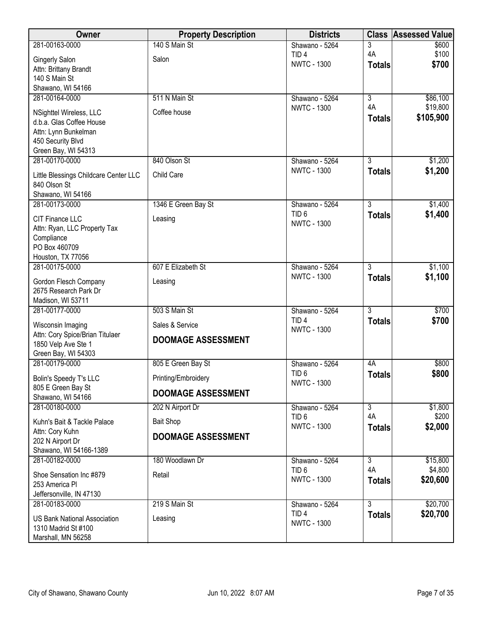| Owner                                                      | <b>Property Description</b> | <b>Districts</b>                       | <b>Class</b>              | <b>Assessed Value</b> |
|------------------------------------------------------------|-----------------------------|----------------------------------------|---------------------------|-----------------------|
| 281-00163-0000                                             | 140 S Main St               | Shawano - 5264                         | 3                         | \$600                 |
| <b>Gingerly Salon</b>                                      | Salon                       | TID <sub>4</sub><br><b>NWTC - 1300</b> | 4A<br><b>Totals</b>       | \$100<br>\$700        |
| Attn: Brittany Brandt                                      |                             |                                        |                           |                       |
| 140 S Main St<br>Shawano, WI 54166                         |                             |                                        |                           |                       |
| 281-00164-0000                                             | 511 N Main St               | Shawano - 5264                         | $\overline{3}$            | \$86,100              |
| NSighttel Wireless, LLC                                    | Coffee house                | <b>NWTC - 1300</b>                     | 4A                        | \$19,800              |
| d.b.a. Glas Coffee House                                   |                             |                                        | <b>Totals</b>             | \$105,900             |
| Attn: Lynn Bunkelman                                       |                             |                                        |                           |                       |
| 450 Security Blvd                                          |                             |                                        |                           |                       |
| Green Bay, WI 54313<br>281-00170-0000                      | 840 Olson St                | Shawano - 5264                         | $\overline{3}$            | \$1,200               |
|                                                            |                             | <b>NWTC - 1300</b>                     | <b>Totals</b>             | \$1,200               |
| Little Blessings Childcare Center LLC                      | Child Care                  |                                        |                           |                       |
| 840 Olson St<br>Shawano, WI 54166                          |                             |                                        |                           |                       |
| 281-00173-0000                                             | 1346 E Green Bay St         | Shawano - 5264                         | $\overline{3}$            | \$1,400               |
| <b>CIT Finance LLC</b>                                     | Leasing                     | TID <sub>6</sub>                       | <b>Totals</b>             | \$1,400               |
| Attn: Ryan, LLC Property Tax                               |                             | <b>NWTC - 1300</b>                     |                           |                       |
| Compliance                                                 |                             |                                        |                           |                       |
| PO Box 460709                                              |                             |                                        |                           |                       |
| Houston, TX 77056<br>281-00175-0000                        | 607 E Elizabeth St          | Shawano - 5264                         | $\overline{3}$            | \$1,100               |
|                                                            |                             | <b>NWTC - 1300</b>                     | <b>Totals</b>             | \$1,100               |
| Gordon Flesch Company<br>2675 Research Park Dr             | Leasing                     |                                        |                           |                       |
| Madison, WI 53711                                          |                             |                                        |                           |                       |
| 281-00177-0000                                             | 503 S Main St               | Shawano - 5264                         | $\overline{3}$            | \$700                 |
| Wisconsin Imaging                                          | Sales & Service             | TID <sub>4</sub><br><b>NWTC - 1300</b> | <b>Totals</b>             | \$700                 |
| Attn: Cory Spice/Brian Titulaer                            | <b>DOOMAGE ASSESSMENT</b>   |                                        |                           |                       |
| 1850 Velp Ave Ste 1<br>Green Bay, WI 54303                 |                             |                                        |                           |                       |
| 281-00179-0000                                             | 805 E Green Bay St          | Shawano - 5264                         | 4A                        | \$800                 |
| Bolin's Speedy T's LLC                                     | Printing/Embroidery         | TID <sub>6</sub>                       | <b>Totals</b>             | \$800                 |
| 805 E Green Bay St                                         | <b>DOOMAGE ASSESSMENT</b>   | <b>NWTC - 1300</b>                     |                           |                       |
| Shawano, WI 54166<br>281-00180-0000                        | 202 N Airport Dr            | Shawano - 5264                         | $\overline{\overline{3}}$ | \$1,800               |
| Kuhn's Bait & Tackle Palace                                | <b>Bait Shop</b>            | TID <sub>6</sub>                       | 4A                        | \$200                 |
| Attn: Cory Kuhn                                            |                             | <b>NWTC - 1300</b>                     | <b>Totals</b>             | \$2,000               |
| 202 N Airport Dr                                           | <b>DOOMAGE ASSESSMENT</b>   |                                        |                           |                       |
| Shawano, WI 54166-1389                                     |                             |                                        |                           |                       |
| 281-00182-0000                                             | 180 Woodlawn Dr             | Shawano - 5264<br>TID <sub>6</sub>     | $\overline{3}$<br>4A      | \$15,800<br>\$4,800   |
| Shoe Sensation Inc #879                                    | Retail                      | <b>NWTC - 1300</b>                     | <b>Totals</b>             | \$20,600              |
| 253 America PI<br>Jeffersonville, IN 47130                 |                             |                                        |                           |                       |
| 281-00183-0000                                             | 219 S Main St               | Shawano - 5264                         | $\overline{3}$            | \$20,700              |
|                                                            |                             | TID <sub>4</sub>                       | <b>Totals</b>             | \$20,700              |
| <b>US Bank National Association</b><br>1310 Madrid St #100 | Leasing                     | <b>NWTC - 1300</b>                     |                           |                       |
| Marshall, MN 56258                                         |                             |                                        |                           |                       |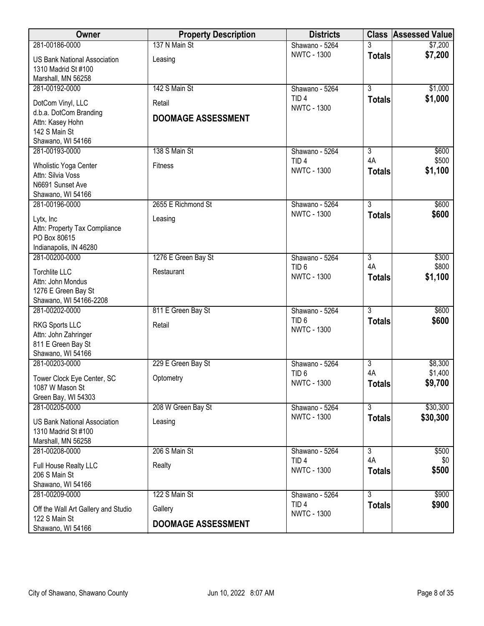| Owner                                                                            | <b>Property Description</b>         | <b>Districts</b>                       |                                 | <b>Class Assessed Value</b> |
|----------------------------------------------------------------------------------|-------------------------------------|----------------------------------------|---------------------------------|-----------------------------|
| 281-00186-0000                                                                   | 137 N Main St                       | Shawano - 5264                         |                                 | \$7,200                     |
| <b>US Bank National Association</b><br>1310 Madrid St #100<br>Marshall, MN 56258 | Leasing                             | <b>NWTC - 1300</b>                     | <b>Totals</b>                   | \$7,200                     |
| 281-00192-0000                                                                   | 142 S Main St                       | Shawano - 5264                         | $\overline{3}$                  | \$1,000                     |
| DotCom Vinyl, LLC<br>d.b.a. DotCom Branding<br>Attn: Kasey Hohn                  | Retail<br><b>DOOMAGE ASSESSMENT</b> | TID <sub>4</sub><br><b>NWTC - 1300</b> | <b>Totals</b>                   | \$1,000                     |
| 142 S Main St                                                                    |                                     |                                        |                                 |                             |
| Shawano, WI 54166                                                                |                                     |                                        |                                 |                             |
| 281-00193-0000                                                                   | 138 S Main St                       | Shawano - 5264                         | $\overline{3}$<br>4A            | \$600                       |
| Wholistic Yoga Center<br>Attn: Silvia Voss<br>N6691 Sunset Ave                   | Fitness                             | TID <sub>4</sub><br><b>NWTC - 1300</b> | <b>Totals</b>                   | \$500<br>\$1,100            |
| Shawano, WI 54166                                                                |                                     |                                        |                                 |                             |
| 281-00196-0000                                                                   | 2655 E Richmond St                  | Shawano - 5264<br><b>NWTC - 1300</b>   | $\overline{3}$<br><b>Totals</b> | \$600<br>\$600              |
| Lytx, Inc<br>Attn: Property Tax Compliance<br>PO Box 80615                       | Leasing                             |                                        |                                 |                             |
| Indianapolis, IN 46280<br>281-00200-0000                                         | 1276 E Green Bay St                 | Shawano - 5264                         | $\overline{3}$                  | \$300                       |
| Torchlite LLC                                                                    | Restaurant                          | TID <sub>6</sub><br><b>NWTC - 1300</b> | 4A<br><b>Totals</b>             | \$800<br>\$1,100            |
| Attn: John Mondus                                                                |                                     |                                        |                                 |                             |
| 1276 E Green Bay St<br>Shawano, WI 54166-2208                                    |                                     |                                        |                                 |                             |
| 281-00202-0000                                                                   | 811 E Green Bay St                  | Shawano - 5264                         | $\overline{3}$                  | \$600                       |
| <b>RKG Sports LLC</b><br>Attn: John Zahringer                                    | Retail                              | TID <sub>6</sub><br><b>NWTC - 1300</b> | <b>Totals</b>                   | \$600                       |
| 811 E Green Bay St                                                               |                                     |                                        |                                 |                             |
| Shawano, WI 54166                                                                |                                     |                                        |                                 |                             |
| 281-00203-0000                                                                   | 229 E Green Bay St                  | Shawano - 5264<br>TID <sub>6</sub>     | $\overline{3}$<br>4A            | \$8,300<br>\$1,400          |
| Tower Clock Eye Center, SC<br>1087 W Mason St                                    | Optometry                           | <b>NWTC - 1300</b>                     | <b>Totals</b>                   | \$9,700                     |
| Green Bay, WI 54303<br>281-00205-0000                                            | 208 W Green Bay St                  | Shawano - 5264                         | $\overline{\overline{3}}$       | \$30,300                    |
|                                                                                  |                                     | <b>NWTC - 1300</b>                     | <b>Totals</b>                   | \$30,300                    |
| <b>US Bank National Association</b><br>1310 Madrid St #100<br>Marshall, MN 56258 | Leasing                             |                                        |                                 |                             |
| 281-00208-0000                                                                   | 206 S Main St                       | Shawano - 5264                         | $\overline{3}$                  | \$500                       |
| Full House Realty LLC<br>206 S Main St<br>Shawano, WI 54166                      | Realty                              | TID <sub>4</sub><br><b>NWTC - 1300</b> | 4A<br><b>Totals</b>             | \$0<br>\$500                |
| 281-00209-0000                                                                   | 122 S Main St                       | Shawano - 5264                         | $\overline{3}$                  | \$900                       |
| Off the Wall Art Gallery and Studio<br>122 S Main St                             | Gallery                             | TID <sub>4</sub><br><b>NWTC - 1300</b> | <b>Totals</b>                   | \$900                       |
| Shawano, WI 54166                                                                | <b>DOOMAGE ASSESSMENT</b>           |                                        |                                 |                             |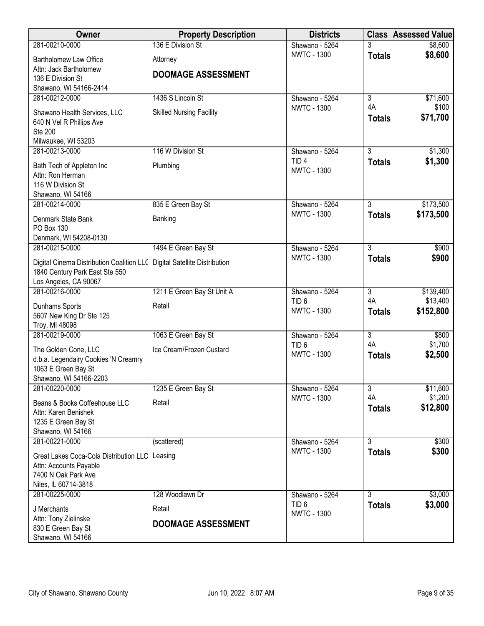| Owner                                     | <b>Property Description</b>     | <b>Districts</b>                       |                      | <b>Class Assessed Value</b> |
|-------------------------------------------|---------------------------------|----------------------------------------|----------------------|-----------------------------|
| 281-00210-0000                            | 136 E Division St               | Shawano - 5264                         | 3                    | \$8,600                     |
| Bartholomew Law Office                    | Attorney                        | <b>NWTC - 1300</b>                     | <b>Totals</b>        | \$8,600                     |
| Attn: Jack Bartholomew                    | <b>DOOMAGE ASSESSMENT</b>       |                                        |                      |                             |
| 136 E Division St                         |                                 |                                        |                      |                             |
| Shawano, WI 54166-2414                    |                                 |                                        |                      |                             |
| 281-00212-0000                            | 1436 S Lincoln St               | Shawano - 5264                         | $\overline{3}$<br>4A | \$71,600                    |
| Shawano Health Services, LLC              | <b>Skilled Nursing Facility</b> | <b>NWTC - 1300</b>                     |                      | \$100<br>\$71,700           |
| 640 N Vel R Phillips Ave                  |                                 |                                        | <b>Totals</b>        |                             |
| Ste 200                                   |                                 |                                        |                      |                             |
| Milwaukee, WI 53203                       |                                 |                                        |                      |                             |
| 281-00213-0000                            | 116 W Division St               | Shawano - 5264                         | $\overline{3}$       | \$1,300                     |
| Bath Tech of Appleton Inc                 | Plumbing                        | TID <sub>4</sub><br><b>NWTC - 1300</b> | <b>Totals</b>        | \$1,300                     |
| Attn: Ron Herman                          |                                 |                                        |                      |                             |
| 116 W Division St                         |                                 |                                        |                      |                             |
| Shawano, WI 54166                         |                                 |                                        |                      |                             |
| 281-00214-0000                            | 835 E Green Bay St              | Shawano - 5264<br><b>NWTC - 1300</b>   | $\overline{3}$       | \$173,500                   |
| Denmark State Bank                        | Banking                         |                                        | <b>Totals</b>        | \$173,500                   |
| PO Box 130                                |                                 |                                        |                      |                             |
| Denmark, WI 54208-0130                    |                                 |                                        |                      |                             |
| 281-00215-0000                            | 1494 E Green Bay St             | Shawano - 5264                         | $\overline{3}$       | \$900                       |
| Digital Cinema Distribution Coalition LLO | Digital Satellite Distribution  | <b>NWTC - 1300</b>                     | <b>Totals</b>        | \$900                       |
| 1840 Century Park East Ste 550            |                                 |                                        |                      |                             |
| Los Angeles, CA 90067                     |                                 |                                        |                      |                             |
| 281-00216-0000                            | 1211 E Green Bay St Unit A      | Shawano - 5264                         | $\overline{3}$       | \$139,400                   |
| Dunhams Sports                            | Retail                          | TID <sub>6</sub><br><b>NWTC - 1300</b> | 4A                   | \$13,400                    |
| 5607 New King Dr Ste 125                  |                                 |                                        | <b>Totals</b>        | \$152,800                   |
| Troy, MI 48098                            |                                 |                                        |                      |                             |
| 281-00219-0000                            | 1063 E Green Bay St             | Shawano - 5264                         | $\overline{3}$       | \$800                       |
| The Golden Cone, LLC                      | Ice Cream/Frozen Custard        | TID <sub>6</sub><br><b>NWTC - 1300</b> | 4A                   | \$1,700                     |
| d.b.a. Legendairy Cookies 'N Creamry      |                                 |                                        | <b>Totals</b>        | \$2,500                     |
| 1063 E Green Bay St                       |                                 |                                        |                      |                             |
| Shawano, WI 54166-2203                    |                                 |                                        |                      |                             |
| 281-00220-0000                            | 1235 E Green Bay St             | Shawano - 5264<br><b>NWTC - 1300</b>   | 3<br>4A              | \$11,600<br>\$1,200         |
| Beans & Books Coffeehouse LLC             | Retail                          |                                        | <b>Totals</b>        | \$12,800                    |
| Attn: Karen Benishek                      |                                 |                                        |                      |                             |
| 1235 E Green Bay St                       |                                 |                                        |                      |                             |
| Shawano, WI 54166                         |                                 |                                        |                      |                             |
| 281-00221-0000                            | (scattered)                     | Shawano - 5264<br><b>NWTC - 1300</b>   | $\overline{3}$       | \$300                       |
| Great Lakes Coca-Cola Distribution LLC    | Leasing                         |                                        | <b>Totals</b>        | \$300                       |
| Attn: Accounts Payable                    |                                 |                                        |                      |                             |
| 7400 N Oak Park Ave                       |                                 |                                        |                      |                             |
| Niles, IL 60714-3818<br>281-00225-0000    | 128 Woodlawn Dr                 | Shawano - 5264                         | 3                    | \$3,000                     |
|                                           |                                 | TID <sub>6</sub>                       | <b>Totals</b>        | \$3,000                     |
| J Merchants                               | Retail                          | <b>NWTC - 1300</b>                     |                      |                             |
| Attn: Tony Zielinske                      | <b>DOOMAGE ASSESSMENT</b>       |                                        |                      |                             |
| 830 E Green Bay St<br>Shawano, WI 54166   |                                 |                                        |                      |                             |
|                                           |                                 |                                        |                      |                             |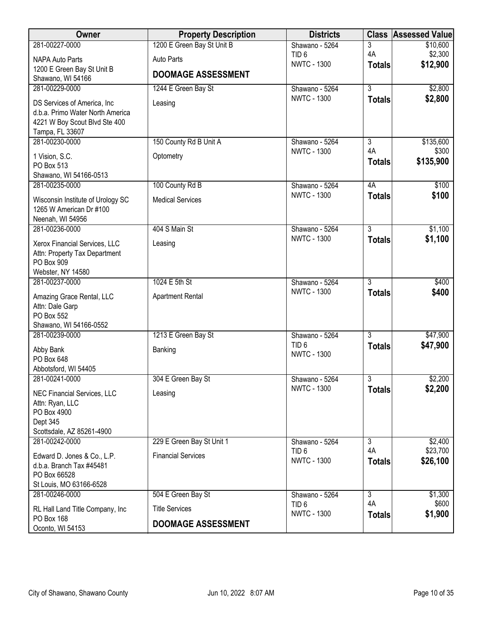| Owner                                                            | <b>Property Description</b> | <b>Districts</b>                       | <b>Class</b>         | <b>Assessed Value</b> |
|------------------------------------------------------------------|-----------------------------|----------------------------------------|----------------------|-----------------------|
| 281-00227-0000                                                   | 1200 E Green Bay St Unit B  | Shawano - 5264                         | 3                    | \$10,600              |
| <b>NAPA Auto Parts</b>                                           | <b>Auto Parts</b>           | TID <sub>6</sub><br><b>NWTC - 1300</b> | 4A                   | \$2,300<br>\$12,900   |
| 1200 E Green Bay St Unit B                                       | <b>DOOMAGE ASSESSMENT</b>   |                                        | <b>Totals</b>        |                       |
| Shawano, WI 54166<br>281-00229-0000                              | 1244 E Green Bay St         | Shawano - 5264                         | $\overline{3}$       | \$2,800               |
|                                                                  |                             | <b>NWTC - 1300</b>                     | <b>Totals</b>        | \$2,800               |
| DS Services of America, Inc.<br>d.b.a. Primo Water North America | Leasing                     |                                        |                      |                       |
| 4221 W Boy Scout Blvd Ste 400                                    |                             |                                        |                      |                       |
| Tampa, FL 33607                                                  |                             |                                        |                      |                       |
| 281-00230-0000                                                   | 150 County Rd B Unit A      | Shawano - 5264                         | 3                    | \$135,600             |
| 1 Vision, S.C.                                                   | Optometry                   | <b>NWTC - 1300</b>                     | 4A                   | \$300                 |
| PO Box 513                                                       |                             |                                        | <b>Totals</b>        | \$135,900             |
| Shawano, WI 54166-0513                                           |                             |                                        |                      |                       |
| 281-00235-0000                                                   | 100 County Rd B             | Shawano - 5264<br><b>NWTC - 1300</b>   | 4A                   | \$100<br>\$100        |
| Wisconsin Institute of Urology SC                                | <b>Medical Services</b>     |                                        | <b>Totals</b>        |                       |
| 1265 W American Dr #100<br>Neenah, WI 54956                      |                             |                                        |                      |                       |
| 281-00236-0000                                                   | 404 S Main St               | Shawano - 5264                         | $\overline{3}$       | \$1,100               |
|                                                                  |                             | <b>NWTC - 1300</b>                     | <b>Totals</b>        | \$1,100               |
| Xerox Financial Services, LLC<br>Attn: Property Tax Department   | Leasing                     |                                        |                      |                       |
| PO Box 909                                                       |                             |                                        |                      |                       |
| Webster, NY 14580                                                |                             |                                        |                      |                       |
| 281-00237-0000                                                   | 1024 E 5th St               | Shawano - 5264                         | $\overline{3}$       | \$400                 |
| Amazing Grace Rental, LLC                                        | <b>Apartment Rental</b>     | <b>NWTC - 1300</b>                     | <b>Totals</b>        | \$400                 |
| Attn: Dale Garp                                                  |                             |                                        |                      |                       |
| PO Box 552<br>Shawano, WI 54166-0552                             |                             |                                        |                      |                       |
| 281-00239-0000                                                   | 1213 E Green Bay St         | Shawano - 5264                         | $\overline{3}$       | \$47,900              |
|                                                                  | Banking                     | TID <sub>6</sub>                       | <b>Totals</b>        | \$47,900              |
| Abby Bank<br>PO Box 648                                          |                             | <b>NWTC - 1300</b>                     |                      |                       |
| Abbotsford, WI 54405                                             |                             |                                        |                      |                       |
| 281-00241-0000                                                   | 304 E Green Bay St          | Shawano - 5264                         | $\overline{3}$       | \$2,200               |
| NEC Financial Services, LLC                                      | Leasing                     | <b>NWTC - 1300</b>                     | <b>Totals</b>        | \$2,200               |
| Attn: Ryan, LLC                                                  |                             |                                        |                      |                       |
| PO Box 4900                                                      |                             |                                        |                      |                       |
| Dept 345<br>Scottsdale, AZ 85261-4900                            |                             |                                        |                      |                       |
| 281-00242-0000                                                   | 229 E Green Bay St Unit 1   | Shawano - 5264                         | 3                    | \$2,400               |
| Edward D. Jones & Co., L.P.                                      | <b>Financial Services</b>   | TID <sub>6</sub>                       | 4A                   | \$23,700              |
| d.b.a. Branch Tax #45481                                         |                             | <b>NWTC - 1300</b>                     | <b>Totals</b>        | \$26,100              |
| PO Box 66528                                                     |                             |                                        |                      |                       |
| St Louis, MO 63166-6528                                          |                             |                                        |                      |                       |
| 281-00246-0000                                                   | 504 E Green Bay St          | Shawano - 5264<br>TID <sub>6</sub>     | $\overline{3}$<br>4A | \$1,300<br>\$600      |
| RL Hall Land Title Company, Inc                                  | <b>Title Services</b>       | <b>NWTC - 1300</b>                     | <b>Totals</b>        | \$1,900               |
| PO Box 168<br>Oconto, WI 54153                                   | <b>DOOMAGE ASSESSMENT</b>   |                                        |                      |                       |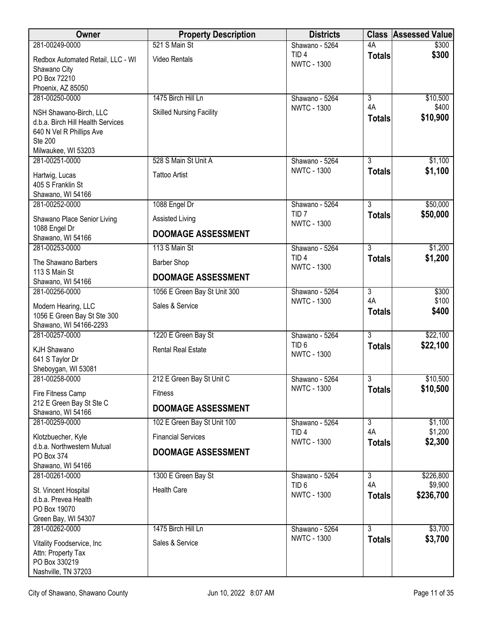| Owner                                    | <b>Property Description</b>     | <b>Districts</b>                       |                                 | <b>Class Assessed Value</b> |
|------------------------------------------|---------------------------------|----------------------------------------|---------------------------------|-----------------------------|
| 281-00249-0000                           | 521 S Main St                   | Shawano - 5264                         | 4A                              | \$300                       |
| Redbox Automated Retail, LLC - WI        | Video Rentals                   | TID <sub>4</sub><br><b>NWTC - 1300</b> | <b>Totals</b>                   | \$300                       |
| Shawano City<br>PO Box 72210             |                                 |                                        |                                 |                             |
| Phoenix, AZ 85050                        |                                 |                                        |                                 |                             |
| 281-00250-0000                           | 1475 Birch Hill Ln              | Shawano - 5264                         | $\overline{3}$                  | \$10,500                    |
| NSH Shawano-Birch, LLC                   | <b>Skilled Nursing Facility</b> | <b>NWTC - 1300</b>                     | 4A                              | \$400                       |
| d.b.a. Birch Hill Health Services        |                                 |                                        | <b>Totals</b>                   | \$10,900                    |
| 640 N Vel R Phillips Ave                 |                                 |                                        |                                 |                             |
| <b>Ste 200</b>                           |                                 |                                        |                                 |                             |
| Milwaukee, WI 53203<br>281-00251-0000    | 528 S Main St Unit A            | Shawano - 5264                         | $\overline{3}$                  | \$1,100                     |
|                                          |                                 | <b>NWTC - 1300</b>                     | <b>Totals</b>                   | \$1,100                     |
| Hartwig, Lucas                           | <b>Tattoo Artist</b>            |                                        |                                 |                             |
| 405 S Franklin St<br>Shawano, WI 54166   |                                 |                                        |                                 |                             |
| 281-00252-0000                           | 1088 Engel Dr                   | Shawano - 5264                         | $\overline{3}$                  | \$50,000                    |
| Shawano Place Senior Living              | <b>Assisted Living</b>          | TID <sub>7</sub><br><b>NWTC - 1300</b> | <b>Totals</b>                   | \$50,000                    |
| 1088 Engel Dr                            | <b>DOOMAGE ASSESSMENT</b>       |                                        |                                 |                             |
| Shawano, WI 54166<br>281-00253-0000      | 113 S Main St                   |                                        | $\overline{3}$                  | \$1,200                     |
|                                          |                                 | Shawano - 5264<br>TID <sub>4</sub>     | <b>Totals</b>                   | \$1,200                     |
| The Shawano Barbers<br>113 S Main St     | <b>Barber Shop</b>              | <b>NWTC - 1300</b>                     |                                 |                             |
| Shawano, WI 54166                        | <b>DOOMAGE ASSESSMENT</b>       |                                        |                                 |                             |
| 281-00256-0000                           | 1056 E Green Bay St Unit 300    | Shawano - 5264                         | $\overline{3}$                  | \$300                       |
| Modern Hearing, LLC                      | Sales & Service                 | <b>NWTC - 1300</b>                     | 4A                              | \$100<br>\$400              |
| 1056 E Green Bay St Ste 300              |                                 |                                        | <b>Totals</b>                   |                             |
| Shawano, WI 54166-2293                   |                                 |                                        | $\overline{3}$                  |                             |
| 281-00257-0000                           | 1220 E Green Bay St             | Shawano - 5264<br>TID <sub>6</sub>     | <b>Totals</b>                   | \$22,100<br>\$22,100        |
| <b>KJH Shawano</b>                       | <b>Rental Real Estate</b>       | <b>NWTC - 1300</b>                     |                                 |                             |
| 641 S Taylor Dr<br>Sheboygan, WI 53081   |                                 |                                        |                                 |                             |
| 281-00258-0000                           | 212 E Green Bay St Unit C       | Shawano - 5264                         | 3                               | \$10,500                    |
| Fire Fitness Camp                        | <b>Fitness</b>                  | <b>NWTC - 1300</b>                     | <b>Totals</b>                   | \$10,500                    |
| 212 E Green Bay St Ste C                 |                                 |                                        |                                 |                             |
| Shawano, WI 54166                        | <b>DOOMAGE ASSESSMENT</b>       |                                        |                                 |                             |
| 281-00259-0000                           | 102 E Green Bay St Unit 100     | Shawano - 5264<br>TID <sub>4</sub>     | $\overline{3}$<br>4A            | \$1,100                     |
| Klotzbuecher, Kyle                       | <b>Financial Services</b>       | <b>NWTC - 1300</b>                     | <b>Totals</b>                   | \$1,200<br>\$2,300          |
| d.b.a. Northwestern Mutual<br>PO Box 374 | <b>DOOMAGE ASSESSMENT</b>       |                                        |                                 |                             |
| Shawano, WI 54166                        |                                 |                                        |                                 |                             |
| 281-00261-0000                           | 1300 E Green Bay St             | Shawano - 5264                         | $\overline{3}$                  | \$226,800                   |
| St. Vincent Hospital                     | <b>Health Care</b>              | TID <sub>6</sub>                       | 4A                              | \$9,900                     |
| d.b.a. Prevea Health                     |                                 | <b>NWTC - 1300</b>                     | <b>Totals</b>                   | \$236,700                   |
| PO Box 19070                             |                                 |                                        |                                 |                             |
| Green Bay, WI 54307                      |                                 |                                        |                                 |                             |
| 281-00262-0000                           | 1475 Birch Hill Ln              | Shawano - 5264<br><b>NWTC - 1300</b>   | $\overline{3}$<br><b>Totals</b> | \$3,700<br>\$3,700          |
| Vitality Foodservice, Inc                | Sales & Service                 |                                        |                                 |                             |
| Attn: Property Tax<br>PO Box 330219      |                                 |                                        |                                 |                             |
| Nashville, TN 37203                      |                                 |                                        |                                 |                             |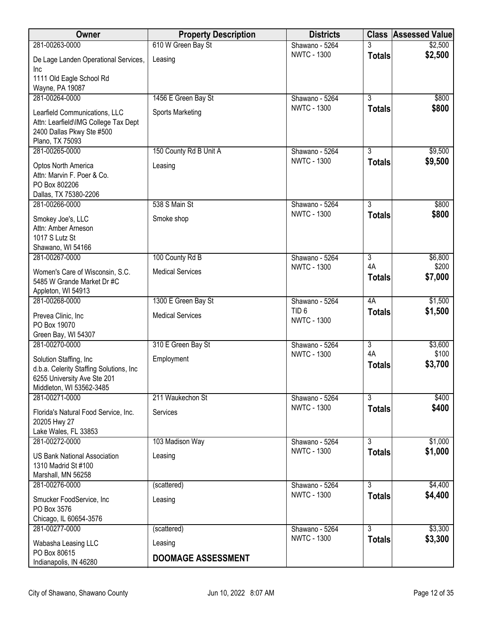| Owner                                                              | <b>Property Description</b> | <b>Districts</b>                     | <b>Class</b>   | <b>Assessed Value</b> |
|--------------------------------------------------------------------|-----------------------------|--------------------------------------|----------------|-----------------------|
| 281-00263-0000                                                     | 610 W Green Bay St          | Shawano - 5264                       |                | \$2,500               |
| De Lage Landen Operational Services,                               | Leasing                     | <b>NWTC - 1300</b>                   | <b>Totals</b>  | \$2,500               |
| Inc<br>1111 Old Eagle School Rd                                    |                             |                                      |                |                       |
| Wayne, PA 19087                                                    |                             |                                      |                |                       |
| 281-00264-0000                                                     | 1456 E Green Bay St         | Shawano - 5264                       | $\overline{3}$ | \$800                 |
| Learfield Communications, LLC                                      | <b>Sports Marketing</b>     | <b>NWTC - 1300</b>                   | <b>Totals</b>  | \$800                 |
| Attn: Learfield\IMG College Tax Dept                               |                             |                                      |                |                       |
| 2400 Dallas Pkwy Ste #500                                          |                             |                                      |                |                       |
| Plano, TX 75093                                                    |                             |                                      |                |                       |
| 281-00265-0000                                                     | 150 County Rd B Unit A      | Shawano - 5264                       | 3              | \$9,500               |
| Optos North America                                                | Leasing                     | <b>NWTC - 1300</b>                   | <b>Totals</b>  | \$9,500               |
| Attn: Marvin F. Poer & Co.                                         |                             |                                      |                |                       |
| PO Box 802206                                                      |                             |                                      |                |                       |
| Dallas, TX 75380-2206                                              |                             |                                      |                |                       |
| 281-00266-0000                                                     | 538 S Main St               | Shawano - 5264                       | $\overline{3}$ | \$800                 |
| Smokey Joe's, LLC                                                  | Smoke shop                  | <b>NWTC - 1300</b>                   | <b>Totals</b>  | \$800                 |
| Attn: Amber Arneson                                                |                             |                                      |                |                       |
| 1017 S Lutz St                                                     |                             |                                      |                |                       |
| Shawano, WI 54166<br>281-00267-0000                                | 100 County Rd B             | Shawano - 5264                       | 3              | \$6,800               |
|                                                                    |                             | <b>NWTC - 1300</b>                   | 4A             | \$200                 |
| Women's Care of Wisconsin, S.C.                                    | <b>Medical Services</b>     |                                      | <b>Totals</b>  | \$7,000               |
| 5485 W Grande Market Dr #C                                         |                             |                                      |                |                       |
| Appleton, WI 54913<br>281-00268-0000                               | 1300 E Green Bay St         | Shawano - 5264                       | 4A             | \$1,500               |
|                                                                    |                             | TID <sub>6</sub>                     | <b>Totals</b>  | \$1,500               |
| Prevea Clinic, Inc                                                 | <b>Medical Services</b>     | <b>NWTC - 1300</b>                   |                |                       |
| PO Box 19070<br>Green Bay, WI 54307                                |                             |                                      |                |                       |
| 281-00270-0000                                                     | 310 E Green Bay St          | Shawano - 5264                       | $\overline{3}$ | \$3,600               |
|                                                                    |                             | <b>NWTC - 1300</b>                   | 4A             | \$100                 |
| Solution Staffing, Inc.<br>d.b.a. Celerity Staffing Solutions, Inc | Employment                  |                                      | <b>Totals</b>  | \$3,700               |
| 6255 University Ave Ste 201                                        |                             |                                      |                |                       |
| Middleton, WI 53562-3485                                           |                             |                                      |                |                       |
| 281-00271-0000                                                     | 211 Waukechon St            | Shawano - 5264                       | $\overline{3}$ | \$400                 |
| Florida's Natural Food Service, Inc.                               | Services                    | <b>NWTC - 1300</b>                   | <b>Totals</b>  | \$400                 |
| 20205 Hwy 27                                                       |                             |                                      |                |                       |
| Lake Wales, FL 33853                                               |                             |                                      |                |                       |
| 281-00272-0000                                                     | 103 Madison Way             | Shawano - 5264                       | $\overline{3}$ | \$1,000               |
| <b>US Bank National Association</b>                                | Leasing                     | <b>NWTC - 1300</b>                   | <b>Totals</b>  | \$1,000               |
| 1310 Madrid St #100                                                |                             |                                      |                |                       |
| Marshall, MN 56258                                                 |                             |                                      |                |                       |
| 281-00276-0000                                                     | (scattered)                 | Shawano - 5264                       | $\overline{3}$ | \$4,400               |
| Smucker FoodService, Inc                                           | Leasing                     | <b>NWTC - 1300</b>                   | <b>Totals</b>  | \$4,400               |
| PO Box 3576                                                        |                             |                                      |                |                       |
| Chicago, IL 60654-3576                                             |                             |                                      |                |                       |
| 281-00277-0000                                                     | (scattered)                 | Shawano - 5264<br><b>NWTC - 1300</b> | $\overline{3}$ | \$3,300<br>\$3,300    |
| Wabasha Leasing LLC                                                | Leasing                     |                                      | <b>Totals</b>  |                       |
| PO Box 80615                                                       | <b>DOOMAGE ASSESSMENT</b>   |                                      |                |                       |
| Indianapolis, IN 46280                                             |                             |                                      |                |                       |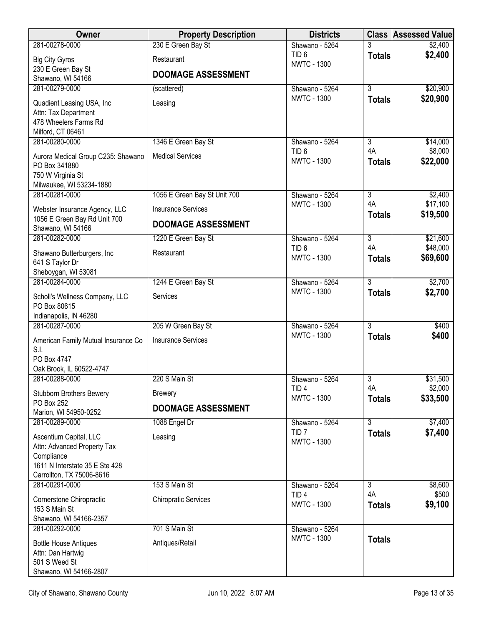| Owner                                                                                                                              | <b>Property Description</b>  | <b>Districts</b>                       |                     | <b>Class Assessed Value</b> |
|------------------------------------------------------------------------------------------------------------------------------------|------------------------------|----------------------------------------|---------------------|-----------------------------|
| 281-00278-0000                                                                                                                     | 230 E Green Bay St           | Shawano - 5264                         |                     | \$2,400                     |
| <b>Big City Gyros</b>                                                                                                              | Restaurant                   | TID <sub>6</sub><br><b>NWTC - 1300</b> | <b>Totals</b>       | \$2,400                     |
| 230 E Green Bay St<br>Shawano, WI 54166                                                                                            | <b>DOOMAGE ASSESSMENT</b>    |                                        |                     |                             |
| 281-00279-0000                                                                                                                     | (scattered)                  | Shawano - 5264                         | $\overline{3}$      | \$20,900                    |
| Quadient Leasing USA, Inc<br>Attn: Tax Department<br>478 Wheelers Farms Rd<br>Milford, CT 06461                                    | Leasing                      | <b>NWTC - 1300</b>                     | <b>Totals</b>       | \$20,900                    |
| 281-00280-0000                                                                                                                     | 1346 E Green Bay St          | Shawano - 5264                         | 3                   | \$14,000                    |
| Aurora Medical Group C235: Shawano<br>PO Box 341880<br>750 W Virginia St<br>Milwaukee, WI 53234-1880                               | <b>Medical Services</b>      | TID <sub>6</sub><br><b>NWTC - 1300</b> | 4A<br><b>Totals</b> | \$8,000<br>\$22,000         |
| 281-00281-0000                                                                                                                     | 1056 E Green Bay St Unit 700 | Shawano - 5264                         | $\overline{3}$      | \$2,400                     |
| Webster Insurance Agency, LLC                                                                                                      | <b>Insurance Services</b>    | <b>NWTC - 1300</b>                     | 4A<br><b>Totals</b> | \$17,100<br>\$19,500        |
| 1056 E Green Bay Rd Unit 700<br>Shawano, WI 54166                                                                                  | <b>DOOMAGE ASSESSMENT</b>    |                                        |                     |                             |
| 281-00282-0000                                                                                                                     | 1220 E Green Bay St          | Shawano - 5264                         | $\overline{3}$      | \$21,600                    |
| Shawano Butterburgers, Inc<br>641 S Taylor Dr<br>Sheboygan, WI 53081                                                               | Restaurant                   | TID <sub>6</sub><br><b>NWTC - 1300</b> | 4A<br><b>Totals</b> | \$48,000<br>\$69,600        |
| 281-00284-0000                                                                                                                     | 1244 E Green Bay St          | Shawano - 5264                         | $\overline{3}$      | \$2,700                     |
| Scholl's Wellness Company, LLC<br>PO Box 80615                                                                                     | Services                     | <b>NWTC - 1300</b>                     | <b>Totals</b>       | \$2,700                     |
| Indianapolis, IN 46280<br>281-00287-0000                                                                                           | 205 W Green Bay St           | Shawano - 5264                         | $\overline{3}$      | \$400                       |
| American Family Mutual Insurance Co<br>S.I.                                                                                        | <b>Insurance Services</b>    | <b>NWTC - 1300</b>                     | <b>Totals</b>       | \$400                       |
| PO Box 4747                                                                                                                        |                              |                                        |                     |                             |
| Oak Brook, IL 60522-4747<br>281-00288-0000                                                                                         | 220 S Main St                | Shawano - 5264                         | 3                   | \$31,500                    |
| Stubborn Brothers Bewery                                                                                                           | <b>Brewery</b>               | TID <sub>4</sub><br><b>NWTC - 1300</b> | 4A<br><b>Totals</b> | \$2,000<br>\$33,500         |
| PO Box 252<br>Marion, WI 54950-0252                                                                                                | <b>DOOMAGE ASSESSMENT</b>    |                                        |                     |                             |
| 281-00289-0000                                                                                                                     | 1088 Engel Dr                | Shawano - 5264                         | $\overline{3}$      | \$7,400                     |
| Ascentium Capital, LLC<br>Attn: Advanced Property Tax<br>Compliance<br>1611 N Interstate 35 E Ste 428<br>Carrollton, TX 75006-8616 | Leasing                      | TID <sub>7</sub><br><b>NWTC - 1300</b> | <b>Totals</b>       | \$7,400                     |
| 281-00291-0000                                                                                                                     | 153 S Main St                | Shawano - 5264                         | $\overline{3}$      | \$8,600                     |
| Cornerstone Chiropractic<br>153 S Main St<br>Shawano, WI 54166-2357                                                                | <b>Chiropratic Services</b>  | TID <sub>4</sub><br><b>NWTC - 1300</b> | 4A<br><b>Totals</b> | \$500<br>\$9,100            |
| 281-00292-0000                                                                                                                     | 701 S Main St                | Shawano - 5264                         |                     |                             |
| <b>Bottle House Antiques</b><br>Attn: Dan Hartwig<br>501 S Weed St<br>Shawano, WI 54166-2807                                       | Antiques/Retail              | <b>NWTC - 1300</b>                     | <b>Totals</b>       |                             |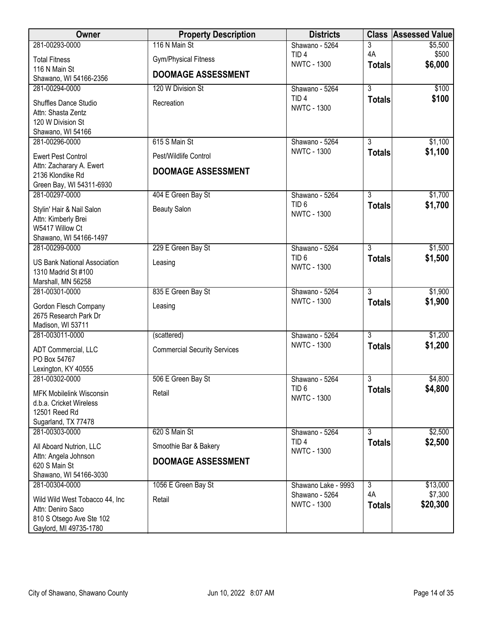| Owner                                                                                                     | <b>Property Description</b>         | <b>Districts</b>                       |                     | <b>Class Assessed Value</b> |
|-----------------------------------------------------------------------------------------------------------|-------------------------------------|----------------------------------------|---------------------|-----------------------------|
| 281-00293-0000                                                                                            | 116 N Main St                       | Shawano - 5264                         | 3<br>4A             | \$5,500                     |
| <b>Total Fitness</b>                                                                                      | <b>Gym/Physical Fitness</b>         | TID <sub>4</sub><br><b>NWTC - 1300</b> | <b>Totals</b>       | \$500<br>\$6,000            |
| 116 N Main St                                                                                             | <b>DOOMAGE ASSESSMENT</b>           |                                        |                     |                             |
| Shawano, WI 54166-2356<br>281-00294-0000                                                                  | 120 W Division St                   | Shawano - 5264                         | $\overline{3}$      | \$100                       |
| Shuffles Dance Studio<br>Attn: Shasta Zentz<br>120 W Division St<br>Shawano, WI 54166                     | Recreation                          | TID <sub>4</sub><br><b>NWTC - 1300</b> | <b>Totals</b>       | \$100                       |
| 281-00296-0000                                                                                            | 615 S Main St                       | Shawano - 5264                         | $\overline{3}$      | \$1,100                     |
| <b>Ewert Pest Control</b>                                                                                 | Pest/Wildlife Control               | <b>NWTC - 1300</b>                     | <b>Totals</b>       | \$1,100                     |
| Attn: Zacharary A. Ewert<br>2136 Klondike Rd<br>Green Bay, WI 54311-6930                                  | <b>DOOMAGE ASSESSMENT</b>           |                                        |                     |                             |
| 281-00297-0000                                                                                            | 404 E Green Bay St                  | Shawano - 5264                         | $\overline{3}$      | \$1,700                     |
| Stylin' Hair & Nail Salon<br>Attn: Kimberly Brei<br>W5417 Willow Ct<br>Shawano, WI 54166-1497             | <b>Beauty Salon</b>                 | TID <sub>6</sub><br><b>NWTC - 1300</b> | <b>Totals</b>       | \$1,700                     |
| 281-00299-0000                                                                                            | 229 E Green Bay St                  | Shawano - 5264                         | $\overline{3}$      | \$1,500                     |
| <b>US Bank National Association</b><br>1310 Madrid St #100<br>Marshall, MN 56258                          | Leasing                             | TID <sub>6</sub><br><b>NWTC - 1300</b> | <b>Totals</b>       | \$1,500                     |
| 281-00301-0000                                                                                            | 835 E Green Bay St                  | Shawano - 5264                         | $\overline{3}$      | \$1,900                     |
| Gordon Flesch Company<br>2675 Research Park Dr<br>Madison, WI 53711                                       | Leasing                             | <b>NWTC - 1300</b>                     | <b>Totals</b>       | \$1,900                     |
| 281-003011-0000                                                                                           | (scattered)                         | Shawano - 5264                         | $\overline{3}$      | \$1,200                     |
| ADT Commercial, LLC<br>PO Box 54767<br>Lexington, KY 40555                                                | <b>Commercial Security Services</b> | <b>NWTC - 1300</b>                     | <b>Totals</b>       | \$1,200                     |
| 281-00302-0000                                                                                            | 506 E Green Bay St                  | Shawano - 5264                         | $\overline{3}$      | \$4,800                     |
| <b>MFK Mobilelink Wisconsin</b><br>d.b.a. Cricket Wireless<br>12501 Reed Rd<br>Sugarland, TX 77478        | Retail                              | TID <sub>6</sub><br><b>NWTC - 1300</b> | <b>Totals</b>       | \$4,800                     |
| 281-00303-0000                                                                                            | 620 S Main St                       | Shawano - 5264                         | 3                   | \$2,500                     |
| All Aboard Nutrion, LLC                                                                                   | Smoothie Bar & Bakery               | TID <sub>4</sub><br><b>NWTC - 1300</b> | <b>Totals</b>       | \$2,500                     |
| Attn: Angela Johnson<br>620 S Main St<br>Shawano, WI 54166-3030                                           | <b>DOOMAGE ASSESSMENT</b>           |                                        |                     |                             |
| 281-00304-0000                                                                                            | 1056 E Green Bay St                 | Shawano Lake - 9993                    | $\overline{3}$      | \$13,000                    |
| Wild Wild West Tobacco 44, Inc<br>Attn: Deniro Saco<br>810 S Otsego Ave Ste 102<br>Gaylord, MI 49735-1780 | Retail                              | Shawano - 5264<br><b>NWTC - 1300</b>   | 4A<br><b>Totals</b> | \$7,300<br>\$20,300         |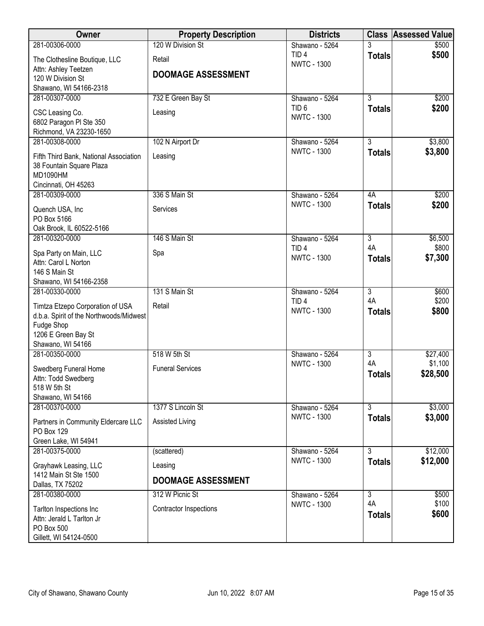| Owner                                             | <b>Property Description</b>   | <b>Districts</b>                       |                           | <b>Class Assessed Value</b> |
|---------------------------------------------------|-------------------------------|----------------------------------------|---------------------------|-----------------------------|
| 281-00306-0000                                    | 120 W Division St             | Shawano - 5264                         | 3                         | \$500                       |
| The Clothesline Boutique, LLC                     | Retail                        | TID <sub>4</sub><br><b>NWTC - 1300</b> | <b>Totals</b>             | \$500                       |
| Attn: Ashley Teetzen                              | <b>DOOMAGE ASSESSMENT</b>     |                                        |                           |                             |
| 120 W Division St                                 |                               |                                        |                           |                             |
| Shawano, WI 54166-2318                            |                               |                                        | $\overline{3}$            |                             |
| 281-00307-0000                                    | 732 E Green Bay St            | Shawano - 5264<br>TID <sub>6</sub>     |                           | \$200<br>\$200              |
| CSC Leasing Co.                                   | Leasing                       | <b>NWTC - 1300</b>                     | <b>Totals</b>             |                             |
| 6802 Paragon PI Ste 350                           |                               |                                        |                           |                             |
| Richmond, VA 23230-1650<br>281-00308-0000         | 102 N Airport Dr              | Shawano - 5264                         | $\overline{3}$            | \$3,800                     |
|                                                   |                               | <b>NWTC - 1300</b>                     | <b>Totals</b>             | \$3,800                     |
| Fifth Third Bank, National Association            | Leasing                       |                                        |                           |                             |
| 38 Fountain Square Plaza<br>MD1090HM              |                               |                                        |                           |                             |
| Cincinnati, OH 45263                              |                               |                                        |                           |                             |
| 281-00309-0000                                    | 336 S Main St                 | Shawano - 5264                         | 4A                        | \$200                       |
| Quench USA, Inc.                                  | Services                      | <b>NWTC - 1300</b>                     | <b>Totals</b>             | \$200                       |
| PO Box 5166                                       |                               |                                        |                           |                             |
| Oak Brook, IL 60522-5166                          |                               |                                        |                           |                             |
| 281-00320-0000                                    | 146 S Main St                 | Shawano - 5264                         | $\overline{3}$            | \$6,500                     |
| Spa Party on Main, LLC                            | Spa                           | TID <sub>4</sub>                       | 4A                        | \$800                       |
| Attn: Carol L Norton                              |                               | <b>NWTC - 1300</b>                     | <b>Totals</b>             | \$7,300                     |
| 146 S Main St                                     |                               |                                        |                           |                             |
| Shawano, WI 54166-2358                            |                               |                                        |                           |                             |
| 281-00330-0000                                    | 131 S Main St                 | Shawano - 5264                         | $\overline{3}$            | \$600                       |
| Timtza Etzepo Corporation of USA                  | Retail                        | TID <sub>4</sub>                       | 4A                        | \$200                       |
| d.b.a. Spirit of the Northwoods/Midwest           |                               | <b>NWTC - 1300</b>                     | <b>Totals</b>             | \$800                       |
| Fudge Shop                                        |                               |                                        |                           |                             |
| 1206 E Green Bay St                               |                               |                                        |                           |                             |
| Shawano, WI 54166<br>281-00350-0000               | 518 W 5th St                  | Shawano - 5264                         | $\overline{3}$            | \$27,400                    |
|                                                   |                               | <b>NWTC - 1300</b>                     | 4A                        | \$1,100                     |
| Swedberg Funeral Home                             | <b>Funeral Services</b>       |                                        | <b>Totals</b>             | \$28,500                    |
| Attn: Todd Swedberg                               |                               |                                        |                           |                             |
| 518 W 5th St<br>Shawano, WI 54166                 |                               |                                        |                           |                             |
| 281-00370-0000                                    | 1377 S Lincoln St             | Shawano - 5264                         | $\overline{\overline{3}}$ | \$3,000                     |
|                                                   |                               | <b>NWTC - 1300</b>                     | <b>Totals</b>             | \$3,000                     |
| Partners in Community Eldercare LLC<br>PO Box 129 | Assisted Living               |                                        |                           |                             |
| Green Lake, WI 54941                              |                               |                                        |                           |                             |
| 281-00375-0000                                    | (scattered)                   | Shawano - 5264                         | $\overline{3}$            | \$12,000                    |
| Grayhawk Leasing, LLC                             | Leasing                       | <b>NWTC - 1300</b>                     | <b>Totals</b>             | \$12,000                    |
| 1412 Main St Ste 1500                             |                               |                                        |                           |                             |
| Dallas, TX 75202                                  | <b>DOOMAGE ASSESSMENT</b>     |                                        |                           |                             |
| 281-00380-0000                                    | 312 W Picnic St               | Shawano - 5264                         | $\overline{3}$            | \$500                       |
| Tarlton Inspections Inc                           | <b>Contractor Inspections</b> | <b>NWTC - 1300</b>                     | 4A                        | \$100                       |
| Attn: Jerald L Tarlton Jr                         |                               |                                        | <b>Totals</b>             | \$600                       |
| PO Box 500                                        |                               |                                        |                           |                             |
| Gillett, WI 54124-0500                            |                               |                                        |                           |                             |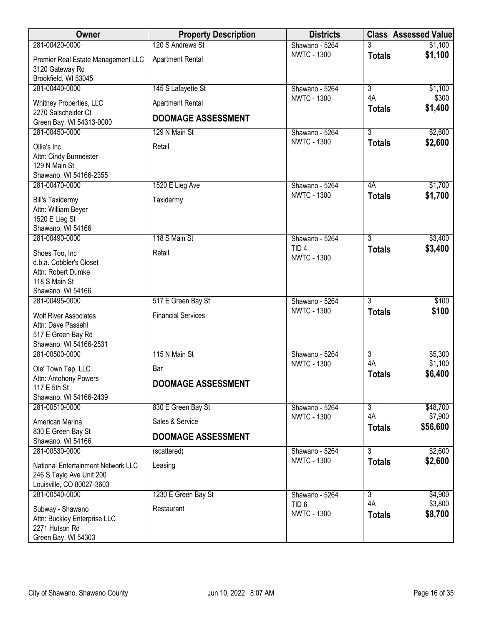| Owner                                                                                                 | <b>Property Description</b> | <b>Districts</b>                       |                     | <b>Class Assessed Value</b> |
|-------------------------------------------------------------------------------------------------------|-----------------------------|----------------------------------------|---------------------|-----------------------------|
| 281-00420-0000                                                                                        | 120 S Andrews St            | Shawano - 5264                         | 3                   | \$1,100                     |
| Premier Real Estate Management LLC<br>3120 Gateway Rd                                                 | <b>Apartment Rental</b>     | <b>NWTC - 1300</b>                     | <b>Totals</b>       | \$1,100                     |
| Brookfield, WI 53045<br>281-00440-0000                                                                | 145 S Lafayette St          | Shawano - 5264                         | $\overline{3}$      | \$1,100                     |
| Whitney Properties, LLC                                                                               | <b>Apartment Rental</b>     | <b>NWTC - 1300</b>                     | 4A<br><b>Totals</b> | \$300<br>\$1,400            |
| 2270 Salscheider Ct<br>Green Bay, WI 54313-0000                                                       | <b>DOOMAGE ASSESSMENT</b>   |                                        |                     |                             |
| 281-00450-0000                                                                                        | 129 N Main St               | Shawano - 5264                         | $\overline{3}$      | \$2,600                     |
| Ollie's Inc<br>Attn: Cindy Burmeister<br>129 N Main St                                                | Retail                      | <b>NWTC - 1300</b>                     | <b>Totals</b>       | \$2,600                     |
| Shawano, WI 54166-2355<br>281-00470-0000                                                              | 1520 E Lieg Ave             | Shawano - 5264                         | 4A                  | \$1,700                     |
| <b>Bill's Taxidermy</b><br>Attn: William Beyer<br>1520 E Lieg St<br>Shawano, WI 54166                 | Taxidermy                   | <b>NWTC - 1300</b>                     | <b>Totals</b>       | \$1,700                     |
| 281-00490-0000                                                                                        | 118 S Main St               | Shawano - 5264                         | $\overline{3}$      | \$3,400                     |
| Shoes Too, Inc<br>d.b.a. Cobbler's Closet<br>Attn: Robert Dumke<br>118 S Main St<br>Shawano, WI 54166 | Retail                      | TID <sub>4</sub><br><b>NWTC - 1300</b> | <b>Totals</b>       | \$3,400                     |
| 281-00495-0000                                                                                        | 517 E Green Bay St          | Shawano - 5264                         | $\overline{3}$      | \$100                       |
| <b>Wolf River Associates</b><br>Attn: Dave Passehl<br>517 E Green Bay Rd<br>Shawano, WI 54166-2531    | <b>Financial Services</b>   | <b>NWTC - 1300</b>                     | <b>Totals</b>       | \$100                       |
| 281-00500-0000                                                                                        | 115 N Main St               | Shawano - 5264                         | $\overline{3}$      | \$5,300                     |
| Ole' Town Tap, LLC                                                                                    | Bar                         | <b>NWTC - 1300</b>                     | 4A<br><b>Totals</b> | \$1,100<br>\$6,400          |
| Attn: Antohony Powers<br>117 E 5th St<br>Shawano, WI 54166-2439                                       | <b>DOOMAGE ASSESSMENT</b>   |                                        |                     |                             |
| 281-00510-0000                                                                                        | 830 E Green Bay St          | Shawano - 5264                         | $\overline{3}$      | \$48,700                    |
| American Marina                                                                                       | Sales & Service             | <b>NWTC - 1300</b>                     | 4A<br><b>Totals</b> | \$7,900<br>\$56,600         |
| 830 E Green Bay St<br>Shawano, WI 54166                                                               | <b>DOOMAGE ASSESSMENT</b>   |                                        |                     |                             |
| 281-00530-0000                                                                                        | (scattered)                 | Shawano - 5264                         | $\overline{3}$      | \$2,600                     |
| National Entertainment Network LLC<br>246 S Taylo Ave Unit 200<br>Louisville, CO 80027-3603           | Leasing                     | <b>NWTC - 1300</b>                     | <b>Totals</b>       | \$2,600                     |
| 281-00540-0000                                                                                        | 1230 E Green Bay St         | Shawano - 5264                         | $\overline{3}$      | \$4,900                     |
| Subway - Shawano<br>Attn: Buckley Enterprise LLC<br>2271 Hutson Rd<br>Green Bay, WI 54303             | Restaurant                  | TID <sub>6</sub><br><b>NWTC - 1300</b> | 4A<br><b>Totals</b> | \$3,800<br>\$8,700          |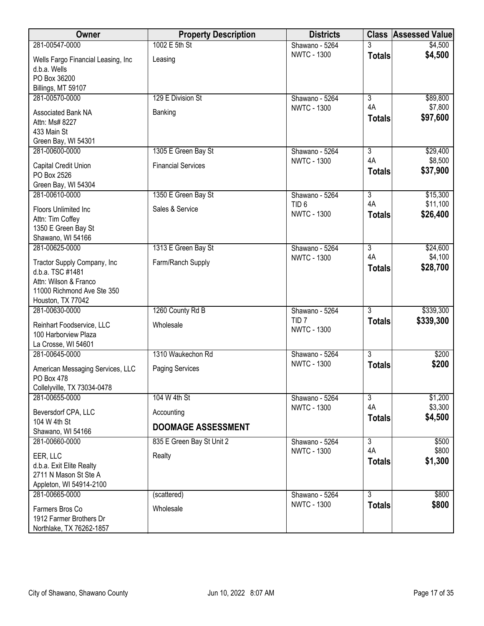| Owner                                                                                                  | <b>Property Description</b>   | <b>Districts</b>                                         |                                 | <b>Class Assessed Value</b> |
|--------------------------------------------------------------------------------------------------------|-------------------------------|----------------------------------------------------------|---------------------------------|-----------------------------|
| 281-00547-0000                                                                                         | 1002 E 5th St                 | Shawano - 5264                                           | 3                               | \$4,500                     |
| Wells Fargo Financial Leasing, Inc<br>d.b.a. Wells<br>PO Box 36200                                     | Leasing                       | <b>NWTC - 1300</b>                                       | <b>Totals</b>                   | \$4,500                     |
| Billings, MT 59107                                                                                     |                               |                                                          |                                 |                             |
| 281-00570-0000                                                                                         | 129 E Division St             | Shawano - 5264                                           | $\overline{3}$                  | \$89,800                    |
| Associated Bank NA<br>Attn: Ms# 8227<br>433 Main St<br>Green Bay, WI 54301                             | Banking                       | <b>NWTC - 1300</b>                                       | 4A<br><b>Totals</b>             | \$7,800<br>\$97,600         |
| 281-00600-0000                                                                                         | 1305 E Green Bay St           | Shawano - 5264                                           | $\overline{3}$                  | \$29,400                    |
| Capital Credit Union<br>PO Box 2526<br>Green Bay, WI 54304                                             | <b>Financial Services</b>     | <b>NWTC - 1300</b>                                       | 4A<br><b>Totals</b>             | \$8,500<br>\$37,900         |
| 281-00610-0000                                                                                         | 1350 E Green Bay St           | Shawano - 5264                                           | $\overline{3}$                  | \$15,300                    |
| Floors Unlimited Inc<br>Attn: Tim Coffey<br>1350 E Green Bay St<br>Shawano, WI 54166                   | Sales & Service               | TID <sub>6</sub><br><b>NWTC - 1300</b>                   | 4A<br><b>Totals</b>             | \$11,100<br>\$26,400        |
| 281-00625-0000                                                                                         | 1313 E Green Bay St           | Shawano - 5264                                           | $\overline{3}$                  | \$24,600                    |
| Tractor Supply Company, Inc<br>d.b.a. TSC #1481<br>Attn: Wilson & Franco<br>11000 Richmond Ave Ste 350 | Farm/Ranch Supply             | <b>NWTC - 1300</b>                                       | 4A<br><b>Totals</b>             | \$4,100<br>\$28,700         |
| Houston, TX 77042                                                                                      |                               |                                                          |                                 |                             |
| 281-00630-0000<br>Reinhart Foodservice, LLC<br>100 Harborview Plaza<br>La Crosse, WI 54601             | 1260 County Rd B<br>Wholesale | Shawano - 5264<br>TID <sub>7</sub><br><b>NWTC - 1300</b> | $\overline{3}$<br><b>Totals</b> | \$339,300<br>\$339,300      |
| 281-00645-0000                                                                                         | 1310 Waukechon Rd             | Shawano - 5264                                           | $\overline{3}$                  | \$200                       |
| American Messaging Services, LLC<br>PO Box 478<br>Collelyville, TX 73034-0478                          | Paging Services               | <b>NWTC - 1300</b>                                       | <b>Totals</b>                   | \$200                       |
| 281-00655-0000                                                                                         | 104 W 4th St                  | Shawano - 5264                                           | $\overline{3}$                  | \$1,200                     |
| Beversdorf CPA, LLC                                                                                    | Accounting                    | <b>NWTC - 1300</b>                                       | 4A                              | \$3,300                     |
| 104 W 4th St<br>Shawano, WI 54166                                                                      | <b>DOOMAGE ASSESSMENT</b>     |                                                          | <b>Totals</b>                   | \$4,500                     |
| 281-00660-0000                                                                                         | 835 E Green Bay St Unit 2     | Shawano - 5264                                           | $\overline{3}$                  | \$500                       |
| EER, LLC<br>d.b.a. Exit Elite Realty<br>2711 N Mason St Ste A<br>Appleton, WI 54914-2100               | Realty                        | <b>NWTC - 1300</b>                                       | 4A<br><b>Totals</b>             | \$800<br>\$1,300            |
| 281-00665-0000                                                                                         | (scattered)                   | Shawano - 5264                                           | $\overline{3}$                  | \$800                       |
| Farmers Bros Co<br>1912 Farmer Brothers Dr<br>Northlake, TX 76262-1857                                 | Wholesale                     | <b>NWTC - 1300</b>                                       | <b>Totals</b>                   | \$800                       |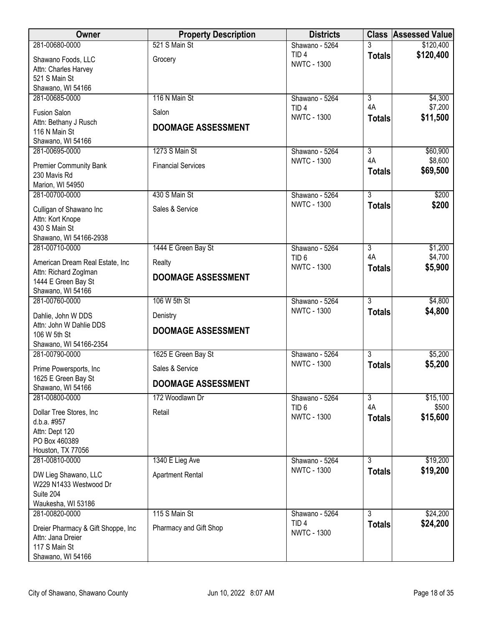| Owner                                   | <b>Property Description</b> | <b>Districts</b>                       |                                 | <b>Class Assessed Value</b> |
|-----------------------------------------|-----------------------------|----------------------------------------|---------------------------------|-----------------------------|
| 281-00680-0000                          | 521 S Main St               | Shawano - 5264                         |                                 | \$120,400                   |
| Shawano Foods, LLC                      | Grocery                     | TID <sub>4</sub><br><b>NWTC - 1300</b> | <b>Totals</b>                   | \$120,400                   |
| Attn: Charles Harvey                    |                             |                                        |                                 |                             |
| 521 S Main St<br>Shawano, WI 54166      |                             |                                        |                                 |                             |
| 281-00685-0000                          | 116 N Main St               | Shawano - 5264                         | $\overline{3}$                  | \$4,300                     |
| <b>Fusion Salon</b>                     | Salon                       | TID <sub>4</sub>                       | 4A                              | \$7,200                     |
| Attn: Bethany J Rusch                   |                             | <b>NWTC - 1300</b>                     | <b>Totals</b>                   | \$11,500                    |
| 116 N Main St                           | <b>DOOMAGE ASSESSMENT</b>   |                                        |                                 |                             |
| Shawano, WI 54166                       |                             |                                        |                                 |                             |
| 281-00695-0000                          | 1273 S Main St              | Shawano - 5264                         | $\overline{3}$                  | \$60,900                    |
| <b>Premier Community Bank</b>           | <b>Financial Services</b>   | <b>NWTC - 1300</b>                     | 4A                              | \$8,600<br>\$69,500         |
| 230 Mavis Rd                            |                             |                                        | <b>Totals</b>                   |                             |
| Marion, WI 54950                        |                             |                                        |                                 |                             |
| 281-00700-0000                          | 430 S Main St               | Shawano - 5264<br><b>NWTC - 1300</b>   | $\overline{3}$<br><b>Totals</b> | \$200<br>\$200              |
| Culligan of Shawano Inc                 | Sales & Service             |                                        |                                 |                             |
| Attn: Kort Knope<br>430 S Main St       |                             |                                        |                                 |                             |
| Shawano, WI 54166-2938                  |                             |                                        |                                 |                             |
| 281-00710-0000                          | 1444 E Green Bay St         | Shawano - 5264                         | $\overline{3}$                  | \$1,200                     |
| American Dream Real Estate, Inc         | Realty                      | TID <sub>6</sub>                       | 4A                              | \$4,700                     |
| Attn: Richard Zoglman                   |                             | <b>NWTC - 1300</b>                     | <b>Totals</b>                   | \$5,900                     |
| 1444 E Green Bay St                     | <b>DOOMAGE ASSESSMENT</b>   |                                        |                                 |                             |
| Shawano, WI 54166                       |                             |                                        |                                 |                             |
| 281-00760-0000                          | 106 W 5th St                | Shawano - 5264<br><b>NWTC - 1300</b>   | $\overline{3}$                  | \$4,800<br>\$4,800          |
| Dahlie, John W DDS                      | Denistry                    |                                        | <b>Totals</b>                   |                             |
| Attn: John W Dahlie DDS<br>106 W 5th St | <b>DOOMAGE ASSESSMENT</b>   |                                        |                                 |                             |
| Shawano, WI 54166-2354                  |                             |                                        |                                 |                             |
| 281-00790-0000                          | 1625 E Green Bay St         | Shawano - 5264                         | $\overline{3}$                  | \$5,200                     |
| Prime Powersports, Inc.                 | Sales & Service             | <b>NWTC - 1300</b>                     | <b>Totals</b>                   | \$5,200                     |
| 1625 E Green Bay St                     |                             |                                        |                                 |                             |
| Shawano, WI 54166                       | <b>DOOMAGE ASSESSMENT</b>   |                                        |                                 |                             |
| 281-00800-0000                          | 172 Woodlawn Dr             | Shawano - 5264                         | $\overline{3}$                  | \$15,100                    |
| Dollar Tree Stores, Inc.                | Retail                      | TID <sub>6</sub><br><b>NWTC - 1300</b> | 4A                              | \$500<br>\$15,600           |
| d.b.a. #957                             |                             |                                        | <b>Totals</b>                   |                             |
| Attn: Dept 120<br>PO Box 460389         |                             |                                        |                                 |                             |
| Houston, TX 77056                       |                             |                                        |                                 |                             |
| 281-00810-0000                          | 1340 E Lieg Ave             | Shawano - 5264                         | 3                               | \$19,200                    |
| DW Lieg Shawano, LLC                    | <b>Apartment Rental</b>     | <b>NWTC - 1300</b>                     | <b>Totals</b>                   | \$19,200                    |
| W229 N1433 Westwood Dr                  |                             |                                        |                                 |                             |
| Suite 204                               |                             |                                        |                                 |                             |
| Waukesha, WI 53186                      |                             |                                        |                                 |                             |
| 281-00820-0000                          | 115 S Main St               | Shawano - 5264<br>TID <sub>4</sub>     | 3                               | \$24,200<br>\$24,200        |
| Dreier Pharmacy & Gift Shoppe, Inc.     | Pharmacy and Gift Shop      | <b>NWTC - 1300</b>                     | <b>Totals</b>                   |                             |
| Attn: Jana Dreier<br>117 S Main St      |                             |                                        |                                 |                             |
| Shawano, WI 54166                       |                             |                                        |                                 |                             |
|                                         |                             |                                        |                                 |                             |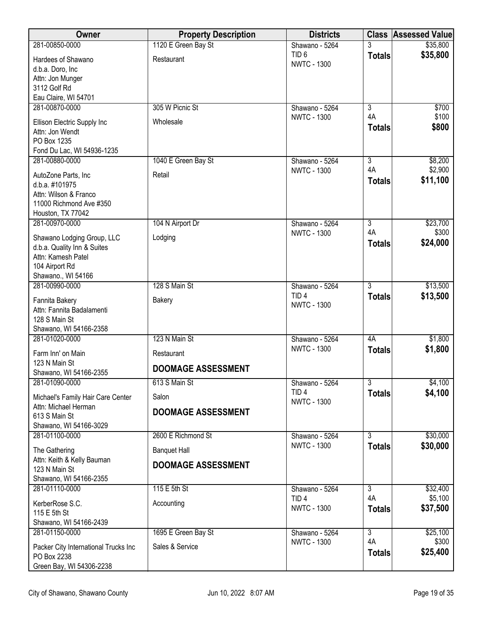| Owner                                             | <b>Property Description</b> | <b>Districts</b>                       | <b>Class</b>        | <b>Assessed Value</b> |
|---------------------------------------------------|-----------------------------|----------------------------------------|---------------------|-----------------------|
| 281-00850-0000                                    | 1120 E Green Bay St         | Shawano - 5264                         |                     | \$35,800              |
| Hardees of Shawano                                | Restaurant                  | TID <sub>6</sub><br><b>NWTC - 1300</b> | <b>Totals</b>       | \$35,800              |
| d.b.a. Doro, Inc                                  |                             |                                        |                     |                       |
| Attn: Jon Munger                                  |                             |                                        |                     |                       |
| 3112 Golf Rd<br>Eau Claire, WI 54701              |                             |                                        |                     |                       |
| 281-00870-0000                                    | 305 W Picnic St             | Shawano - 5264                         | $\overline{3}$      | \$700                 |
|                                                   |                             | <b>NWTC - 1300</b>                     | 4A                  | \$100                 |
| Ellison Electric Supply Inc<br>Attn: Jon Wendt    | Wholesale                   |                                        | <b>Totals</b>       | \$800                 |
| PO Box 1235                                       |                             |                                        |                     |                       |
| Fond Du Lac, WI 54936-1235                        |                             |                                        |                     |                       |
| 281-00880-0000                                    | 1040 E Green Bay St         | Shawano - 5264                         | 3                   | \$8,200               |
| AutoZone Parts, Inc                               | Retail                      | <b>NWTC - 1300</b>                     | 4A                  | \$2,900               |
| d.b.a. #101975                                    |                             |                                        | <b>Totals</b>       | \$11,100              |
| Attn: Wilson & Franco                             |                             |                                        |                     |                       |
| 11000 Richmond Ave #350                           |                             |                                        |                     |                       |
| Houston, TX 77042<br>281-00970-0000               | 104 N Airport Dr            | Shawano - 5264                         | $\overline{3}$      | \$23,700              |
|                                                   |                             | <b>NWTC - 1300</b>                     | 4A                  | \$300                 |
| Shawano Lodging Group, LLC                        | Lodging                     |                                        | <b>Totals</b>       | \$24,000              |
| d.b.a. Quality Inn & Suites<br>Attn: Kamesh Patel |                             |                                        |                     |                       |
| 104 Airport Rd                                    |                             |                                        |                     |                       |
| Shawano., WI 54166                                |                             |                                        |                     |                       |
| 281-00990-0000                                    | 128 S Main St               | Shawano - 5264                         | 3                   | \$13,500              |
| Fannita Bakery                                    | <b>Bakery</b>               | TID <sub>4</sub>                       | <b>Totals</b>       | \$13,500              |
| Attn: Fannita Badalamenti                         |                             | <b>NWTC - 1300</b>                     |                     |                       |
| 128 S Main St                                     |                             |                                        |                     |                       |
| Shawano, WI 54166-2358                            |                             |                                        |                     |                       |
| 281-01020-0000                                    | 123 N Main St               | Shawano - 5264<br><b>NWTC - 1300</b>   | 4A<br><b>Totals</b> | \$1,800<br>\$1,800    |
| Farm Inn' on Main                                 | Restaurant                  |                                        |                     |                       |
| 123 N Main St<br>Shawano, WI 54166-2355           | <b>DOOMAGE ASSESSMENT</b>   |                                        |                     |                       |
| 281-01090-0000                                    | 613 S Main St               | Shawano - 5264                         | $\overline{3}$      | \$4,100               |
| Michael's Family Hair Care Center                 | Salon                       | TID <sub>4</sub>                       | <b>Totals</b>       | \$4,100               |
| Attn: Michael Herman                              |                             | <b>NWTC - 1300</b>                     |                     |                       |
| 613 S Main St                                     | <b>DOOMAGE ASSESSMENT</b>   |                                        |                     |                       |
| Shawano, WI 54166-3029                            |                             |                                        |                     |                       |
| 281-01100-0000                                    | 2600 E Richmond St          | Shawano - 5264                         | $\overline{3}$      | \$30,000              |
| The Gathering                                     | <b>Banquet Hall</b>         | <b>NWTC - 1300</b>                     | <b>Totals</b>       | \$30,000              |
| Attn: Keith & Kelly Bauman                        | <b>DOOMAGE ASSESSMENT</b>   |                                        |                     |                       |
| 123 N Main St<br>Shawano, WI 54166-2355           |                             |                                        |                     |                       |
| 281-01110-0000                                    | 115 E 5th St                | Shawano - 5264                         | $\overline{3}$      | \$32,400              |
|                                                   |                             | TID <sub>4</sub>                       | 4A                  | \$5,100               |
| KerberRose S.C.<br>115 E 5th St                   | Accounting                  | <b>NWTC - 1300</b>                     | <b>Totals</b>       | \$37,500              |
| Shawano, WI 54166-2439                            |                             |                                        |                     |                       |
| 281-01150-0000                                    | 1695 E Green Bay St         | Shawano - 5264                         | $\overline{3}$      | \$25,100              |
| Packer City International Trucks Inc              | Sales & Service             | <b>NWTC - 1300</b>                     | 4A                  | \$300                 |
| PO Box 2238                                       |                             |                                        | <b>Totals</b>       | \$25,400              |
| Green Bay, WI 54306-2238                          |                             |                                        |                     |                       |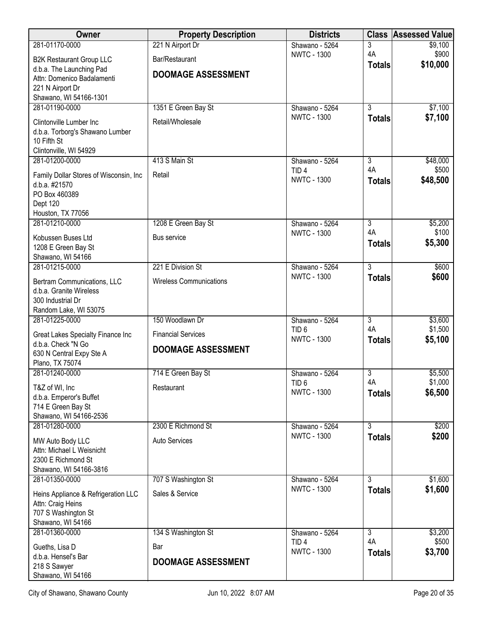| <b>Owner</b>                                             | <b>Property Description</b>    | <b>Districts</b>                       | <b>Class</b>         | <b>Assessed Value</b> |
|----------------------------------------------------------|--------------------------------|----------------------------------------|----------------------|-----------------------|
| 281-01170-0000                                           | 221 N Airport Dr               | Shawano - 5264                         | 3                    | \$9,100               |
| <b>B2K Restaurant Group LLC</b>                          | Bar/Restaurant                 | <b>NWTC - 1300</b>                     | 4A                   | \$900<br>\$10,000     |
| d.b.a. The Launching Pad                                 | <b>DOOMAGE ASSESSMENT</b>      |                                        | <b>Totals</b>        |                       |
| Attn: Domenico Badalamenti<br>221 N Airport Dr           |                                |                                        |                      |                       |
| Shawano, WI 54166-1301                                   |                                |                                        |                      |                       |
| 281-01190-0000                                           | 1351 E Green Bay St            | Shawano - 5264                         | $\overline{3}$       | \$7,100               |
| Clintonville Lumber Inc                                  | Retail/Wholesale               | <b>NWTC - 1300</b>                     | <b>Totals</b>        | \$7,100               |
| d.b.a. Torborg's Shawano Lumber                          |                                |                                        |                      |                       |
| 10 Fifth St<br>Clintonville, WI 54929                    |                                |                                        |                      |                       |
| 281-01200-0000                                           | 413 S Main St                  | Shawano - 5264                         | 3                    | \$48,000              |
| Family Dollar Stores of Wisconsin, Inc.                  | Retail                         | TID <sub>4</sub>                       | 4A                   | \$500                 |
| d.b.a. #21570                                            |                                | <b>NWTC - 1300</b>                     | <b>Totals</b>        | \$48,500              |
| PO Box 460389                                            |                                |                                        |                      |                       |
| Dept 120                                                 |                                |                                        |                      |                       |
| Houston, TX 77056                                        |                                |                                        |                      |                       |
| 281-01210-0000                                           | 1208 E Green Bay St            | Shawano - 5264<br><b>NWTC - 1300</b>   | $\overline{3}$<br>4A | \$5,200<br>\$100      |
| Kobussen Buses Ltd                                       | <b>Bus service</b>             |                                        | <b>Totals</b>        | \$5,300               |
| 1208 E Green Bay St<br>Shawano, WI 54166                 |                                |                                        |                      |                       |
| 281-01215-0000                                           | 221 E Division St              | Shawano - 5264                         | $\overline{3}$       | \$600                 |
|                                                          |                                | <b>NWTC - 1300</b>                     | <b>Totals</b>        | \$600                 |
| Bertram Communications, LLC<br>d.b.a. Granite Wireless   | <b>Wireless Communications</b> |                                        |                      |                       |
| 300 Industrial Dr                                        |                                |                                        |                      |                       |
| Random Lake, WI 53075                                    |                                |                                        |                      |                       |
| 281-01225-0000                                           | 150 Woodlawn Dr                | Shawano - 5264                         | $\overline{3}$       | \$3,600               |
| Great Lakes Specialty Finance Inc                        | <b>Financial Services</b>      | TID <sub>6</sub><br><b>NWTC - 1300</b> | 4A<br><b>Totals</b>  | \$1,500<br>\$5,100    |
| d.b.a. Check "N Go<br>630 N Central Expy Ste A           | <b>DOOMAGE ASSESSMENT</b>      |                                        |                      |                       |
| Plano, TX 75074                                          |                                |                                        |                      |                       |
| 281-01240-0000                                           | 714 E Green Bay St             | Shawano - 5264                         | 3                    | \$5,500               |
| T&Z of WI, Inc                                           | Restaurant                     | TID <sub>6</sub>                       | 4A                   | \$1,000               |
| d.b.a. Emperor's Buffet                                  |                                | <b>NWTC - 1300</b>                     | <b>Totals</b>        | \$6,500               |
| 714 E Green Bay St                                       |                                |                                        |                      |                       |
| Shawano, WI 54166-2536                                   |                                |                                        |                      |                       |
| 281-01280-0000                                           | 2300 E Richmond St             | Shawano - 5264<br><b>NWTC - 1300</b>   | $\overline{3}$       | \$200<br>\$200        |
| MW Auto Body LLC                                         | <b>Auto Services</b>           |                                        | <b>Totals</b>        |                       |
| Attn: Michael L Weisnicht<br>2300 E Richmond St          |                                |                                        |                      |                       |
| Shawano, WI 54166-3816                                   |                                |                                        |                      |                       |
| 281-01350-0000                                           | 707 S Washington St            | Shawano - 5264                         | $\overline{3}$       | \$1,600               |
|                                                          | Sales & Service                | <b>NWTC - 1300</b>                     | <b>Totals</b>        | \$1,600               |
| Heins Appliance & Refrigeration LLC<br>Attn: Craig Heins |                                |                                        |                      |                       |
| 707 S Washington St                                      |                                |                                        |                      |                       |
| Shawano, WI 54166                                        |                                |                                        |                      |                       |
| 281-01360-0000                                           | 134 S Washington St            | Shawano - 5264                         | $\overline{3}$       | \$3,200               |
| Gueths, Lisa D                                           | Bar                            | TID <sub>4</sub>                       | 4A                   | \$500                 |
| d.b.a. Hensel's Bar                                      | <b>DOOMAGE ASSESSMENT</b>      | <b>NWTC - 1300</b>                     | <b>Totals</b>        | \$3,700               |
| 218 S Sawyer                                             |                                |                                        |                      |                       |
| Shawano, WI 54166                                        |                                |                                        |                      |                       |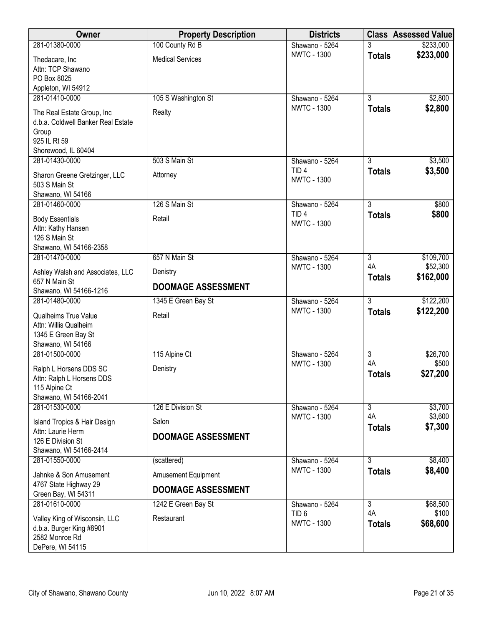| Owner                                               | <b>Property Description</b> | <b>Districts</b>   |                | <b>Class Assessed Value</b> |
|-----------------------------------------------------|-----------------------------|--------------------|----------------|-----------------------------|
| 281-01380-0000                                      | 100 County Rd B             | Shawano - 5264     |                | \$233,000                   |
| Thedacare, Inc                                      | <b>Medical Services</b>     | <b>NWTC - 1300</b> | <b>Totals</b>  | \$233,000                   |
| Attn: TCP Shawano                                   |                             |                    |                |                             |
| PO Box 8025                                         |                             |                    |                |                             |
| Appleton, WI 54912                                  |                             |                    |                |                             |
| 281-01410-0000                                      | 105 S Washington St         | Shawano - 5264     | $\overline{3}$ | \$2,800                     |
| The Real Estate Group, Inc                          | Realty                      | <b>NWTC - 1300</b> | <b>Totals</b>  | \$2,800                     |
| d.b.a. Coldwell Banker Real Estate                  |                             |                    |                |                             |
| Group                                               |                             |                    |                |                             |
| 925 IL Rt 59                                        |                             |                    |                |                             |
| Shorewood, IL 60404                                 |                             |                    |                |                             |
| 281-01430-0000                                      | 503 S Main St               | Shawano - 5264     | $\overline{3}$ | \$3,500                     |
| Sharon Greene Gretzinger, LLC                       | Attorney                    | TID <sub>4</sub>   | <b>Totals</b>  | \$3,500                     |
| 503 S Main St                                       |                             | <b>NWTC - 1300</b> |                |                             |
| Shawano, WI 54166                                   |                             |                    |                |                             |
| 281-01460-0000                                      | 126 S Main St               | Shawano - 5264     | $\overline{3}$ | \$800                       |
| <b>Body Essentials</b>                              | Retail                      | TID <sub>4</sub>   | <b>Totals</b>  | \$800                       |
| Attn: Kathy Hansen                                  |                             | <b>NWTC - 1300</b> |                |                             |
| 126 S Main St                                       |                             |                    |                |                             |
| Shawano, WI 54166-2358                              |                             |                    |                |                             |
| 281-01470-0000                                      | 657 N Main St               | Shawano - 5264     | $\overline{3}$ | \$109,700                   |
| Ashley Walsh and Associates, LLC                    | Denistry                    | <b>NWTC - 1300</b> | 4A             | \$52,300                    |
| 657 N Main St                                       |                             |                    | <b>Totals</b>  | \$162,000                   |
| Shawano, WI 54166-1216                              | <b>DOOMAGE ASSESSMENT</b>   |                    |                |                             |
| 281-01480-0000                                      | 1345 E Green Bay St         | Shawano - 5264     | $\overline{3}$ | \$122,200                   |
| <b>Qualheims True Value</b>                         | Retail                      | <b>NWTC - 1300</b> | <b>Totals</b>  | \$122,200                   |
| Attn: Willis Qualheim                               |                             |                    |                |                             |
| 1345 E Green Bay St                                 |                             |                    |                |                             |
| Shawano, WI 54166                                   |                             |                    |                |                             |
| 281-01500-0000                                      | 115 Alpine Ct               | Shawano - 5264     | $\overline{3}$ | \$26,700                    |
|                                                     | Denistry                    | <b>NWTC - 1300</b> | 4A             | \$500                       |
| Ralph L Horsens DDS SC<br>Attn: Ralph L Horsens DDS |                             |                    | <b>Totals</b>  | \$27,200                    |
| 115 Alpine Ct                                       |                             |                    |                |                             |
| Shawano, WI 54166-2041                              |                             |                    |                |                             |
| 281-01530-0000                                      | 126 E Division St           | Shawano - 5264     | $\overline{3}$ | \$3,700                     |
|                                                     |                             | <b>NWTC - 1300</b> | 4A             | \$3,600                     |
| Island Tropics & Hair Design<br>Attn: Laurie Herm   | Salon                       |                    | <b>Totals</b>  | \$7,300                     |
| 126 E Division St                                   | <b>DOOMAGE ASSESSMENT</b>   |                    |                |                             |
| Shawano, WI 54166-2414                              |                             |                    |                |                             |
| 281-01550-0000                                      | (scattered)                 | Shawano - 5264     | 3              | \$8,400                     |
|                                                     |                             | <b>NWTC - 1300</b> | <b>Totals</b>  | \$8,400                     |
| Jahnke & Son Amusement<br>4767 State Highway 29     | <b>Amusement Equipment</b>  |                    |                |                             |
| Green Bay, WI 54311                                 | <b>DOOMAGE ASSESSMENT</b>   |                    |                |                             |
| 281-01610-0000                                      | 1242 E Green Bay St         | Shawano - 5264     | $\overline{3}$ | \$68,500                    |
|                                                     |                             | TID <sub>6</sub>   | 4A             | \$100                       |
| Valley King of Wisconsin, LLC                       | Restaurant                  | <b>NWTC - 1300</b> | <b>Totals</b>  | \$68,600                    |
| d.b.a. Burger King #8901<br>2582 Monroe Rd          |                             |                    |                |                             |
| DePere, WI 54115                                    |                             |                    |                |                             |
|                                                     |                             |                    |                |                             |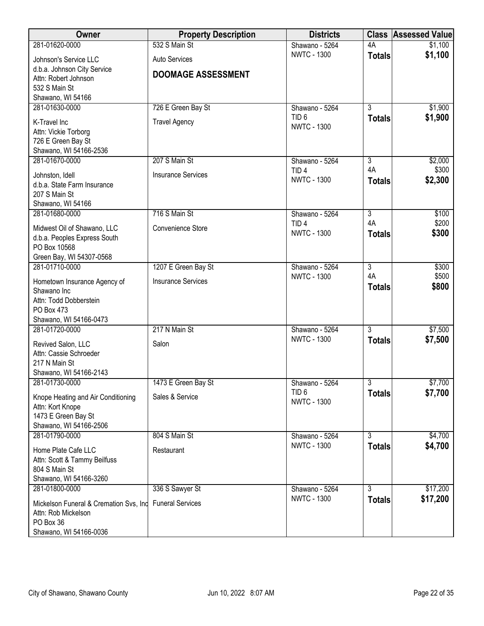| Owner                                                       | <b>Property Description</b> | <b>Districts</b>                   |                | <b>Class Assessed Value</b> |
|-------------------------------------------------------------|-----------------------------|------------------------------------|----------------|-----------------------------|
| 281-01620-0000                                              | 532 S Main St               | Shawano - 5264                     | 4A             | \$1,100                     |
| Johnson's Service LLC                                       | <b>Auto Services</b>        | <b>NWTC - 1300</b>                 | <b>Totals</b>  | \$1,100                     |
| d.b.a. Johnson City Service                                 | <b>DOOMAGE ASSESSMENT</b>   |                                    |                |                             |
| Attn: Robert Johnson                                        |                             |                                    |                |                             |
| 532 S Main St                                               |                             |                                    |                |                             |
| Shawano, WI 54166<br>281-01630-0000                         | 726 E Green Bay St          | Shawano - 5264                     | $\overline{3}$ | \$1,900                     |
|                                                             |                             | TID <sub>6</sub>                   | <b>Totals</b>  | \$1,900                     |
| K-Travel Inc                                                | <b>Travel Agency</b>        | <b>NWTC - 1300</b>                 |                |                             |
| Attn: Vickie Torborg                                        |                             |                                    |                |                             |
| 726 E Green Bay St<br>Shawano, WI 54166-2536                |                             |                                    |                |                             |
| 281-01670-0000                                              | 207 S Main St               | Shawano - 5264                     | $\overline{3}$ | \$2,000                     |
|                                                             |                             | TID <sub>4</sub>                   | 4A             | \$300                       |
| Johnston, Idell<br>d.b.a. State Farm Insurance              | <b>Insurance Services</b>   | <b>NWTC - 1300</b>                 | <b>Totals</b>  | \$2,300                     |
| 207 S Main St                                               |                             |                                    |                |                             |
| Shawano, WI 54166                                           |                             |                                    |                |                             |
| 281-01680-0000                                              | 716 S Main St               | Shawano - 5264                     | $\overline{3}$ | \$100                       |
|                                                             | Convenience Store           | TID <sub>4</sub>                   | 4A             | \$200                       |
| Midwest Oil of Shawano, LLC<br>d.b.a. Peoples Express South |                             | <b>NWTC - 1300</b>                 | <b>Totals</b>  | \$300                       |
| PO Box 10568                                                |                             |                                    |                |                             |
| Green Bay, WI 54307-0568                                    |                             |                                    |                |                             |
| 281-01710-0000                                              | 1207 E Green Bay St         | Shawano - 5264                     | $\overline{3}$ | \$300                       |
| Hometown Insurance Agency of                                | <b>Insurance Services</b>   | <b>NWTC - 1300</b>                 | 4A             | \$500                       |
| Shawano Inc                                                 |                             |                                    | <b>Totals</b>  | \$800                       |
| Attn: Todd Dobberstein                                      |                             |                                    |                |                             |
| PO Box 473                                                  |                             |                                    |                |                             |
| Shawano, WI 54166-0473                                      |                             |                                    |                |                             |
| 281-01720-0000                                              | 217 N Main St               | Shawano - 5264                     | $\overline{3}$ | \$7,500                     |
| Revived Salon, LLC                                          | Salon                       | <b>NWTC - 1300</b>                 | <b>Totals</b>  | \$7,500                     |
| Attn: Cassie Schroeder                                      |                             |                                    |                |                             |
| 217 N Main St                                               |                             |                                    |                |                             |
| Shawano, WI 54166-2143                                      |                             |                                    |                |                             |
| 281-01730-0000                                              | 1473 E Green Bay St         | Shawano - 5264<br>TID <sub>6</sub> | $\overline{3}$ | \$7,700                     |
| Knope Heating and Air Conditioning                          | Sales & Service             | <b>NWTC - 1300</b>                 | <b>Totals</b>  | \$7,700                     |
| Attn: Kort Knope                                            |                             |                                    |                |                             |
| 1473 E Green Bay St                                         |                             |                                    |                |                             |
| Shawano, WI 54166-2506<br>281-01790-0000                    | 804 S Main St               | Shawano - 5264                     | $\overline{3}$ | \$4,700                     |
|                                                             |                             | <b>NWTC - 1300</b>                 | <b>Totals</b>  | \$4,700                     |
| Home Plate Cafe LLC                                         | Restaurant                  |                                    |                |                             |
| Attn: Scott & Tammy Beilfuss                                |                             |                                    |                |                             |
| 804 S Main St<br>Shawano, WI 54166-3260                     |                             |                                    |                |                             |
| 281-01800-0000                                              | 336 S Sawyer St             | Shawano - 5264                     | $\overline{3}$ | \$17,200                    |
|                                                             |                             | <b>NWTC - 1300</b>                 | <b>Totals</b>  | \$17,200                    |
| Mickelson Funeral & Cremation Svs, Ind                      | <b>Funeral Services</b>     |                                    |                |                             |
| Attn: Rob Mickelson<br>PO Box 36                            |                             |                                    |                |                             |
| Shawano, WI 54166-0036                                      |                             |                                    |                |                             |
|                                                             |                             |                                    |                |                             |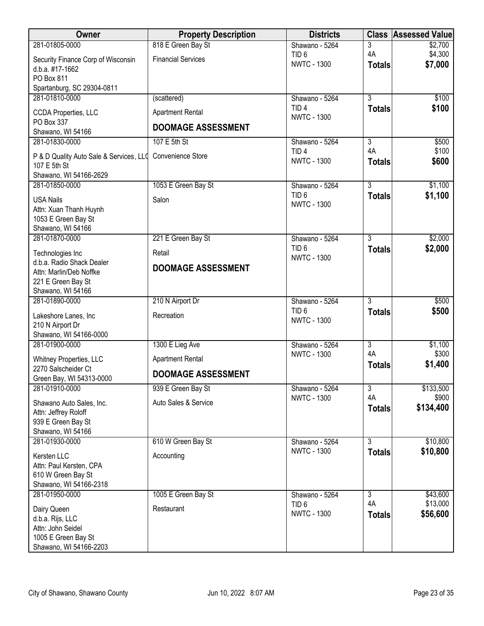| Owner                                                              | <b>Property Description</b> | <b>Districts</b>                       |                           | <b>Class Assessed Value</b> |
|--------------------------------------------------------------------|-----------------------------|----------------------------------------|---------------------------|-----------------------------|
| 281-01805-0000                                                     | 818 E Green Bay St          | Shawano - 5264                         | 3                         | \$2,700                     |
| Security Finance Corp of Wisconsin                                 | <b>Financial Services</b>   | TID <sub>6</sub><br><b>NWTC - 1300</b> | 4A                        | \$4,300                     |
| d.b.a. #17-1662                                                    |                             |                                        | <b>Totals</b>             | \$7,000                     |
| PO Box 811                                                         |                             |                                        |                           |                             |
| Spartanburg, SC 29304-0811<br>281-01810-0000                       | (scattered)                 | Shawano - 5264                         | $\overline{3}$            | \$100                       |
|                                                                    |                             | TID <sub>4</sub>                       | <b>Totals</b>             | \$100                       |
| <b>CCDA Properties, LLC</b>                                        | <b>Apartment Rental</b>     | <b>NWTC - 1300</b>                     |                           |                             |
| PO Box 337<br>Shawano, WI 54166                                    | <b>DOOMAGE ASSESSMENT</b>   |                                        |                           |                             |
| 281-01830-0000                                                     | 107 E 5th St                | Shawano - 5264                         | $\overline{\overline{3}}$ | \$500                       |
| P & D Quality Auto Sale & Services, LLO<br>107 E 5th St            | Convenience Store           | TID <sub>4</sub><br><b>NWTC - 1300</b> | 4A<br><b>Totals</b>       | \$100<br>\$600              |
| Shawano, WI 54166-2629<br>281-01850-0000                           | 1053 E Green Bay St         | Shawano - 5264                         | $\overline{3}$            | \$1,100                     |
|                                                                    |                             | TID <sub>6</sub>                       | <b>Totals</b>             | \$1,100                     |
| <b>USA Nails</b>                                                   | Salon                       | <b>NWTC - 1300</b>                     |                           |                             |
| Attn: Xuan Thanh Huynh<br>1053 E Green Bay St<br>Shawano, WI 54166 |                             |                                        |                           |                             |
| 281-01870-0000                                                     | 221 E Green Bay St          | Shawano - 5264                         | $\overline{3}$            | \$2,000                     |
| Technologies Inc                                                   | Retail                      | TID <sub>6</sub>                       | <b>Totals</b>             | \$2,000                     |
| d.b.a. Radio Shack Dealer<br>Attn: Marlin/Deb Noffke               | <b>DOOMAGE ASSESSMENT</b>   | <b>NWTC - 1300</b>                     |                           |                             |
| 221 E Green Bay St<br>Shawano, WI 54166                            |                             |                                        |                           |                             |
| 281-01890-0000                                                     | 210 N Airport Dr            | Shawano - 5264                         | $\overline{3}$            | \$500                       |
| Lakeshore Lanes, Inc                                               | Recreation                  | TID <sub>6</sub>                       | <b>Totals</b>             | \$500                       |
| 210 N Airport Dr                                                   |                             | <b>NWTC - 1300</b>                     |                           |                             |
| Shawano, WI 54166-0000                                             |                             |                                        |                           |                             |
| 281-01900-0000                                                     | 1300 E Lieg Ave             | Shawano - 5264                         | $\overline{3}$<br>4A      | \$1,100<br>\$300            |
| Whitney Properties, LLC                                            | <b>Apartment Rental</b>     | <b>NWTC - 1300</b>                     | <b>Totals</b>             | \$1,400                     |
| 2270 Salscheider Ct                                                | <b>DOOMAGE ASSESSMENT</b>   |                                        |                           |                             |
| Green Bay, WI 54313-0000<br>281-01910-0000                         | 939 E Green Bay St          | Shawano - 5264                         | $\overline{3}$            | \$133,500                   |
|                                                                    |                             | <b>NWTC - 1300</b>                     | 4A                        | \$900                       |
| Shawano Auto Sales, Inc.<br>Attn: Jeffrey Roloff                   | Auto Sales & Service        |                                        | <b>Totals</b>             | \$134,400                   |
| 939 E Green Bay St                                                 |                             |                                        |                           |                             |
| Shawano, WI 54166                                                  |                             |                                        |                           |                             |
| 281-01930-0000                                                     | 610 W Green Bay St          | Shawano - 5264                         | $\overline{3}$            | \$10,800                    |
| Kersten LLC                                                        | Accounting                  | <b>NWTC - 1300</b>                     | <b>Totals</b>             | \$10,800                    |
| Attn: Paul Kersten, CPA                                            |                             |                                        |                           |                             |
| 610 W Green Bay St                                                 |                             |                                        |                           |                             |
| Shawano, WI 54166-2318                                             |                             |                                        |                           |                             |
| 281-01950-0000                                                     | 1005 E Green Bay St         | Shawano - 5264<br>TID <sub>6</sub>     | $\overline{3}$<br>4A      | \$43,600<br>\$13,000        |
| Dairy Queen                                                        | Restaurant                  | <b>NWTC - 1300</b>                     | <b>Totals</b>             | \$56,600                    |
| d.b.a. Rijs, LLC                                                   |                             |                                        |                           |                             |
| Attn: John Seidel<br>1005 E Green Bay St                           |                             |                                        |                           |                             |
| Shawano, WI 54166-2203                                             |                             |                                        |                           |                             |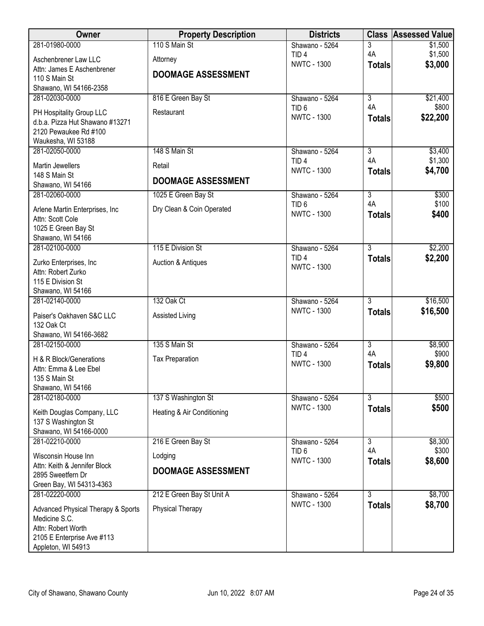| Owner                                               | <b>Property Description</b>   | <b>Districts</b>                       | <b>Class</b>   | <b>Assessed Value</b> |
|-----------------------------------------------------|-------------------------------|----------------------------------------|----------------|-----------------------|
| 281-01980-0000                                      | 110 S Main St                 | Shawano - 5264                         | 3              | \$1,500               |
| Aschenbrener Law LLC                                | Attorney                      | TID <sub>4</sub>                       | 4A             | \$1,500               |
| Attn: James E Aschenbrener                          |                               | <b>NWTC - 1300</b>                     | <b>Totals</b>  | \$3,000               |
| 110 S Main St                                       | <b>DOOMAGE ASSESSMENT</b>     |                                        |                |                       |
| Shawano, WI 54166-2358                              |                               |                                        |                |                       |
| 281-02030-0000                                      | 816 E Green Bay St            | Shawano - 5264                         | $\overline{3}$ | \$21,400              |
| PH Hospitality Group LLC                            | Restaurant                    | TID <sub>6</sub><br><b>NWTC - 1300</b> | 4A             | \$800                 |
| d.b.a. Pizza Hut Shawano #13271                     |                               |                                        | <b>Totals</b>  | \$22,200              |
| 2120 Pewaukee Rd #100                               |                               |                                        |                |                       |
| Waukesha, WI 53188<br>281-02050-0000                | 148 S Main St                 | Shawano - 5264                         | $\overline{3}$ | \$3,400               |
|                                                     |                               | TID <sub>4</sub>                       | 4A             | \$1,300               |
| <b>Martin Jewellers</b><br>148 S Main St            | Retail                        | <b>NWTC - 1300</b>                     | <b>Totals</b>  | \$4,700               |
| Shawano, WI 54166                                   | <b>DOOMAGE ASSESSMENT</b>     |                                        |                |                       |
| 281-02060-0000                                      | 1025 E Green Bay St           | Shawano - 5264                         | $\overline{3}$ | \$300                 |
| Arlene Martin Enterprises, Inc.                     | Dry Clean & Coin Operated     | TID <sub>6</sub>                       | 4A             | \$100                 |
| Attn: Scott Cole                                    |                               | <b>NWTC - 1300</b>                     | <b>Totals</b>  | \$400                 |
| 1025 E Green Bay St                                 |                               |                                        |                |                       |
| Shawano, WI 54166<br>281-02100-0000                 | 115 E Division St             |                                        | $\overline{3}$ | \$2,200               |
|                                                     |                               | Shawano - 5264<br>TID <sub>4</sub>     | <b>Totals</b>  | \$2,200               |
| Zurko Enterprises, Inc                              | <b>Auction &amp; Antiques</b> | <b>NWTC - 1300</b>                     |                |                       |
| Attn: Robert Zurko<br>115 E Division St             |                               |                                        |                |                       |
| Shawano, WI 54166                                   |                               |                                        |                |                       |
| 281-02140-0000                                      | 132 Oak Ct                    | Shawano - 5264                         | $\overline{3}$ | \$16,500              |
| Paiser's Oakhaven S&C LLC                           | Assisted Living               | <b>NWTC - 1300</b>                     | <b>Totals</b>  | \$16,500              |
| 132 Oak Ct                                          |                               |                                        |                |                       |
| Shawano, WI 54166-3682                              |                               |                                        |                |                       |
| 281-02150-0000                                      | 135 S Main St                 | Shawano - 5264                         | $\overline{3}$ | \$8,900               |
| H & R Block/Generations                             | <b>Tax Preparation</b>        | TID <sub>4</sub>                       | 4A             | \$900                 |
| Attn: Emma & Lee Ebel                               |                               | <b>NWTC - 1300</b>                     | <b>Totals</b>  | \$9,800               |
| 135 S Main St                                       |                               |                                        |                |                       |
| Shawano, WI 54166                                   |                               |                                        |                |                       |
| 281-02180-0000                                      | 137 S Washington St           | Shawano - 5264                         | 3              | \$500                 |
| Keith Douglas Company, LLC                          | Heating & Air Conditioning    | <b>NWTC - 1300</b>                     | <b>Totals</b>  | \$500                 |
| 137 S Washington St                                 |                               |                                        |                |                       |
| Shawano, WI 54166-0000                              |                               |                                        |                |                       |
| 281-02210-0000                                      | 216 E Green Bay St            | Shawano - 5264<br>TID <sub>6</sub>     | 3<br>4A        | \$8,300<br>\$300      |
| Wisconsin House Inn                                 | Lodging                       | <b>NWTC - 1300</b>                     | <b>Totals</b>  | \$8,600               |
| Attn: Keith & Jennifer Block                        | <b>DOOMAGE ASSESSMENT</b>     |                                        |                |                       |
| 2895 Sweetfern Dr<br>Green Bay, WI 54313-4363       |                               |                                        |                |                       |
| 281-02220-0000                                      | 212 E Green Bay St Unit A     | Shawano - 5264                         | $\overline{3}$ | \$8,700               |
|                                                     |                               | <b>NWTC - 1300</b>                     | <b>Totals</b>  | \$8,700               |
| Advanced Physical Therapy & Sports<br>Medicine S.C. | Physical Therapy              |                                        |                |                       |
| Attn: Robert Worth                                  |                               |                                        |                |                       |
| 2105 E Enterprise Ave #113                          |                               |                                        |                |                       |
| Appleton, WI 54913                                  |                               |                                        |                |                       |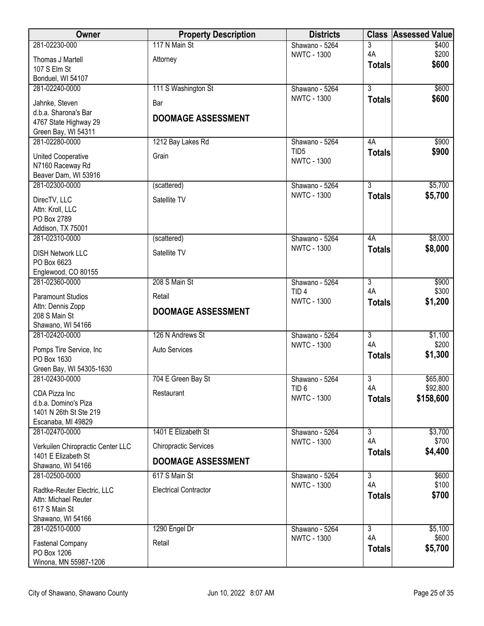| Owner                                          | <b>Property Description</b>  | <b>Districts</b>                       | <b>Class</b>         | <b>Assessed Value</b> |
|------------------------------------------------|------------------------------|----------------------------------------|----------------------|-----------------------|
| 281-02230-000                                  | 117 N Main St                | Shawano - 5264                         | 3                    | \$400                 |
| Thomas J Martell                               | Attorney                     | <b>NWTC - 1300</b>                     | 4A<br><b>Totals</b>  | \$200<br>\$600        |
| 107 S Elm St                                   |                              |                                        |                      |                       |
| Bonduel, WI 54107<br>281-02240-0000            | 111 S Washington St          | Shawano - 5264                         | $\overline{3}$       | \$600                 |
|                                                |                              | <b>NWTC - 1300</b>                     | <b>Totals</b>        | \$600                 |
| Jahnke, Steven<br>d.b.a. Sharona's Bar         | Bar                          |                                        |                      |                       |
| 4767 State Highway 29                          | <b>DOOMAGE ASSESSMENT</b>    |                                        |                      |                       |
| Green Bay, WI 54311                            |                              |                                        |                      |                       |
| 281-02280-0000                                 | 1212 Bay Lakes Rd            | Shawano - 5264                         | 4A                   | \$900                 |
| United Cooperative                             | Grain                        | TID <sub>5</sub><br><b>NWTC - 1300</b> | <b>Totals</b>        | \$900                 |
| N7160 Raceway Rd                               |                              |                                        |                      |                       |
| Beaver Dam, WI 53916<br>281-02300-0000         | (scattered)                  | Shawano - 5264                         | $\overline{3}$       | \$5,700               |
|                                                |                              | <b>NWTC - 1300</b>                     | <b>Totals</b>        | \$5,700               |
| DirecTV, LLC<br>Attn: Kroll, LLC               | Satellite TV                 |                                        |                      |                       |
| PO Box 2789                                    |                              |                                        |                      |                       |
| Addison, TX 75001                              |                              |                                        |                      |                       |
| 281-02310-0000                                 | (scattered)                  | Shawano - 5264                         | 4A                   | \$8,000               |
| <b>DISH Network LLC</b>                        | Satellite TV                 | <b>NWTC - 1300</b>                     | <b>Totals</b>        | \$8,000               |
| PO Box 6623                                    |                              |                                        |                      |                       |
| Englewood, CO 80155                            |                              |                                        |                      |                       |
| 281-02360-0000                                 | 208 S Main St                | Shawano - 5264<br>TID <sub>4</sub>     | $\overline{3}$<br>4A | \$900<br>\$300        |
| <b>Paramount Studios</b>                       | Retail                       | <b>NWTC - 1300</b>                     | <b>Totals</b>        | \$1,200               |
| Attn: Dennis Zopp<br>208 S Main St             | <b>DOOMAGE ASSESSMENT</b>    |                                        |                      |                       |
| Shawano, WI 54166                              |                              |                                        |                      |                       |
| 281-02420-0000                                 | 126 N Andrews St             | Shawano - 5264                         | $\overline{3}$       | \$1,100               |
| Pomps Tire Service, Inc                        | Auto Services                | <b>NWTC - 1300</b>                     | 4A                   | \$200                 |
| PO Box 1630                                    |                              |                                        | <b>Totals</b>        | \$1,300               |
| Green Bay, WI 54305-1630                       |                              |                                        |                      |                       |
| 281-02430-0000                                 | 704 E Green Bay St           | Shawano - 5264<br>TID <sub>6</sub>     | 3<br>4A              | \$65,800<br>\$92,800  |
| CDA Pizza Inc                                  | Restaurant                   | <b>NWTC - 1300</b>                     | <b>Totals</b>        | \$158,600             |
| d.b.a. Domino's Piza<br>1401 N 26th St Ste 219 |                              |                                        |                      |                       |
| Escanaba, MI 49829                             |                              |                                        |                      |                       |
| 281-02470-0000                                 | 1401 E Elizabeth St          | Shawano - 5264                         | $\overline{3}$       | \$3,700               |
| Verkuilen Chiropractic Center LLC              | <b>Chiropractic Services</b> | <b>NWTC - 1300</b>                     | 4A<br><b>Totals</b>  | \$700<br>\$4,400      |
| 1401 E Elizabeth St<br>Shawano, WI 54166       | <b>DOOMAGE ASSESSMENT</b>    |                                        |                      |                       |
| 281-02500-0000                                 | 617 S Main St                | Shawano - 5264                         | $\overline{3}$       | \$600                 |
| Radtke-Reuter Electric, LLC                    | <b>Electrical Contractor</b> | <b>NWTC - 1300</b>                     | 4A                   | \$100                 |
| Attn: Michael Reuter                           |                              |                                        | <b>Totals</b>        | \$700                 |
| 617 S Main St                                  |                              |                                        |                      |                       |
| Shawano, WI 54166                              |                              |                                        |                      |                       |
| 281-02510-0000                                 | 1290 Engel Dr                | Shawano - 5264<br><b>NWTC - 1300</b>   | $\overline{3}$<br>4A | \$5,100<br>\$600      |
| <b>Fastenal Company</b>                        | Retail                       |                                        | <b>Totals</b>        | \$5,700               |
| PO Box 1206<br>Winona, MN 55987-1206           |                              |                                        |                      |                       |
|                                                |                              |                                        |                      |                       |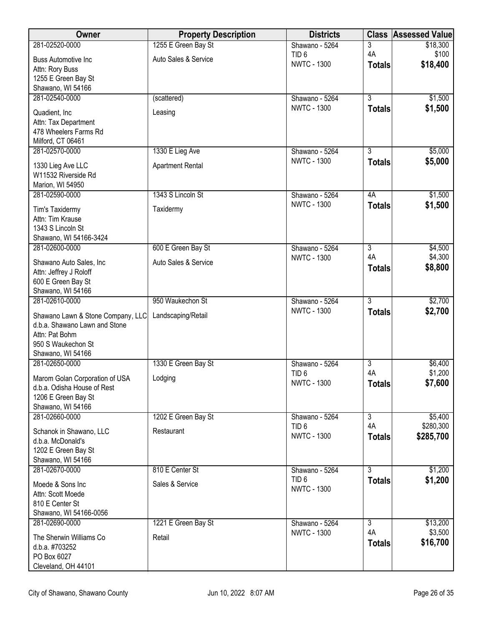| Owner                                                              | <b>Property Description</b> | <b>Districts</b>                       | <b>Class</b>         | <b>Assessed Value</b> |
|--------------------------------------------------------------------|-----------------------------|----------------------------------------|----------------------|-----------------------|
| 281-02520-0000                                                     | 1255 E Green Bay St         | Shawano - 5264                         | 3                    | \$18,300              |
| <b>Buss Automotive Inc.</b>                                        | Auto Sales & Service        | TID <sub>6</sub><br><b>NWTC - 1300</b> | 4A                   | \$100<br>\$18,400     |
| Attn: Rory Buss                                                    |                             |                                        | <b>Totals</b>        |                       |
| 1255 E Green Bay St                                                |                             |                                        |                      |                       |
| Shawano, WI 54166<br>281-02540-0000                                | (scattered)                 | Shawano - 5264                         | $\overline{3}$       | \$1,500               |
|                                                                    |                             | <b>NWTC - 1300</b>                     | <b>Totals</b>        | \$1,500               |
| Quadient, Inc.<br>Attn: Tax Department                             | Leasing                     |                                        |                      |                       |
| 478 Wheelers Farms Rd                                              |                             |                                        |                      |                       |
| Milford, CT 06461                                                  |                             |                                        |                      |                       |
| 281-02570-0000                                                     | 1330 E Lieg Ave             | Shawano - 5264                         | $\overline{3}$       | \$5,000               |
| 1330 Lieg Ave LLC                                                  | <b>Apartment Rental</b>     | <b>NWTC - 1300</b>                     | <b>Totals</b>        | \$5,000               |
| W11532 Riverside Rd                                                |                             |                                        |                      |                       |
| Marion, WI 54950                                                   |                             |                                        |                      |                       |
| 281-02590-0000                                                     | 1343 S Lincoln St           | Shawano - 5264                         | 4A                   | \$1,500               |
| Tim's Taxidermy                                                    | Taxidermy                   | <b>NWTC - 1300</b>                     | <b>Totals</b>        | \$1,500               |
| Attn: Tim Krause                                                   |                             |                                        |                      |                       |
| 1343 S Lincoln St                                                  |                             |                                        |                      |                       |
| Shawano, WI 54166-3424                                             |                             |                                        |                      |                       |
| 281-02600-0000                                                     | 600 E Green Bay St          | Shawano - 5264<br><b>NWTC - 1300</b>   | $\overline{3}$<br>4A | \$4,500<br>\$4,300    |
| Shawano Auto Sales, Inc                                            | Auto Sales & Service        |                                        | <b>Totals</b>        | \$8,800               |
| Attn: Jeffrey J Roloff                                             |                             |                                        |                      |                       |
| 600 E Green Bay St<br>Shawano, WI 54166                            |                             |                                        |                      |                       |
| 281-02610-0000                                                     | 950 Waukechon St            | Shawano - 5264                         | $\overline{3}$       | \$2,700               |
|                                                                    |                             | <b>NWTC - 1300</b>                     | <b>Totals</b>        | \$2,700               |
| Shawano Lawn & Stone Company, LLC<br>d.b.a. Shawano Lawn and Stone | Landscaping/Retail          |                                        |                      |                       |
| Attn: Pat Bohm                                                     |                             |                                        |                      |                       |
| 950 S Waukechon St                                                 |                             |                                        |                      |                       |
| Shawano, WI 54166                                                  |                             |                                        |                      |                       |
| 281-02650-0000                                                     | 1330 E Green Bay St         | Shawano - 5264                         | $\overline{3}$       | \$6,400               |
| Marom Golan Corporation of USA                                     | Lodging                     | TID <sub>6</sub><br><b>NWTC - 1300</b> | 4A                   | \$1,200               |
| d.b.a. Odisha House of Rest                                        |                             |                                        | <b>Totals</b>        | \$7,600               |
| 1206 E Green Bay St                                                |                             |                                        |                      |                       |
| Shawano, WI 54166<br>281-02660-0000                                | 1202 E Green Bay St         | Shawano - 5264                         | $\overline{3}$       | \$5,400               |
|                                                                    |                             | TID <sub>6</sub>                       | 4A                   | \$280,300             |
| Schanok in Shawano, LLC<br>d.b.a. McDonald's                       | Restaurant                  | <b>NWTC - 1300</b>                     | <b>Totals</b>        | \$285,700             |
| 1202 E Green Bay St                                                |                             |                                        |                      |                       |
| Shawano, WI 54166                                                  |                             |                                        |                      |                       |
| 281-02670-0000                                                     | 810 E Center St             | Shawano - 5264                         | $\overline{3}$       | \$1,200               |
| Moede & Sons Inc                                                   | Sales & Service             | TID <sub>6</sub>                       | <b>Totals</b>        | \$1,200               |
| Attn: Scott Moede                                                  |                             | <b>NWTC - 1300</b>                     |                      |                       |
| 810 E Center St                                                    |                             |                                        |                      |                       |
| Shawano, WI 54166-0056                                             |                             |                                        |                      |                       |
| 281-02690-0000                                                     | 1221 E Green Bay St         | Shawano - 5264                         | 3                    | \$13,200              |
| The Sherwin Williams Co                                            | Retail                      | <b>NWTC - 1300</b>                     | 4A<br><b>Totals</b>  | \$3,500<br>\$16,700   |
| d.b.a. #703252                                                     |                             |                                        |                      |                       |
| PO Box 6027                                                        |                             |                                        |                      |                       |
| Cleveland, OH 44101                                                |                             |                                        |                      |                       |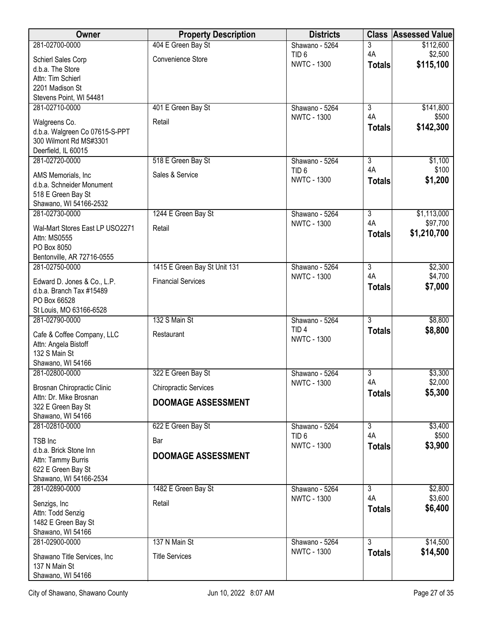| 281-02700-0000<br>\$112,600<br>Shawano - 5264<br>3<br>4A<br>\$2,500<br>TID <sub>6</sub><br>Convenience Store<br>Schierl Sales Corp<br><b>NWTC - 1300</b><br>\$115,100<br><b>Totals</b><br>d.b.a. The Store<br>Attn: Tim Schierl<br>2201 Madison St<br>Stevens Point, WI 54481<br>401 E Green Bay St<br>281-02710-0000<br>$\overline{3}$<br>\$141,800<br>Shawano - 5264<br>4A<br>\$500<br><b>NWTC - 1300</b><br>Walgreens Co.<br>Retail<br>\$142,300<br><b>Totals</b><br>d.b.a. Walgreen Co 07615-S-PPT<br>300 Wilmont Rd MS#3301<br>Deerfield, IL 60015<br>518 E Green Bay St<br>$\overline{3}$<br>\$1,100<br>281-02720-0000<br>Shawano - 5264<br>4A<br>\$100<br>TID <sub>6</sub><br>Sales & Service<br>AMS Memorials, Inc.<br><b>NWTC - 1300</b><br>\$1,200<br><b>Totals</b><br>d.b.a. Schneider Monument<br>518 E Green Bay St<br>Shawano, WI 54166-2532<br>281-02730-0000<br>$\overline{3}$<br>1244 E Green Bay St<br>\$1,113,000<br>Shawano - 5264<br>4A<br>\$97,700<br><b>NWTC - 1300</b><br>Wal-Mart Stores East LP USO2271<br>Retail<br>\$1,210,700<br><b>Totals</b><br>Attn: MS0555<br>PO Box 8050<br>Bentonville, AR 72716-0555<br>1415 E Green Bay St Unit 131<br>281-02750-0000<br>Shawano - 5264<br>$\overline{3}$<br>\$2,300<br>4A<br>\$4,700<br><b>NWTC - 1300</b><br><b>Financial Services</b><br>Edward D. Jones & Co., L.P.<br>\$7,000<br><b>Totals</b><br>d.b.a. Branch Tax #15489<br>PO Box 66528<br>St Louis, MO 63166-6528<br>132 S Main St<br>$\overline{3}$<br>\$8,800<br>281-02790-0000<br>Shawano - 5264<br>TID <sub>4</sub><br>\$8,800<br><b>Totals</b><br>Cafe & Coffee Company, LLC<br>Restaurant<br><b>NWTC - 1300</b><br>Attn: Angela Bistoff<br>132 S Main St<br>Shawano, WI 54166<br>281-02800-0000<br>322 E Green Bay St<br>$\overline{3}$<br>\$3,300<br>Shawano - 5264<br>\$2,000<br>4A<br><b>NWTC - 1300</b><br><b>Chiropractic Services</b><br>Brosnan Chiropractic Clinic<br>\$5,300<br><b>Totals</b><br>Attn: Dr. Mike Brosnan<br><b>DOOMAGE ASSESSMENT</b><br>322 E Green Bay St<br>Shawano, WI 54166<br>622 E Green Bay St<br>281-02810-0000<br>$\overline{3}$<br>\$3,400<br>Shawano - 5264<br>4A<br>TID <sub>6</sub><br>\$500<br><b>TSB Inc</b><br>Bar<br><b>NWTC - 1300</b><br>\$3,900<br><b>Totals</b><br>d.b.a. Brick Stone Inn<br><b>DOOMAGE ASSESSMENT</b><br>Attn: Tammy Burris<br>622 E Green Bay St<br>Shawano, WI 54166-2534<br>281-02890-0000<br>1482 E Green Bay St<br>$\overline{3}$<br>\$2,800<br>Shawano - 5264<br>\$3,600<br>4A<br><b>NWTC - 1300</b><br>Retail<br>Senzigs, Inc<br>\$6,400<br><b>Totals</b><br>Attn: Todd Senzig<br>1482 E Green Bay St<br>Shawano, WI 54166<br>281-02900-0000<br>137 N Main St<br>$\overline{3}$<br>\$14,500<br>Shawano - 5264<br>\$14,500<br><b>NWTC - 1300</b><br><b>Totals</b><br><b>Title Services</b><br>Shawano Title Services, Inc | <b>Owner</b> | <b>Property Description</b> | <b>Districts</b> | <b>Class</b> | <b>Assessed Value</b> |
|------------------------------------------------------------------------------------------------------------------------------------------------------------------------------------------------------------------------------------------------------------------------------------------------------------------------------------------------------------------------------------------------------------------------------------------------------------------------------------------------------------------------------------------------------------------------------------------------------------------------------------------------------------------------------------------------------------------------------------------------------------------------------------------------------------------------------------------------------------------------------------------------------------------------------------------------------------------------------------------------------------------------------------------------------------------------------------------------------------------------------------------------------------------------------------------------------------------------------------------------------------------------------------------------------------------------------------------------------------------------------------------------------------------------------------------------------------------------------------------------------------------------------------------------------------------------------------------------------------------------------------------------------------------------------------------------------------------------------------------------------------------------------------------------------------------------------------------------------------------------------------------------------------------------------------------------------------------------------------------------------------------------------------------------------------------------------------------------------------------------------------------------------------------------------------------------------------------------------------------------------------------------------------------------------------------------------------------------------------------------------------------------------------------------------------------------------------------------------------------------------------------------------------------------------------------------------------------------------------------------------------------------------------------------------------------------------------------------------------------------------------------------------------------------------------------------------------|--------------|-----------------------------|------------------|--------------|-----------------------|
|                                                                                                                                                                                                                                                                                                                                                                                                                                                                                                                                                                                                                                                                                                                                                                                                                                                                                                                                                                                                                                                                                                                                                                                                                                                                                                                                                                                                                                                                                                                                                                                                                                                                                                                                                                                                                                                                                                                                                                                                                                                                                                                                                                                                                                                                                                                                                                                                                                                                                                                                                                                                                                                                                                                                                                                                                                    |              | 404 E Green Bay St          |                  |              |                       |
|                                                                                                                                                                                                                                                                                                                                                                                                                                                                                                                                                                                                                                                                                                                                                                                                                                                                                                                                                                                                                                                                                                                                                                                                                                                                                                                                                                                                                                                                                                                                                                                                                                                                                                                                                                                                                                                                                                                                                                                                                                                                                                                                                                                                                                                                                                                                                                                                                                                                                                                                                                                                                                                                                                                                                                                                                                    |              |                             |                  |              |                       |
|                                                                                                                                                                                                                                                                                                                                                                                                                                                                                                                                                                                                                                                                                                                                                                                                                                                                                                                                                                                                                                                                                                                                                                                                                                                                                                                                                                                                                                                                                                                                                                                                                                                                                                                                                                                                                                                                                                                                                                                                                                                                                                                                                                                                                                                                                                                                                                                                                                                                                                                                                                                                                                                                                                                                                                                                                                    |              |                             |                  |              |                       |
|                                                                                                                                                                                                                                                                                                                                                                                                                                                                                                                                                                                                                                                                                                                                                                                                                                                                                                                                                                                                                                                                                                                                                                                                                                                                                                                                                                                                                                                                                                                                                                                                                                                                                                                                                                                                                                                                                                                                                                                                                                                                                                                                                                                                                                                                                                                                                                                                                                                                                                                                                                                                                                                                                                                                                                                                                                    |              |                             |                  |              |                       |
|                                                                                                                                                                                                                                                                                                                                                                                                                                                                                                                                                                                                                                                                                                                                                                                                                                                                                                                                                                                                                                                                                                                                                                                                                                                                                                                                                                                                                                                                                                                                                                                                                                                                                                                                                                                                                                                                                                                                                                                                                                                                                                                                                                                                                                                                                                                                                                                                                                                                                                                                                                                                                                                                                                                                                                                                                                    |              |                             |                  |              |                       |
|                                                                                                                                                                                                                                                                                                                                                                                                                                                                                                                                                                                                                                                                                                                                                                                                                                                                                                                                                                                                                                                                                                                                                                                                                                                                                                                                                                                                                                                                                                                                                                                                                                                                                                                                                                                                                                                                                                                                                                                                                                                                                                                                                                                                                                                                                                                                                                                                                                                                                                                                                                                                                                                                                                                                                                                                                                    |              |                             |                  |              |                       |
|                                                                                                                                                                                                                                                                                                                                                                                                                                                                                                                                                                                                                                                                                                                                                                                                                                                                                                                                                                                                                                                                                                                                                                                                                                                                                                                                                                                                                                                                                                                                                                                                                                                                                                                                                                                                                                                                                                                                                                                                                                                                                                                                                                                                                                                                                                                                                                                                                                                                                                                                                                                                                                                                                                                                                                                                                                    |              |                             |                  |              |                       |
|                                                                                                                                                                                                                                                                                                                                                                                                                                                                                                                                                                                                                                                                                                                                                                                                                                                                                                                                                                                                                                                                                                                                                                                                                                                                                                                                                                                                                                                                                                                                                                                                                                                                                                                                                                                                                                                                                                                                                                                                                                                                                                                                                                                                                                                                                                                                                                                                                                                                                                                                                                                                                                                                                                                                                                                                                                    |              |                             |                  |              |                       |
|                                                                                                                                                                                                                                                                                                                                                                                                                                                                                                                                                                                                                                                                                                                                                                                                                                                                                                                                                                                                                                                                                                                                                                                                                                                                                                                                                                                                                                                                                                                                                                                                                                                                                                                                                                                                                                                                                                                                                                                                                                                                                                                                                                                                                                                                                                                                                                                                                                                                                                                                                                                                                                                                                                                                                                                                                                    |              |                             |                  |              |                       |
|                                                                                                                                                                                                                                                                                                                                                                                                                                                                                                                                                                                                                                                                                                                                                                                                                                                                                                                                                                                                                                                                                                                                                                                                                                                                                                                                                                                                                                                                                                                                                                                                                                                                                                                                                                                                                                                                                                                                                                                                                                                                                                                                                                                                                                                                                                                                                                                                                                                                                                                                                                                                                                                                                                                                                                                                                                    |              |                             |                  |              |                       |
|                                                                                                                                                                                                                                                                                                                                                                                                                                                                                                                                                                                                                                                                                                                                                                                                                                                                                                                                                                                                                                                                                                                                                                                                                                                                                                                                                                                                                                                                                                                                                                                                                                                                                                                                                                                                                                                                                                                                                                                                                                                                                                                                                                                                                                                                                                                                                                                                                                                                                                                                                                                                                                                                                                                                                                                                                                    |              |                             |                  |              |                       |
|                                                                                                                                                                                                                                                                                                                                                                                                                                                                                                                                                                                                                                                                                                                                                                                                                                                                                                                                                                                                                                                                                                                                                                                                                                                                                                                                                                                                                                                                                                                                                                                                                                                                                                                                                                                                                                                                                                                                                                                                                                                                                                                                                                                                                                                                                                                                                                                                                                                                                                                                                                                                                                                                                                                                                                                                                                    |              |                             |                  |              |                       |
|                                                                                                                                                                                                                                                                                                                                                                                                                                                                                                                                                                                                                                                                                                                                                                                                                                                                                                                                                                                                                                                                                                                                                                                                                                                                                                                                                                                                                                                                                                                                                                                                                                                                                                                                                                                                                                                                                                                                                                                                                                                                                                                                                                                                                                                                                                                                                                                                                                                                                                                                                                                                                                                                                                                                                                                                                                    |              |                             |                  |              |                       |
|                                                                                                                                                                                                                                                                                                                                                                                                                                                                                                                                                                                                                                                                                                                                                                                                                                                                                                                                                                                                                                                                                                                                                                                                                                                                                                                                                                                                                                                                                                                                                                                                                                                                                                                                                                                                                                                                                                                                                                                                                                                                                                                                                                                                                                                                                                                                                                                                                                                                                                                                                                                                                                                                                                                                                                                                                                    |              |                             |                  |              |                       |
|                                                                                                                                                                                                                                                                                                                                                                                                                                                                                                                                                                                                                                                                                                                                                                                                                                                                                                                                                                                                                                                                                                                                                                                                                                                                                                                                                                                                                                                                                                                                                                                                                                                                                                                                                                                                                                                                                                                                                                                                                                                                                                                                                                                                                                                                                                                                                                                                                                                                                                                                                                                                                                                                                                                                                                                                                                    |              |                             |                  |              |                       |
|                                                                                                                                                                                                                                                                                                                                                                                                                                                                                                                                                                                                                                                                                                                                                                                                                                                                                                                                                                                                                                                                                                                                                                                                                                                                                                                                                                                                                                                                                                                                                                                                                                                                                                                                                                                                                                                                                                                                                                                                                                                                                                                                                                                                                                                                                                                                                                                                                                                                                                                                                                                                                                                                                                                                                                                                                                    |              |                             |                  |              |                       |
|                                                                                                                                                                                                                                                                                                                                                                                                                                                                                                                                                                                                                                                                                                                                                                                                                                                                                                                                                                                                                                                                                                                                                                                                                                                                                                                                                                                                                                                                                                                                                                                                                                                                                                                                                                                                                                                                                                                                                                                                                                                                                                                                                                                                                                                                                                                                                                                                                                                                                                                                                                                                                                                                                                                                                                                                                                    |              |                             |                  |              |                       |
|                                                                                                                                                                                                                                                                                                                                                                                                                                                                                                                                                                                                                                                                                                                                                                                                                                                                                                                                                                                                                                                                                                                                                                                                                                                                                                                                                                                                                                                                                                                                                                                                                                                                                                                                                                                                                                                                                                                                                                                                                                                                                                                                                                                                                                                                                                                                                                                                                                                                                                                                                                                                                                                                                                                                                                                                                                    |              |                             |                  |              |                       |
|                                                                                                                                                                                                                                                                                                                                                                                                                                                                                                                                                                                                                                                                                                                                                                                                                                                                                                                                                                                                                                                                                                                                                                                                                                                                                                                                                                                                                                                                                                                                                                                                                                                                                                                                                                                                                                                                                                                                                                                                                                                                                                                                                                                                                                                                                                                                                                                                                                                                                                                                                                                                                                                                                                                                                                                                                                    |              |                             |                  |              |                       |
|                                                                                                                                                                                                                                                                                                                                                                                                                                                                                                                                                                                                                                                                                                                                                                                                                                                                                                                                                                                                                                                                                                                                                                                                                                                                                                                                                                                                                                                                                                                                                                                                                                                                                                                                                                                                                                                                                                                                                                                                                                                                                                                                                                                                                                                                                                                                                                                                                                                                                                                                                                                                                                                                                                                                                                                                                                    |              |                             |                  |              |                       |
|                                                                                                                                                                                                                                                                                                                                                                                                                                                                                                                                                                                                                                                                                                                                                                                                                                                                                                                                                                                                                                                                                                                                                                                                                                                                                                                                                                                                                                                                                                                                                                                                                                                                                                                                                                                                                                                                                                                                                                                                                                                                                                                                                                                                                                                                                                                                                                                                                                                                                                                                                                                                                                                                                                                                                                                                                                    |              |                             |                  |              |                       |
|                                                                                                                                                                                                                                                                                                                                                                                                                                                                                                                                                                                                                                                                                                                                                                                                                                                                                                                                                                                                                                                                                                                                                                                                                                                                                                                                                                                                                                                                                                                                                                                                                                                                                                                                                                                                                                                                                                                                                                                                                                                                                                                                                                                                                                                                                                                                                                                                                                                                                                                                                                                                                                                                                                                                                                                                                                    |              |                             |                  |              |                       |
|                                                                                                                                                                                                                                                                                                                                                                                                                                                                                                                                                                                                                                                                                                                                                                                                                                                                                                                                                                                                                                                                                                                                                                                                                                                                                                                                                                                                                                                                                                                                                                                                                                                                                                                                                                                                                                                                                                                                                                                                                                                                                                                                                                                                                                                                                                                                                                                                                                                                                                                                                                                                                                                                                                                                                                                                                                    |              |                             |                  |              |                       |
|                                                                                                                                                                                                                                                                                                                                                                                                                                                                                                                                                                                                                                                                                                                                                                                                                                                                                                                                                                                                                                                                                                                                                                                                                                                                                                                                                                                                                                                                                                                                                                                                                                                                                                                                                                                                                                                                                                                                                                                                                                                                                                                                                                                                                                                                                                                                                                                                                                                                                                                                                                                                                                                                                                                                                                                                                                    |              |                             |                  |              |                       |
|                                                                                                                                                                                                                                                                                                                                                                                                                                                                                                                                                                                                                                                                                                                                                                                                                                                                                                                                                                                                                                                                                                                                                                                                                                                                                                                                                                                                                                                                                                                                                                                                                                                                                                                                                                                                                                                                                                                                                                                                                                                                                                                                                                                                                                                                                                                                                                                                                                                                                                                                                                                                                                                                                                                                                                                                                                    |              |                             |                  |              |                       |
|                                                                                                                                                                                                                                                                                                                                                                                                                                                                                                                                                                                                                                                                                                                                                                                                                                                                                                                                                                                                                                                                                                                                                                                                                                                                                                                                                                                                                                                                                                                                                                                                                                                                                                                                                                                                                                                                                                                                                                                                                                                                                                                                                                                                                                                                                                                                                                                                                                                                                                                                                                                                                                                                                                                                                                                                                                    |              |                             |                  |              |                       |
|                                                                                                                                                                                                                                                                                                                                                                                                                                                                                                                                                                                                                                                                                                                                                                                                                                                                                                                                                                                                                                                                                                                                                                                                                                                                                                                                                                                                                                                                                                                                                                                                                                                                                                                                                                                                                                                                                                                                                                                                                                                                                                                                                                                                                                                                                                                                                                                                                                                                                                                                                                                                                                                                                                                                                                                                                                    |              |                             |                  |              |                       |
|                                                                                                                                                                                                                                                                                                                                                                                                                                                                                                                                                                                                                                                                                                                                                                                                                                                                                                                                                                                                                                                                                                                                                                                                                                                                                                                                                                                                                                                                                                                                                                                                                                                                                                                                                                                                                                                                                                                                                                                                                                                                                                                                                                                                                                                                                                                                                                                                                                                                                                                                                                                                                                                                                                                                                                                                                                    |              |                             |                  |              |                       |
|                                                                                                                                                                                                                                                                                                                                                                                                                                                                                                                                                                                                                                                                                                                                                                                                                                                                                                                                                                                                                                                                                                                                                                                                                                                                                                                                                                                                                                                                                                                                                                                                                                                                                                                                                                                                                                                                                                                                                                                                                                                                                                                                                                                                                                                                                                                                                                                                                                                                                                                                                                                                                                                                                                                                                                                                                                    |              |                             |                  |              |                       |
|                                                                                                                                                                                                                                                                                                                                                                                                                                                                                                                                                                                                                                                                                                                                                                                                                                                                                                                                                                                                                                                                                                                                                                                                                                                                                                                                                                                                                                                                                                                                                                                                                                                                                                                                                                                                                                                                                                                                                                                                                                                                                                                                                                                                                                                                                                                                                                                                                                                                                                                                                                                                                                                                                                                                                                                                                                    |              |                             |                  |              |                       |
|                                                                                                                                                                                                                                                                                                                                                                                                                                                                                                                                                                                                                                                                                                                                                                                                                                                                                                                                                                                                                                                                                                                                                                                                                                                                                                                                                                                                                                                                                                                                                                                                                                                                                                                                                                                                                                                                                                                                                                                                                                                                                                                                                                                                                                                                                                                                                                                                                                                                                                                                                                                                                                                                                                                                                                                                                                    |              |                             |                  |              |                       |
|                                                                                                                                                                                                                                                                                                                                                                                                                                                                                                                                                                                                                                                                                                                                                                                                                                                                                                                                                                                                                                                                                                                                                                                                                                                                                                                                                                                                                                                                                                                                                                                                                                                                                                                                                                                                                                                                                                                                                                                                                                                                                                                                                                                                                                                                                                                                                                                                                                                                                                                                                                                                                                                                                                                                                                                                                                    |              |                             |                  |              |                       |
|                                                                                                                                                                                                                                                                                                                                                                                                                                                                                                                                                                                                                                                                                                                                                                                                                                                                                                                                                                                                                                                                                                                                                                                                                                                                                                                                                                                                                                                                                                                                                                                                                                                                                                                                                                                                                                                                                                                                                                                                                                                                                                                                                                                                                                                                                                                                                                                                                                                                                                                                                                                                                                                                                                                                                                                                                                    |              |                             |                  |              |                       |
|                                                                                                                                                                                                                                                                                                                                                                                                                                                                                                                                                                                                                                                                                                                                                                                                                                                                                                                                                                                                                                                                                                                                                                                                                                                                                                                                                                                                                                                                                                                                                                                                                                                                                                                                                                                                                                                                                                                                                                                                                                                                                                                                                                                                                                                                                                                                                                                                                                                                                                                                                                                                                                                                                                                                                                                                                                    |              |                             |                  |              |                       |
|                                                                                                                                                                                                                                                                                                                                                                                                                                                                                                                                                                                                                                                                                                                                                                                                                                                                                                                                                                                                                                                                                                                                                                                                                                                                                                                                                                                                                                                                                                                                                                                                                                                                                                                                                                                                                                                                                                                                                                                                                                                                                                                                                                                                                                                                                                                                                                                                                                                                                                                                                                                                                                                                                                                                                                                                                                    |              |                             |                  |              |                       |
|                                                                                                                                                                                                                                                                                                                                                                                                                                                                                                                                                                                                                                                                                                                                                                                                                                                                                                                                                                                                                                                                                                                                                                                                                                                                                                                                                                                                                                                                                                                                                                                                                                                                                                                                                                                                                                                                                                                                                                                                                                                                                                                                                                                                                                                                                                                                                                                                                                                                                                                                                                                                                                                                                                                                                                                                                                    |              |                             |                  |              |                       |
|                                                                                                                                                                                                                                                                                                                                                                                                                                                                                                                                                                                                                                                                                                                                                                                                                                                                                                                                                                                                                                                                                                                                                                                                                                                                                                                                                                                                                                                                                                                                                                                                                                                                                                                                                                                                                                                                                                                                                                                                                                                                                                                                                                                                                                                                                                                                                                                                                                                                                                                                                                                                                                                                                                                                                                                                                                    |              |                             |                  |              |                       |
|                                                                                                                                                                                                                                                                                                                                                                                                                                                                                                                                                                                                                                                                                                                                                                                                                                                                                                                                                                                                                                                                                                                                                                                                                                                                                                                                                                                                                                                                                                                                                                                                                                                                                                                                                                                                                                                                                                                                                                                                                                                                                                                                                                                                                                                                                                                                                                                                                                                                                                                                                                                                                                                                                                                                                                                                                                    |              |                             |                  |              |                       |
|                                                                                                                                                                                                                                                                                                                                                                                                                                                                                                                                                                                                                                                                                                                                                                                                                                                                                                                                                                                                                                                                                                                                                                                                                                                                                                                                                                                                                                                                                                                                                                                                                                                                                                                                                                                                                                                                                                                                                                                                                                                                                                                                                                                                                                                                                                                                                                                                                                                                                                                                                                                                                                                                                                                                                                                                                                    |              |                             |                  |              |                       |
|                                                                                                                                                                                                                                                                                                                                                                                                                                                                                                                                                                                                                                                                                                                                                                                                                                                                                                                                                                                                                                                                                                                                                                                                                                                                                                                                                                                                                                                                                                                                                                                                                                                                                                                                                                                                                                                                                                                                                                                                                                                                                                                                                                                                                                                                                                                                                                                                                                                                                                                                                                                                                                                                                                                                                                                                                                    |              |                             |                  |              |                       |
|                                                                                                                                                                                                                                                                                                                                                                                                                                                                                                                                                                                                                                                                                                                                                                                                                                                                                                                                                                                                                                                                                                                                                                                                                                                                                                                                                                                                                                                                                                                                                                                                                                                                                                                                                                                                                                                                                                                                                                                                                                                                                                                                                                                                                                                                                                                                                                                                                                                                                                                                                                                                                                                                                                                                                                                                                                    |              |                             |                  |              |                       |
|                                                                                                                                                                                                                                                                                                                                                                                                                                                                                                                                                                                                                                                                                                                                                                                                                                                                                                                                                                                                                                                                                                                                                                                                                                                                                                                                                                                                                                                                                                                                                                                                                                                                                                                                                                                                                                                                                                                                                                                                                                                                                                                                                                                                                                                                                                                                                                                                                                                                                                                                                                                                                                                                                                                                                                                                                                    |              |                             |                  |              |                       |
|                                                                                                                                                                                                                                                                                                                                                                                                                                                                                                                                                                                                                                                                                                                                                                                                                                                                                                                                                                                                                                                                                                                                                                                                                                                                                                                                                                                                                                                                                                                                                                                                                                                                                                                                                                                                                                                                                                                                                                                                                                                                                                                                                                                                                                                                                                                                                                                                                                                                                                                                                                                                                                                                                                                                                                                                                                    |              |                             |                  |              |                       |
|                                                                                                                                                                                                                                                                                                                                                                                                                                                                                                                                                                                                                                                                                                                                                                                                                                                                                                                                                                                                                                                                                                                                                                                                                                                                                                                                                                                                                                                                                                                                                                                                                                                                                                                                                                                                                                                                                                                                                                                                                                                                                                                                                                                                                                                                                                                                                                                                                                                                                                                                                                                                                                                                                                                                                                                                                                    |              |                             |                  |              |                       |
|                                                                                                                                                                                                                                                                                                                                                                                                                                                                                                                                                                                                                                                                                                                                                                                                                                                                                                                                                                                                                                                                                                                                                                                                                                                                                                                                                                                                                                                                                                                                                                                                                                                                                                                                                                                                                                                                                                                                                                                                                                                                                                                                                                                                                                                                                                                                                                                                                                                                                                                                                                                                                                                                                                                                                                                                                                    |              |                             |                  |              |                       |
|                                                                                                                                                                                                                                                                                                                                                                                                                                                                                                                                                                                                                                                                                                                                                                                                                                                                                                                                                                                                                                                                                                                                                                                                                                                                                                                                                                                                                                                                                                                                                                                                                                                                                                                                                                                                                                                                                                                                                                                                                                                                                                                                                                                                                                                                                                                                                                                                                                                                                                                                                                                                                                                                                                                                                                                                                                    |              |                             |                  |              |                       |
|                                                                                                                                                                                                                                                                                                                                                                                                                                                                                                                                                                                                                                                                                                                                                                                                                                                                                                                                                                                                                                                                                                                                                                                                                                                                                                                                                                                                                                                                                                                                                                                                                                                                                                                                                                                                                                                                                                                                                                                                                                                                                                                                                                                                                                                                                                                                                                                                                                                                                                                                                                                                                                                                                                                                                                                                                                    |              |                             |                  |              |                       |
| 137 N Main St<br>Shawano, WI 54166                                                                                                                                                                                                                                                                                                                                                                                                                                                                                                                                                                                                                                                                                                                                                                                                                                                                                                                                                                                                                                                                                                                                                                                                                                                                                                                                                                                                                                                                                                                                                                                                                                                                                                                                                                                                                                                                                                                                                                                                                                                                                                                                                                                                                                                                                                                                                                                                                                                                                                                                                                                                                                                                                                                                                                                                 |              |                             |                  |              |                       |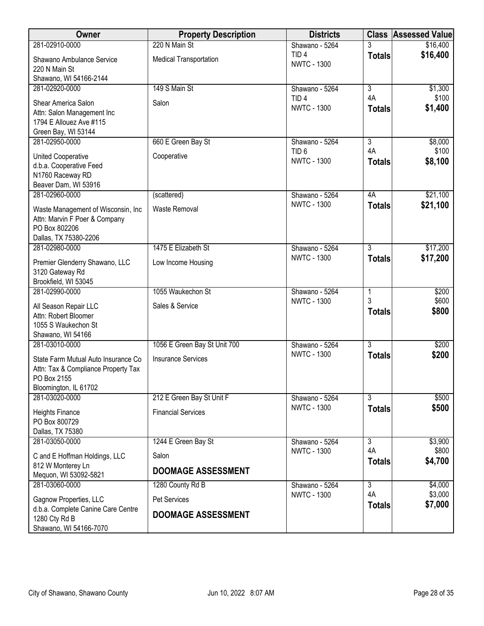| Owner                                                                                                              | <b>Property Description</b>   | <b>Districts</b>                       |                      | <b>Class Assessed Value</b> |
|--------------------------------------------------------------------------------------------------------------------|-------------------------------|----------------------------------------|----------------------|-----------------------------|
| 281-02910-0000                                                                                                     | 220 N Main St                 | Shawano - 5264                         |                      | \$16,400                    |
| Shawano Ambulance Service<br>220 N Main St                                                                         | <b>Medical Transportation</b> | TID <sub>4</sub><br><b>NWTC - 1300</b> | <b>Totals</b>        | \$16,400                    |
| Shawano, WI 54166-2144                                                                                             |                               |                                        |                      |                             |
| 281-02920-0000                                                                                                     | 149 S Main St                 | Shawano - 5264                         | $\overline{3}$<br>4A | \$1,300                     |
| Shear America Salon<br>Attn: Salon Management Inc<br>1794 E Allouez Ave #115<br>Green Bay, WI 53144                | Salon                         | TID <sub>4</sub><br><b>NWTC - 1300</b> | <b>Totals</b>        | \$100<br>\$1,400            |
| 281-02950-0000                                                                                                     | 660 E Green Bay St            | Shawano - 5264                         | $\overline{3}$       | \$8,000                     |
| <b>United Cooperative</b><br>d.b.a. Cooperative Feed<br>N1760 Raceway RD<br>Beaver Dam, WI 53916                   | Cooperative                   | TID <sub>6</sub><br><b>NWTC - 1300</b> | 4A<br><b>Totals</b>  | \$100<br>\$8,100            |
| 281-02960-0000                                                                                                     | (scattered)                   | Shawano - 5264                         | 4A                   | \$21,100                    |
| Waste Management of Wisconsin, Inc<br>Attn: Marvin F Poer & Company<br>PO Box 802206<br>Dallas, TX 75380-2206      | <b>Waste Removal</b>          | <b>NWTC - 1300</b>                     | <b>Totals</b>        | \$21,100                    |
| 281-02980-0000                                                                                                     | 1475 E Elizabeth St           | Shawano - 5264                         | $\overline{3}$       | \$17,200                    |
| Premier Glenderry Shawano, LLC<br>3120 Gateway Rd<br>Brookfield, WI 53045                                          | Low Income Housing            | <b>NWTC - 1300</b>                     | <b>Totals</b>        | \$17,200                    |
| 281-02990-0000                                                                                                     | 1055 Waukechon St             | Shawano - 5264                         | 1                    | \$200                       |
| All Season Repair LLC<br>Attn: Robert Bloomer<br>1055 S Waukechon St<br>Shawano, WI 54166                          | Sales & Service               | <b>NWTC - 1300</b>                     | 3<br><b>Totals</b>   | \$600<br>\$800              |
| 281-03010-0000                                                                                                     | 1056 E Green Bay St Unit 700  | Shawano - 5264                         | $\overline{3}$       | \$200                       |
| State Farm Mutual Auto Insurance Co<br>Attn: Tax & Compliance Property Tax<br>PO Box 2155<br>Bloomington, IL 61702 | <b>Insurance Services</b>     | <b>NWTC - 1300</b>                     | <b>Totals</b>        | \$200                       |
| 281-03020-0000                                                                                                     | 212 E Green Bay St Unit F     | Shawano - 5264                         | $\overline{3}$       | \$500                       |
| <b>Heights Finance</b><br>PO Box 800729<br>Dallas, TX 75380                                                        | <b>Financial Services</b>     | <b>NWTC - 1300</b>                     | <b>Totals</b>        | \$500                       |
| 281-03050-0000                                                                                                     | 1244 E Green Bay St           | Shawano - 5264                         | 3                    | \$3,900                     |
| C and E Hoffman Holdings, LLC                                                                                      | Salon                         | <b>NWTC - 1300</b>                     | 4A                   | \$800<br>\$4,700            |
| 812 W Monterey Ln<br>Mequon, WI 53092-5821                                                                         | <b>DOOMAGE ASSESSMENT</b>     |                                        | <b>Totals</b>        |                             |
| 281-03060-0000                                                                                                     | 1280 County Rd B              | Shawano - 5264<br><b>NWTC - 1300</b>   | $\overline{3}$<br>4A | \$4,000<br>\$3,000          |
| Gagnow Properties, LLC                                                                                             | Pet Services                  |                                        | <b>Totals</b>        | \$7,000                     |
| d.b.a. Complete Canine Care Centre<br>1280 Cty Rd B<br>Shawano, WI 54166-7070                                      | <b>DOOMAGE ASSESSMENT</b>     |                                        |                      |                             |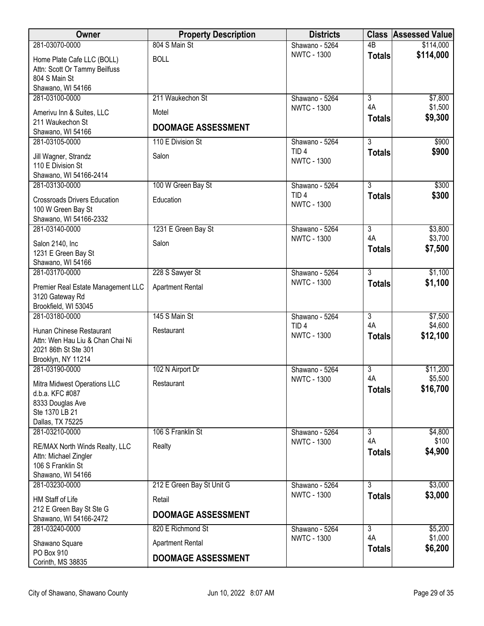| Owner                                                                                                      | <b>Property Description</b> | <b>Districts</b>                       |                      | <b>Class Assessed Value</b> |
|------------------------------------------------------------------------------------------------------------|-----------------------------|----------------------------------------|----------------------|-----------------------------|
| 281-03070-0000                                                                                             | 804 S Main St               | Shawano - 5264                         | $\overline{AB}$      | \$114,000                   |
| Home Plate Cafe LLC (BOLL)<br>Attn: Scott Or Tammy Beilfuss<br>804 S Main St<br>Shawano, WI 54166          | <b>BOLL</b>                 | <b>NWTC - 1300</b>                     | <b>Totals</b>        | \$114,000                   |
| 281-03100-0000                                                                                             | 211 Waukechon St            | Shawano - 5264                         | $\overline{3}$       | \$7,800                     |
| Amerivu Inn & Suites, LLC                                                                                  | Motel                       | <b>NWTC - 1300</b>                     | 4A                   | \$1,500                     |
| 211 Waukechon St<br>Shawano, WI 54166                                                                      | <b>DOOMAGE ASSESSMENT</b>   |                                        | <b>Totals</b>        | \$9,300                     |
| 281-03105-0000                                                                                             | 110 E Division St           | Shawano - 5264                         | $\overline{3}$       | \$900                       |
| Jill Wagner, Strandz<br>110 E Division St<br>Shawano, WI 54166-2414                                        | Salon                       | TID <sub>4</sub><br><b>NWTC - 1300</b> | <b>Totals</b>        | \$900                       |
| 281-03130-0000                                                                                             | 100 W Green Bay St          | Shawano - 5264                         | $\overline{3}$       | \$300                       |
| <b>Crossroads Drivers Education</b><br>100 W Green Bay St<br>Shawano, WI 54166-2332                        | Education                   | TID <sub>4</sub><br><b>NWTC - 1300</b> | <b>Totals</b>        | \$300                       |
| 281-03140-0000                                                                                             | 1231 E Green Bay St         | Shawano - 5264                         | $\overline{3}$       | \$3,800                     |
| Salon 2140, Inc<br>1231 E Green Bay St<br>Shawano, WI 54166                                                | Salon                       | <b>NWTC - 1300</b>                     | 4A<br><b>Totals</b>  | \$3,700<br>\$7,500          |
| 281-03170-0000                                                                                             | 228 S Sawyer St             | Shawano - 5264                         | $\overline{3}$       | \$1,100                     |
| Premier Real Estate Management LLC<br>3120 Gateway Rd                                                      | <b>Apartment Rental</b>     | <b>NWTC - 1300</b>                     | <b>Totals</b>        | \$1,100                     |
| Brookfield, WI 53045<br>281-03180-0000                                                                     | 145 S Main St               | Shawano - 5264                         | $\overline{3}$       | \$7,500                     |
| Hunan Chinese Restaurant<br>Attn: Wen Hau Liu & Chan Chai Ni<br>2021 86th St Ste 301<br>Brooklyn, NY 11214 | Restaurant                  | TID <sub>4</sub><br><b>NWTC - 1300</b> | 4A<br><b>Totals</b>  | \$4,600<br>\$12,100         |
| 281-03190-0000                                                                                             | 102 N Airport Dr            | Shawano - 5264                         | 3                    | \$11,200                    |
| Mitra Midwest Operations LLC<br>d.b.a. KFC #087<br>8333 Douglas Ave<br>Ste 1370 LB 21<br>Dallas, TX 75225  | Restaurant                  | <b>NWTC - 1300</b>                     | 4A<br><b>Totals</b>  | \$5,500<br>\$16,700         |
| 281-03210-0000                                                                                             | 106 S Franklin St           | Shawano - 5264                         | 3                    | \$4,800                     |
| RE/MAX North Winds Realty, LLC<br>Attn: Michael Zingler<br>106 S Franklin St<br>Shawano, WI 54166          | Realty                      | <b>NWTC - 1300</b>                     | 4A<br><b>Totals</b>  | \$100<br>\$4,900            |
| 281-03230-0000                                                                                             | 212 E Green Bay St Unit G   | Shawano - 5264                         | 3                    | \$3,000                     |
| HM Staff of Life                                                                                           | Retail                      | <b>NWTC - 1300</b>                     | <b>Totals</b>        | \$3,000                     |
| 212 E Green Bay St Ste G                                                                                   | <b>DOOMAGE ASSESSMENT</b>   |                                        |                      |                             |
| Shawano, WI 54166-2472                                                                                     |                             |                                        |                      |                             |
| 281-03240-0000                                                                                             | 820 E Richmond St           | Shawano - 5264<br><b>NWTC - 1300</b>   | $\overline{3}$<br>4A | \$5,200<br>\$1,000          |
| Shawano Square<br>PO Box 910                                                                               | <b>Apartment Rental</b>     |                                        | <b>Totals</b>        | \$6,200                     |
| Corinth, MS 38835                                                                                          | <b>DOOMAGE ASSESSMENT</b>   |                                        |                      |                             |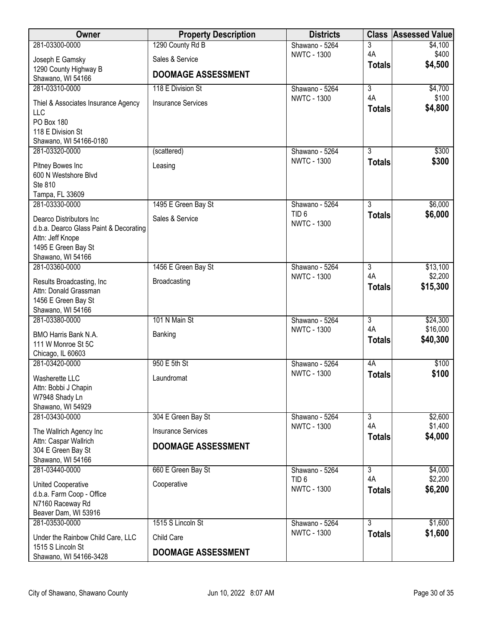| Owner                                  | <b>Property Description</b> | <b>Districts</b>   | <b>Class</b>   | <b>Assessed Value</b> |
|----------------------------------------|-----------------------------|--------------------|----------------|-----------------------|
| 281-03300-0000                         | 1290 County Rd B            | Shawano - 5264     | 3              | \$4,100               |
| Joseph E Gamsky                        | Sales & Service             | <b>NWTC - 1300</b> | 4A             | \$400                 |
| 1290 County Highway B                  |                             |                    | <b>Totals</b>  | \$4,500               |
| Shawano, WI 54166                      | <b>DOOMAGE ASSESSMENT</b>   |                    |                |                       |
| 281-03310-0000                         | 118 E Division St           | Shawano - 5264     | $\overline{3}$ | \$4,700               |
| Thiel & Associates Insurance Agency    | <b>Insurance Services</b>   | <b>NWTC - 1300</b> | 4A             | \$100                 |
| LLC                                    |                             |                    | <b>Totals</b>  | \$4,800               |
| <b>PO Box 180</b>                      |                             |                    |                |                       |
| 118 E Division St                      |                             |                    |                |                       |
| Shawano, WI 54166-0180                 |                             |                    |                |                       |
| 281-03320-0000                         | (scattered)                 | Shawano - 5264     | 3              | \$300                 |
| Pitney Bowes Inc                       | Leasing                     | <b>NWTC - 1300</b> | <b>Totals</b>  | \$300                 |
| 600 N Westshore Blvd                   |                             |                    |                |                       |
| Ste 810                                |                             |                    |                |                       |
| Tampa, FL 33609                        |                             |                    |                |                       |
| 281-03330-0000                         | 1495 E Green Bay St         | Shawano - 5264     | $\overline{3}$ | \$6,000               |
| Dearco Distributors Inc                | Sales & Service             | TID <sub>6</sub>   | <b>Totals</b>  | \$6,000               |
| d.b.a. Dearco Glass Paint & Decorating |                             | <b>NWTC - 1300</b> |                |                       |
| Attn: Jeff Knope                       |                             |                    |                |                       |
| 1495 E Green Bay St                    |                             |                    |                |                       |
| Shawano, WI 54166                      |                             |                    |                |                       |
| 281-03360-0000                         | 1456 E Green Bay St         | Shawano - 5264     | $\overline{3}$ | \$13,100              |
| Results Broadcasting, Inc.             | Broadcasting                | <b>NWTC - 1300</b> | 4A             | \$2,200               |
| Attn: Donald Grassman                  |                             |                    | <b>Totals</b>  | \$15,300              |
| 1456 E Green Bay St                    |                             |                    |                |                       |
| Shawano, WI 54166                      |                             |                    |                |                       |
| 281-03380-0000                         | 101 N Main St               | Shawano - 5264     | $\overline{3}$ | \$24,300              |
| BMO Harris Bank N.A.                   | Banking                     | <b>NWTC - 1300</b> | 4A             | \$16,000              |
| 111 W Monroe St 5C                     |                             |                    | <b>Totals</b>  | \$40,300              |
| Chicago, IL 60603                      |                             |                    |                |                       |
| 281-03420-0000                         | 950 E 5th St                | Shawano - 5264     | 4A             | \$100                 |
| Washerette LLC                         | Laundromat                  | <b>NWTC - 1300</b> | <b>Totals</b>  | \$100                 |
| Attn: Bobbi J Chapin                   |                             |                    |                |                       |
| W7948 Shady Ln                         |                             |                    |                |                       |
| Shawano, WI 54929                      |                             |                    |                |                       |
| 281-03430-0000                         | 304 E Green Bay St          | Shawano - 5264     | $\overline{3}$ | \$2,600               |
| The Wallrich Agency Inc                | <b>Insurance Services</b>   | <b>NWTC - 1300</b> | 4A             | \$1,400               |
| Attn: Caspar Wallrich                  |                             |                    | <b>Totals</b>  | \$4,000               |
| 304 E Green Bay St                     | <b>DOOMAGE ASSESSMENT</b>   |                    |                |                       |
| Shawano, WI 54166                      |                             |                    |                |                       |
| 281-03440-0000                         | 660 E Green Bay St          | Shawano - 5264     | $\overline{3}$ | \$4,000               |
| United Cooperative                     | Cooperative                 | TID <sub>6</sub>   | 4A             | \$2,200               |
| d.b.a. Farm Coop - Office              |                             | <b>NWTC - 1300</b> | <b>Totals</b>  | \$6,200               |
| N7160 Raceway Rd                       |                             |                    |                |                       |
| Beaver Dam, WI 53916                   |                             |                    |                |                       |
| 281-03530-0000                         | 1515 S Lincoln St           | Shawano - 5264     | $\overline{3}$ | \$1,600               |
| Under the Rainbow Child Care, LLC      | Child Care                  | <b>NWTC - 1300</b> | <b>Totals</b>  | \$1,600               |
| 1515 S Lincoln St                      |                             |                    |                |                       |
| Shawano, WI 54166-3428                 | <b>DOOMAGE ASSESSMENT</b>   |                    |                |                       |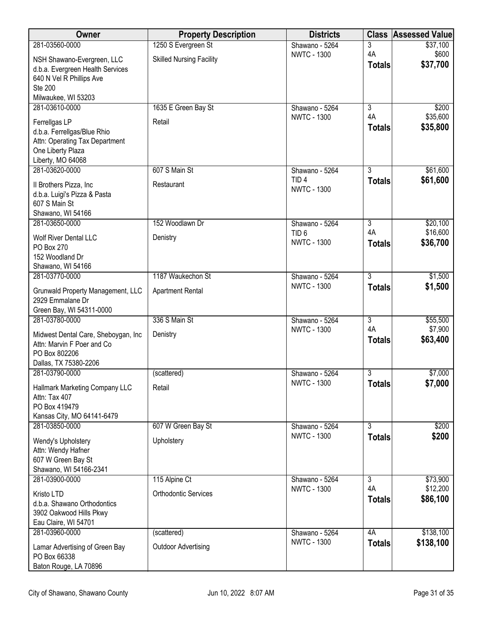| Owner                                           | <b>Property Description</b>     | <b>Districts</b>                       | <b>Class</b>         | <b>Assessed Value</b> |
|-------------------------------------------------|---------------------------------|----------------------------------------|----------------------|-----------------------|
| 281-03560-0000                                  | 1250 S Evergreen St             | Shawano - 5264                         | 3                    | \$37,100              |
| NSH Shawano-Evergreen, LLC                      | <b>Skilled Nursing Facility</b> | <b>NWTC - 1300</b>                     | 4A                   | \$600<br>\$37,700     |
| d.b.a. Evergreen Health Services                |                                 |                                        | <b>Totals</b>        |                       |
| 640 N Vel R Phillips Ave                        |                                 |                                        |                      |                       |
| <b>Ste 200</b><br>Milwaukee, WI 53203           |                                 |                                        |                      |                       |
| 281-03610-0000                                  | 1635 E Green Bay St             | Shawano - 5264                         | $\overline{3}$       | \$200                 |
|                                                 |                                 | <b>NWTC - 1300</b>                     | 4A                   | \$35,600              |
| Ferrellgas LP<br>d.b.a. Ferrellgas/Blue Rhio    | Retail                          |                                        | <b>Totals</b>        | \$35,800              |
| Attn: Operating Tax Department                  |                                 |                                        |                      |                       |
| One Liberty Plaza                               |                                 |                                        |                      |                       |
| Liberty, MO 64068                               |                                 |                                        |                      |                       |
| 281-03620-0000                                  | 607 S Main St                   | Shawano - 5264                         | $\overline{3}$       | \$61,600              |
| Il Brothers Pizza, Inc                          | Restaurant                      | TID <sub>4</sub><br><b>NWTC - 1300</b> | <b>Totals</b>        | \$61,600              |
| d.b.a. Luigi's Pizza & Pasta                    |                                 |                                        |                      |                       |
| 607 S Main St                                   |                                 |                                        |                      |                       |
| Shawano, WI 54166<br>281-03650-0000             | 152 Woodlawn Dr                 | Shawano - 5264                         | $\overline{3}$       | \$20,100              |
|                                                 |                                 | TID <sub>6</sub>                       | 4A                   | \$16,600              |
| <b>Wolf River Dental LLC</b>                    | Denistry                        | <b>NWTC - 1300</b>                     | <b>Totals</b>        | \$36,700              |
| PO Box 270<br>152 Woodland Dr                   |                                 |                                        |                      |                       |
| Shawano, WI 54166                               |                                 |                                        |                      |                       |
| 281-03770-0000                                  | 1187 Waukechon St               | Shawano - 5264                         | $\overline{3}$       | \$1,500               |
| Grunwald Property Management, LLC               | <b>Apartment Rental</b>         | <b>NWTC - 1300</b>                     | <b>Totals</b>        | \$1,500               |
| 2929 Emmalane Dr                                |                                 |                                        |                      |                       |
| Green Bay, WI 54311-0000                        |                                 |                                        |                      |                       |
| 281-03780-0000                                  | 336 S Main St                   | Shawano - 5264                         | $\overline{3}$       | \$55,500              |
| Midwest Dental Care, Sheboygan, Inc.            | Denistry                        | <b>NWTC - 1300</b>                     | 4A                   | \$7,900<br>\$63,400   |
| Attn: Marvin F Poer and Co                      |                                 |                                        | <b>Totals</b>        |                       |
| PO Box 802206                                   |                                 |                                        |                      |                       |
| Dallas, TX 75380-2206<br>281-03790-0000         | (scattered)                     | Shawano - 5264                         | $\overline{3}$       | \$7,000               |
|                                                 |                                 | <b>NWTC - 1300</b>                     | <b>Totals</b>        | \$7,000               |
| Hallmark Marketing Company LLC                  | Retail                          |                                        |                      |                       |
| Attn: Tax 407<br>PO Box 419479                  |                                 |                                        |                      |                       |
| Kansas City, MO 64141-6479                      |                                 |                                        |                      |                       |
| 281-03850-0000                                  | 607 W Green Bay St              | Shawano - 5264                         | $\overline{3}$       | \$200                 |
| Wendy's Upholstery                              | Upholstery                      | <b>NWTC - 1300</b>                     | <b>Totals</b>        | \$200                 |
| Attn: Wendy Hafner                              |                                 |                                        |                      |                       |
| 607 W Green Bay St                              |                                 |                                        |                      |                       |
| Shawano, WI 54166-2341                          |                                 |                                        |                      |                       |
| 281-03900-0000                                  | 115 Alpine Ct                   | Shawano - 5264<br><b>NWTC - 1300</b>   | $\overline{3}$<br>4A | \$73,900<br>\$12,200  |
| Kristo LTD                                      | <b>Orthodontic Services</b>     |                                        | <b>Totals</b>        | \$86,100              |
| d.b.a. Shawano Orthodontics                     |                                 |                                        |                      |                       |
| 3902 Oakwood Hills Pkwy<br>Eau Claire, WI 54701 |                                 |                                        |                      |                       |
| 281-03960-0000                                  | (scattered)                     | Shawano - 5264                         | 4A                   | \$138,100             |
| Lamar Advertising of Green Bay                  | <b>Outdoor Advertising</b>      | <b>NWTC - 1300</b>                     | <b>Totals</b>        | \$138,100             |
| PO Box 66338                                    |                                 |                                        |                      |                       |
| Baton Rouge, LA 70896                           |                                 |                                        |                      |                       |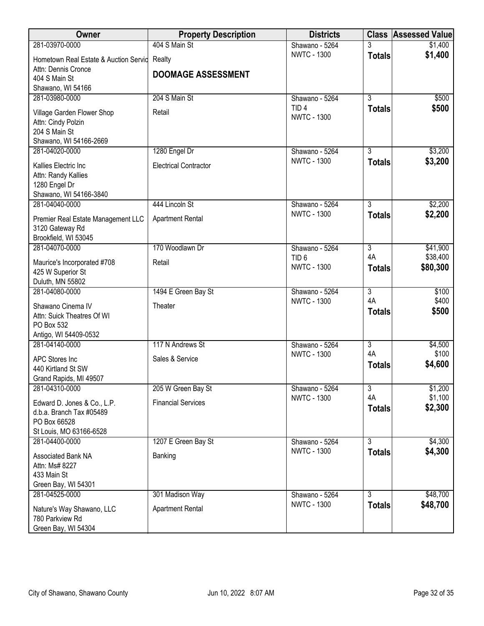| Owner                                            | <b>Property Description</b>  | <b>Districts</b>                     |                | <b>Class Assessed Value</b> |
|--------------------------------------------------|------------------------------|--------------------------------------|----------------|-----------------------------|
| 281-03970-0000                                   | 404 S Main St                | Shawano - 5264                       | 3              | \$1,400                     |
| Hometown Real Estate & Auction Servid            | Realty                       | <b>NWTC - 1300</b>                   | <b>Totals</b>  | \$1,400                     |
| Attn: Dennis Cronce                              | <b>DOOMAGE ASSESSMENT</b>    |                                      |                |                             |
| 404 S Main St<br>Shawano, WI 54166               |                              |                                      |                |                             |
| 281-03980-0000                                   | 204 S Main St                | Shawano - 5264                       | $\overline{3}$ | \$500                       |
| Village Garden Flower Shop                       | Retail                       | TID <sub>4</sub>                     | <b>Totals</b>  | \$500                       |
| Attn: Cindy Polzin                               |                              | <b>NWTC - 1300</b>                   |                |                             |
| 204 S Main St                                    |                              |                                      |                |                             |
| Shawano, WI 54166-2669<br>281-04020-0000         |                              |                                      | $\overline{3}$ | \$3,200                     |
|                                                  | 1280 Engel Dr                | Shawano - 5264<br><b>NWTC - 1300</b> | <b>Totals</b>  | \$3,200                     |
| Kallies Electric Inc                             | <b>Electrical Contractor</b> |                                      |                |                             |
| Attn: Randy Kallies<br>1280 Engel Dr             |                              |                                      |                |                             |
| Shawano, WI 54166-3840                           |                              |                                      |                |                             |
| 281-04040-0000                                   | 444 Lincoln St               | Shawano - 5264                       | $\overline{3}$ | \$2,200                     |
| Premier Real Estate Management LLC               | <b>Apartment Rental</b>      | <b>NWTC - 1300</b>                   | <b>Totals</b>  | \$2,200                     |
| 3120 Gateway Rd                                  |                              |                                      |                |                             |
| Brookfield, WI 53045<br>281-04070-0000           | 170 Woodlawn Dr              | Shawano - 5264                       | $\overline{3}$ | \$41,900                    |
|                                                  |                              | TID <sub>6</sub>                     | 4A             | \$38,400                    |
| Maurice's Incorporated #708<br>425 W Superior St | Retail                       | <b>NWTC - 1300</b>                   | <b>Totals</b>  | \$80,300                    |
| Duluth, MN 55802                                 |                              |                                      |                |                             |
| 281-04080-0000                                   | 1494 E Green Bay St          | Shawano - 5264                       | $\overline{3}$ | \$100                       |
| Shawano Cinema IV                                | Theater                      | <b>NWTC - 1300</b>                   | 4A             | \$400<br>\$500              |
| Attn: Suick Theatres Of WI                       |                              |                                      | <b>Totals</b>  |                             |
| PO Box 532<br>Antigo, WI 54409-0532              |                              |                                      |                |                             |
| 281-04140-0000                                   | 117 N Andrews St             | Shawano - 5264                       | $\overline{3}$ | \$4,500                     |
| APC Stores Inc                                   | Sales & Service              | <b>NWTC - 1300</b>                   | 4A             | \$100                       |
| 440 Kirtland St SW                               |                              |                                      | <b>Totals</b>  | \$4,600                     |
| Grand Rapids, MI 49507                           |                              |                                      |                |                             |
| 281-04310-0000                                   | 205 W Green Bay St           | Shawano - 5264<br><b>NWTC - 1300</b> | 3<br>4A        | \$1,200<br>\$1,100          |
| Edward D. Jones & Co., L.P.                      | <b>Financial Services</b>    |                                      | <b>Totals</b>  | \$2,300                     |
| d.b.a. Branch Tax #05489<br>PO Box 66528         |                              |                                      |                |                             |
| St Louis, MO 63166-6528                          |                              |                                      |                |                             |
| 281-04400-0000                                   | 1207 E Green Bay St          | Shawano - 5264                       | $\overline{3}$ | \$4,300                     |
| Associated Bank NA                               | Banking                      | <b>NWTC - 1300</b>                   | <b>Totals</b>  | \$4,300                     |
| Attn: Ms# 8227                                   |                              |                                      |                |                             |
| 433 Main St<br>Green Bay, WI 54301               |                              |                                      |                |                             |
| 281-04525-0000                                   | 301 Madison Way              | Shawano - 5264                       | $\overline{3}$ | \$48,700                    |
| Nature's Way Shawano, LLC                        | <b>Apartment Rental</b>      | <b>NWTC - 1300</b>                   | <b>Totals</b>  | \$48,700                    |
| 780 Parkview Rd                                  |                              |                                      |                |                             |
| Green Bay, WI 54304                              |                              |                                      |                |                             |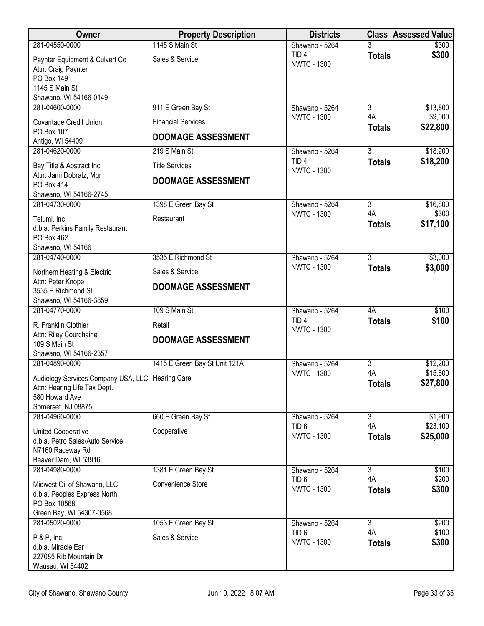| Owner                                                 | <b>Property Description</b>   | <b>Districts</b>                       |                                 | <b>Class Assessed Value</b> |
|-------------------------------------------------------|-------------------------------|----------------------------------------|---------------------------------|-----------------------------|
| 281-04550-0000                                        | 1145 S Main St                | Shawano - 5264                         |                                 | \$300                       |
| Paynter Equipment & Culvert Co<br>Attn: Craig Paynter | Sales & Service               | TID <sub>4</sub><br><b>NWTC - 1300</b> | <b>Totals</b>                   | \$300                       |
| PO Box 149                                            |                               |                                        |                                 |                             |
| 1145 S Main St<br>Shawano, WI 54166-0149              |                               |                                        |                                 |                             |
| 281-04600-0000                                        | 911 E Green Bay St            | Shawano - 5264                         | $\overline{3}$                  | \$13,800                    |
| Covantage Credit Union                                | <b>Financial Services</b>     | <b>NWTC - 1300</b>                     | 4A                              | \$9,000                     |
| PO Box 107                                            | <b>DOOMAGE ASSESSMENT</b>     |                                        | <b>Totals</b>                   | \$22,800                    |
| Antigo, WI 54409<br>281-04620-0000                    | 219 S Main St                 | Shawano - 5264                         | $\overline{3}$                  | \$18,200                    |
| Bay Title & Abstract Inc                              | <b>Title Services</b>         | TID <sub>4</sub>                       | <b>Totals</b>                   | \$18,200                    |
| Attn: Jami Dobratz, Mgr                               | <b>DOOMAGE ASSESSMENT</b>     | <b>NWTC - 1300</b>                     |                                 |                             |
| PO Box 414                                            |                               |                                        |                                 |                             |
| Shawano, WI 54166-2745<br>281-04730-0000              | 1398 E Green Bay St           | Shawano - 5264                         | $\overline{3}$                  | \$16,800                    |
|                                                       | Restaurant                    | <b>NWTC - 1300</b>                     | 4A                              | \$300                       |
| Telumi, Inc<br>d.b.a. Perkins Family Restaurant       |                               |                                        | <b>Totals</b>                   | \$17,100                    |
| PO Box 462                                            |                               |                                        |                                 |                             |
| Shawano, WI 54166                                     |                               |                                        |                                 |                             |
| 281-04740-0000                                        | 3535 E Richmond St            | Shawano - 5264<br><b>NWTC - 1300</b>   | $\overline{3}$<br><b>Totals</b> | \$3,000<br>\$3,000          |
| Northern Heating & Electric<br>Attn: Peter Knope      | Sales & Service               |                                        |                                 |                             |
| 3535 E Richmond St                                    | <b>DOOMAGE ASSESSMENT</b>     |                                        |                                 |                             |
| Shawano, WI 54166-3859                                |                               |                                        |                                 |                             |
| 281-04770-0000                                        | 109 S Main St                 | Shawano - 5264<br>TID <sub>4</sub>     | 4A                              | \$100<br>\$100              |
| R. Franklin Clothier                                  | Retail                        | <b>NWTC - 1300</b>                     | <b>Totals</b>                   |                             |
| Attn: Riley Courchaine<br>109 S Main St               | <b>DOOMAGE ASSESSMENT</b>     |                                        |                                 |                             |
| Shawano, WI 54166-2357                                |                               |                                        |                                 |                             |
| 281-04890-0000                                        | 1415 E Green Bay St Unit 121A | Shawano - 5264                         | $\overline{3}$                  | \$12,200                    |
| Audiology Services Company USA, LLC Hearing Care      |                               | <b>NWTC - 1300</b>                     | 4A<br><b>Totals</b>             | \$15,600<br>\$27,800        |
| Attn: Hearing Life Tax Dept.<br>580 Howard Ave        |                               |                                        |                                 |                             |
| Somerset, NJ 08875                                    |                               |                                        |                                 |                             |
| 281-04960-0000                                        | 660 E Green Bay St            | Shawano - 5264                         | $\overline{\overline{3}}$       | \$1,900                     |
| United Cooperative                                    | Cooperative                   | TID <sub>6</sub><br><b>NWTC - 1300</b> | 4A                              | \$23,100                    |
| d.b.a. Petro Sales/Auto Service                       |                               |                                        | <b>Totals</b>                   | \$25,000                    |
| N7160 Raceway Rd<br>Beaver Dam, WI 53916              |                               |                                        |                                 |                             |
| 281-04980-0000                                        | 1381 E Green Bay St           | Shawano - 5264                         | $\overline{3}$                  | \$100                       |
| Midwest Oil of Shawano, LLC                           | Convenience Store             | TID <sub>6</sub>                       | 4A                              | \$200                       |
| d.b.a. Peoples Express North                          |                               | <b>NWTC - 1300</b>                     | <b>Totals</b>                   | \$300                       |
| PO Box 10568                                          |                               |                                        |                                 |                             |
| Green Bay, WI 54307-0568<br>281-05020-0000            | 1053 E Green Bay St           | Shawano - 5264                         | $\overline{3}$                  | \$200                       |
| P & P, Inc                                            | Sales & Service               | TID <sub>6</sub>                       | 4A                              | \$100                       |
| d.b.a. Miracle Ear                                    |                               | <b>NWTC - 1300</b>                     | <b>Totals</b>                   | \$300                       |
| 227085 Rib Mountain Dr                                |                               |                                        |                                 |                             |
| Wausau, WI 54402                                      |                               |                                        |                                 |                             |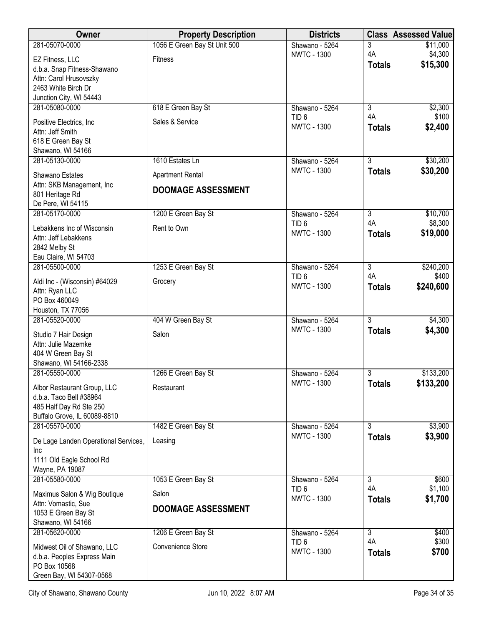| Owner                                              | <b>Property Description</b>  | <b>Districts</b>                     | <b>Class</b>         | <b>Assessed Value</b>  |
|----------------------------------------------------|------------------------------|--------------------------------------|----------------------|------------------------|
| 281-05070-0000                                     | 1056 E Green Bay St Unit 500 | Shawano - 5264                       | 3                    | \$11,000               |
| EZ Fitness, LLC                                    | <b>Fitness</b>               | <b>NWTC - 1300</b>                   | 4A                   | \$4,300<br>\$15,300    |
| d.b.a. Snap Fitness-Shawano                        |                              |                                      | <b>Totals</b>        |                        |
| Attn: Carol Hrusovszky<br>2463 White Birch Dr      |                              |                                      |                      |                        |
| Junction City, WI 54443                            |                              |                                      |                      |                        |
| 281-05080-0000                                     | 618 E Green Bay St           | Shawano - 5264                       | 3                    | \$2,300                |
|                                                    | Sales & Service              | TID <sub>6</sub>                     | 4A                   | \$100                  |
| Positive Electrics, Inc.<br>Attn: Jeff Smith       |                              | <b>NWTC - 1300</b>                   | <b>Totals</b>        | \$2,400                |
| 618 E Green Bay St                                 |                              |                                      |                      |                        |
| Shawano, WI 54166                                  |                              |                                      |                      |                        |
| 281-05130-0000                                     | 1610 Estates Ln              | Shawano - 5264                       | $\overline{3}$       | \$30,200               |
| Shawano Estates                                    | <b>Apartment Rental</b>      | <b>NWTC - 1300</b>                   | <b>Totals</b>        | \$30,200               |
| Attn: SKB Management, Inc<br>801 Heritage Rd       | <b>DOOMAGE ASSESSMENT</b>    |                                      |                      |                        |
| De Pere, WI 54115                                  |                              |                                      |                      |                        |
| 281-05170-0000                                     | 1200 E Green Bay St          | Shawano - 5264                       | $\overline{3}$       | \$10,700               |
| Lebakkens Inc of Wisconsin                         | Rent to Own                  | TID <sub>6</sub>                     | 4A                   | \$8,300                |
| Attn: Jeff Lebakkens                               |                              | <b>NWTC - 1300</b>                   | <b>Totals</b>        | \$19,000               |
| 2842 Melby St                                      |                              |                                      |                      |                        |
| Eau Claire, WI 54703<br>281-05500-0000             |                              |                                      | $\overline{3}$       |                        |
|                                                    | 1253 E Green Bay St          | Shawano - 5264<br>TID <sub>6</sub>   | 4A                   | \$240,200<br>\$400     |
| Aldi Inc - (Wisconsin) #64029                      | Grocery                      | <b>NWTC - 1300</b>                   | <b>Totals</b>        | \$240,600              |
| Attn: Ryan LLC<br>PO Box 460049                    |                              |                                      |                      |                        |
| Houston, TX 77056                                  |                              |                                      |                      |                        |
| 281-05520-0000                                     | 404 W Green Bay St           | Shawano - 5264                       | $\overline{3}$       | \$4,300                |
| Studio 7 Hair Design                               | Salon                        | <b>NWTC - 1300</b>                   | <b>Totals</b>        | \$4,300                |
| Attn: Julie Mazemke                                |                              |                                      |                      |                        |
| 404 W Green Bay St                                 |                              |                                      |                      |                        |
| Shawano, WI 54166-2338                             |                              |                                      |                      |                        |
| 281-05550-0000                                     | 1266 E Green Bay St          | Shawano - 5264<br><b>NWTC - 1300</b> | 3                    | \$133,200<br>\$133,200 |
| Albor Restaurant Group, LLC                        | Restaurant                   |                                      | <b>Totals</b>        |                        |
| d.b.a. Taco Bell #38964<br>485 Half Day Rd Ste 250 |                              |                                      |                      |                        |
| Buffalo Grove, IL 60089-8810                       |                              |                                      |                      |                        |
| 281-05570-0000                                     | 1482 E Green Bay St          | Shawano - 5264                       | $\overline{3}$       | \$3,900                |
| De Lage Landen Operational Services,               | Leasing                      | <b>NWTC - 1300</b>                   | <b>Totals</b>        | \$3,900                |
| Inc                                                |                              |                                      |                      |                        |
| 1111 Old Eagle School Rd                           |                              |                                      |                      |                        |
| Wayne, PA 19087                                    |                              |                                      |                      |                        |
| 281-05580-0000                                     | 1053 E Green Bay St          | Shawano - 5264<br>TID <sub>6</sub>   | $\overline{3}$<br>4A | \$600<br>\$1,100       |
| Maximus Salon & Wig Boutique                       | Salon                        | <b>NWTC - 1300</b>                   | <b>Totals</b>        | \$1,700                |
| Attn: Vomastic, Sue                                | <b>DOOMAGE ASSESSMENT</b>    |                                      |                      |                        |
| 1053 E Green Bay St<br>Shawano, WI 54166           |                              |                                      |                      |                        |
| 281-05620-0000                                     | 1206 E Green Bay St          | Shawano - 5264                       | $\overline{3}$       | \$400                  |
| Midwest Oil of Shawano, LLC                        | Convenience Store            | TID <sub>6</sub>                     | 4A                   | \$300                  |
| d.b.a. Peoples Express Main                        |                              | <b>NWTC - 1300</b>                   | <b>Totals</b>        | \$700                  |
| PO Box 10568                                       |                              |                                      |                      |                        |
| Green Bay, WI 54307-0568                           |                              |                                      |                      |                        |